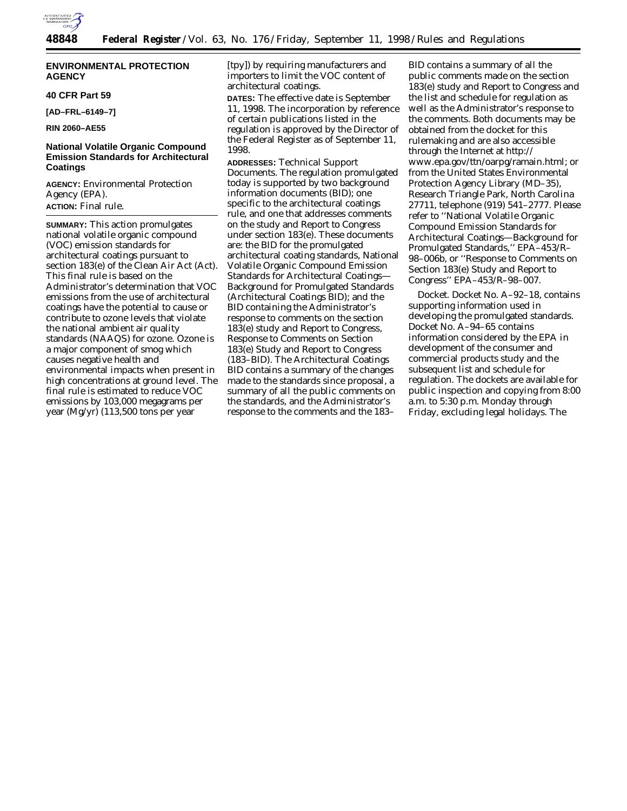

# **ENVIRONMENTAL PROTECTION AGENCY**

## **40 CFR Part 59**

**[AD–FRL–6149–7]**

**RIN 2060–AE55**

# **National Volatile Organic Compound Emission Standards for Architectural Coatings**

**AGENCY:** Environmental Protection Agency (EPA). **ACTION:** Final rule.

**SUMMARY:** This action promulgates national volatile organic compound (VOC) emission standards for architectural coatings pursuant to section 183(e) of the Clean Air Act (Act). This final rule is based on the Administrator's determination that VOC emissions from the use of architectural coatings have the potential to cause or contribute to ozone levels that violate the national ambient air quality standards (NAAQS) for ozone. Ozone is a major component of smog which causes negative health and environmental impacts when present in high concentrations at ground level. The final rule is estimated to reduce VOC emissions by 103,000 megagrams per year (Mg/yr) (113,500 tons per year

[tpy]) by requiring manufacturers and importers to limit the VOC content of architectural coatings.

**DATES:** The effective date is September 11, 1998. The incorporation by reference of certain publications listed in the regulation is approved by the Director of the Federal Register as of September 11, 1998.

**ADDRESSES:** *Technical Support Documents.* The regulation promulgated today is supported by two background information documents (BID); one specific to the architectural coatings rule, and one that addresses comments on the study and Report to Congress under section 183(e). These documents are: the BID for the promulgated architectural coating standards, National Volatile Organic Compound Emission Standards for Architectural Coatings— Background for Promulgated Standards (Architectural Coatings BID); and the BID containing the Administrator's response to comments on the section 183(e) study and Report to Congress, Response to Comments on Section 183(e) Study and Report to Congress (183–BID). The Architectural Coatings BID contains a summary of the changes made to the standards since proposal, a summary of all the public comments on the standards, and the Administrator's response to the comments and the 183–

BID contains a summary of all the public comments made on the section 183(e) study and Report to Congress and the list and schedule for regulation as well as the Administrator's response to the comments. Both documents may be obtained from the docket for this rulemaking and are also accessible through the Internet at http:// www.epa.gov/ttn/oarpg/ramain.html; or from the United States Environmental Protection Agency Library (MD–35), Research Triangle Park, North Carolina 27711, telephone (919) 541–2777. Please refer to ''National Volatile Organic Compound Emission Standards for Architectural Coatings—Background for Promulgated Standards,'' EPA–453/R– 98–006b, or ''Response to Comments on Section 183(e) Study and Report to Congress'' EPA–453/R–98–007.

*Docket.* Docket No. A–92–18, contains supporting information used in developing the promulgated standards. Docket No. A–94–65 contains information considered by the EPA in development of the consumer and commercial products study and the subsequent list and schedule for regulation. The dockets are available for public inspection and copying from 8:00 a.m. to 5:30 p.m. Monday through Friday, excluding legal holidays. The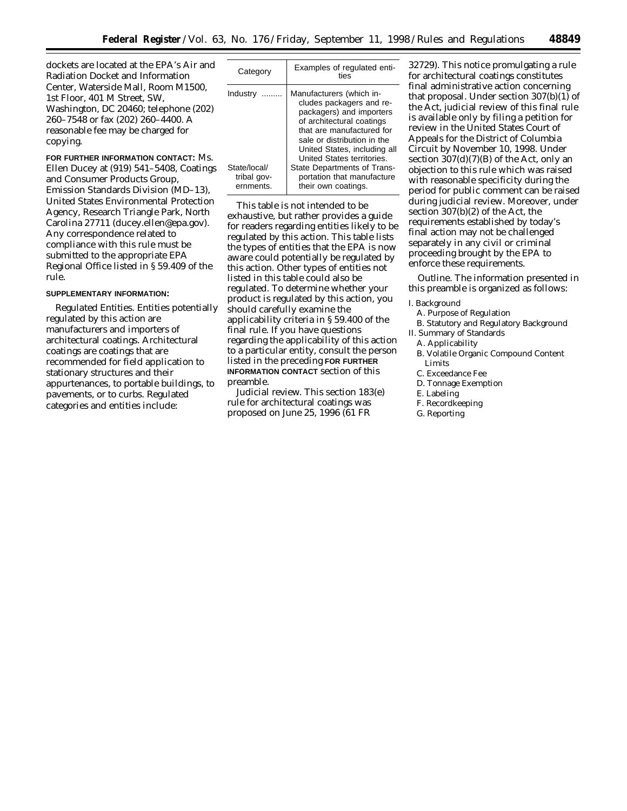dockets are located at the EPA's Air and Radiation Docket and Information Center, Waterside Mall, Room M1500, 1st Floor, 401 M Street, SW, Washington, DC 20460; telephone (202) 260–7548 or fax (202) 260–4400. A reasonable fee may be charged for copying.

**FOR FURTHER INFORMATION CONTACT:** Ms. Ellen Ducey at (919) 541–5408, Coatings and Consumer Products Group, Emission Standards Division (MD–13), United States Environmental Protection Agency, Research Triangle Park, North Carolina 27711 (ducey.ellen@epa.gov). Any correspondence related to compliance with this rule must be submitted to the appropriate EPA Regional Office listed in § 59.409 of the rule.

# **SUPPLEMENTARY INFORMATION:**

*Regulated Entities.* Entities potentially regulated by this action are manufacturers and importers of architectural coatings. Architectural coatings are coatings that are recommended for field application to stationary structures and their appurtenances, to portable buildings, to pavements, or to curbs. Regulated categories and entities include:

| Category                                 | Examples of regulated enti-<br>ties                                                                                                                                                                                                     |
|------------------------------------------|-----------------------------------------------------------------------------------------------------------------------------------------------------------------------------------------------------------------------------------------|
| Industry                                 | Manufacturers (which in-<br>cludes packagers and re-<br>packagers) and importers<br>of architectural coatings<br>that are manufactured for<br>sale or distribution in the<br>United States, including all<br>United States territories. |
| State/local/<br>tribal gov-<br>ernments. | <b>State Departments of Trans-</b><br>portation that manufacture<br>their own coatings.                                                                                                                                                 |

This table is not intended to be exhaustive, but rather provides a guide for readers regarding entities likely to be regulated by this action. This table lists the types of entities that the EPA is now aware could potentially be regulated by this action. Other types of entities not listed in this table could also be regulated. To determine whether your product is regulated by this action, you should carefully examine the applicability criteria in § 59.400 of the final rule. If you have questions regarding the applicability of this action to a particular entity, consult the person listed in the preceding **FOR FURTHER INFORMATION CONTACT** section of this preamble.

*Judicial review.* This section 183(e) rule for architectural coatings was proposed on June 25, 1996 (61 FR

32729). This notice promulgating a rule for architectural coatings constitutes final administrative action concerning that proposal. Under section 307(b)(1) of the Act, judicial review of this final rule is available only by filing a petition for review in the United States Court of Appeals for the District of Columbia Circuit by November 10, 1998. Under section  $307(d)(7)(B)$  of the Act, only an objection to this rule which was raised with reasonable specificity during the period for public comment can be raised during judicial review. Moreover, under section 307(b)(2) of the Act, the requirements established by today's final action may not be challenged separately in any civil or criminal proceeding brought by the EPA to enforce these requirements.

*Outline.* The information presented in this preamble is organized as follows:

#### I. Background

- A. Purpose of Regulation
- B. Statutory and Regulatory Background
- II. Summary of Standards
- A. Applicability
- B. Volatile Organic Compound Content Limits
- C. Exceedance Fee
- D. Tonnage Exemption
- E. Labeling
- F. Recordkeeping
- G. Reporting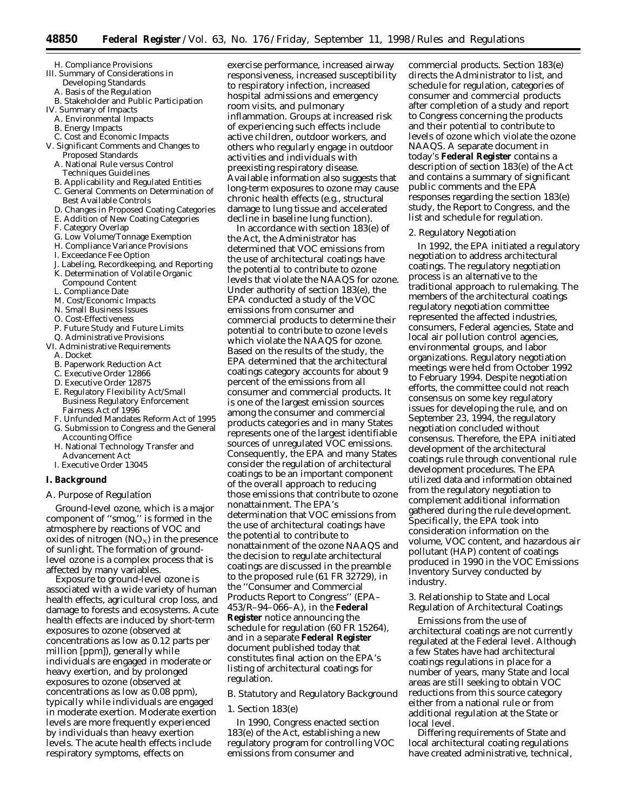- H. Compliance Provisions
- III. Summary of Considerations in
	- Developing Standards A. Basis of the Regulation
	-
- B. Stakeholder and Public Participation IV. Summary of Impacts
- A. Environmental Impacts
- 
- B. Energy Impacts C. Cost and Economic Impacts
- V. Significant Comments and Changes to Proposed Standards
	- A. National Rule versus Control Techniques Guidelines
	- B. Applicability and Regulated Entities
	- C. General Comments on Determination of Best Available Controls
	- D. Changes in Proposed Coating Categories
	- E. Addition of New Coating Categories
	- F. Category Overlap
	- G. Low Volume/Tonnage Exemption
	- H. Compliance Variance Provisions
	- I. Exceedance Fee Option
	- J. Labeling, Recordkeeping, and Reporting
	- K. Determination of Volatile Organic Compound Content
	- L. Compliance Date
	- M. Cost/Economic Impacts
	- N. Small Business Issues
	- O. Cost-Effectiveness
	- P. Future Study and Future Limits
- Q. Administrative Provisions
- VI. Administrative Requirements A. Docket
	-
	- B. Paperwork Reduction Act C. Executive Order 12866
	-
	- D. Executive Order 12875 E. Regulatory Flexibility Act/Small
	- Business Regulatory Enforcement Fairness Act of 1996
	- F. Unfunded Mandates Reform Act of 1995 G. Submission to Congress and the General
	- Accounting Office
	- H. National Technology Transfer and Advancement Act
	- I. Executive Order 13045

# **I. Background**

# *A. Purpose of Regulation*

Ground-level ozone, which is a major component of ''smog,'' is formed in the atmosphere by reactions of VOC and oxides of nitrogen  $(NO_X)$  in the presence of sunlight. The formation of groundlevel ozone is a complex process that is affected by many variables.

Exposure to ground-level ozone is associated with a wide variety of human health effects, agricultural crop loss, and damage to forests and ecosystems. Acute health effects are induced by short-term exposures to ozone (observed at concentrations as low as 0.12 parts per million [ppm]), generally while individuals are engaged in moderate or heavy exertion, and by prolonged exposures to ozone (observed at concentrations as low as 0.08 ppm), typically while individuals are engaged in moderate exertion. Moderate exertion levels are more frequently experienced by individuals than heavy exertion levels. The acute health effects include respiratory symptoms, effects on

exercise performance, increased airway responsiveness, increased susceptibility to respiratory infection, increased hospital admissions and emergency room visits, and pulmonary inflammation. Groups at increased risk of experiencing such effects include active children, outdoor workers, and others who regularly engage in outdoor activities and individuals with preexisting respiratory disease. Available information also suggests that long-term exposures to ozone may cause chronic health effects (e.g., structural damage to lung tissue and accelerated decline in baseline lung function).

In accordance with section 183(e) of the Act, the Administrator has determined that VOC emissions from the use of architectural coatings have the potential to contribute to ozone levels that violate the NAAQS for ozone. Under authority of section 183(e), the EPA conducted a study of the VOC emissions from consumer and commercial products to determine their potential to contribute to ozone levels which violate the NAAQS for ozone. Based on the results of the study, the EPA determined that the architectural coatings category accounts for about 9 percent of the emissions from all consumer and commercial products. It is one of the largest emission sources among the consumer and commercial products categories and in many States represents one of the largest identifiable sources of unregulated VOC emissions. Consequently, the EPA and many States consider the regulation of architectural coatings to be an important component of the overall approach to reducing those emissions that contribute to ozone nonattainment. The EPA's determination that VOC emissions from the use of architectural coatings have the potential to contribute to nonattainment of the ozone NAAQS and the decision to regulate architectural coatings are discussed in the preamble to the proposed rule (61 FR 32729), in the ''Consumer and Commercial Products Report to Congress'' (EPA– 453/R–94–066–A), in the **Federal Register** notice announcing the schedule for regulation (60 FR 15264), and in a separate **Federal Register** document published today that constitutes final action on the EPA's listing of architectural coatings for regulation.

## *B. Statutory and Regulatory Background*

#### 1. Section 183(e)

In 1990, Congress enacted section 183(e) of the Act, establishing a new regulatory program for controlling VOC emissions from consumer and

commercial products. Section 183(e) directs the Administrator to list, and schedule for regulation, categories of consumer and commercial products after completion of a study and report to Congress concerning the products and their potential to contribute to levels of ozone which violate the ozone NAAQS. A separate document in today's **Federal Register** contains a description of section 183(e) of the Act and contains a summary of significant public comments and the EPA responses regarding the section 183(e) study, the Report to Congress, and the list and schedule for regulation.

### 2. Regulatory Negotiation

In 1992, the EPA initiated a regulatory negotiation to address architectural coatings. The regulatory negotiation process is an alternative to the traditional approach to rulemaking. The members of the architectural coatings regulatory negotiation committee represented the affected industries, consumers, Federal agencies, State and local air pollution control agencies, environmental groups, and labor organizations. Regulatory negotiation meetings were held from October 1992 to February 1994. Despite negotiation efforts, the committee could not reach consensus on some key regulatory issues for developing the rule, and on September 23, 1994, the regulatory negotiation concluded without consensus. Therefore, the EPA initiated development of the architectural coatings rule through conventional rule development procedures. The EPA utilized data and information obtained from the regulatory negotiation to complement additional information gathered during the rule development. Specifically, the EPA took into consideration information on the volume, VOC content, and hazardous air pollutant (HAP) content of coatings produced in 1990 in the VOC Emissions Inventory Survey conducted by industry.

# 3. Relationship to State and Local Regulation of Architectural Coatings

Emissions from the use of architectural coatings are not currently regulated at the Federal level. Although a few States have had architectural coatings regulations in place for a number of years, many State and local areas are still seeking to obtain VOC reductions from this source category either from a national rule or from additional regulation at the State or local level.

Differing requirements of State and local architectural coating regulations have created administrative, technical,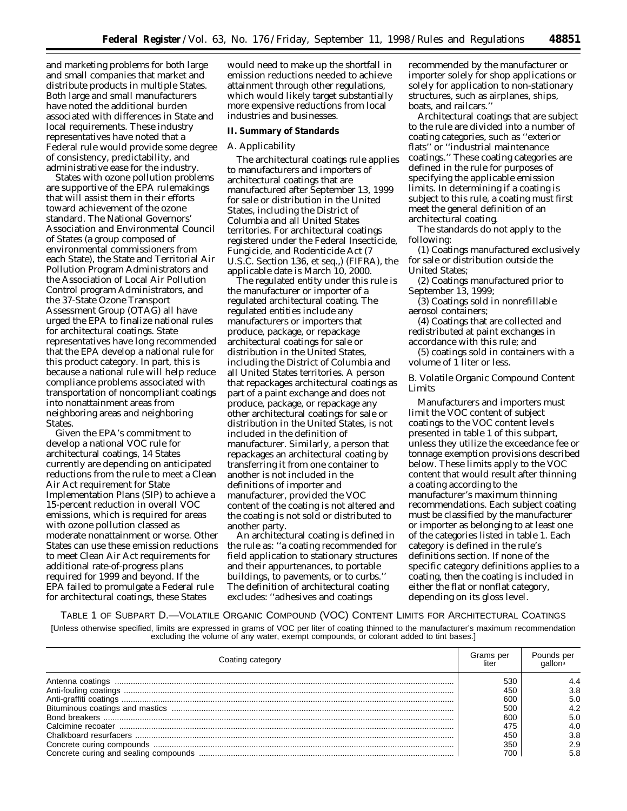and marketing problems for both large and small companies that market and distribute products in multiple States. Both large and small manufacturers have noted the additional burden associated with differences in State and local requirements. These industry representatives have noted that a Federal rule would provide some degree of consistency, predictability, and administrative ease for the industry.

States with ozone pollution problems are supportive of the EPA rulemakings that will assist them in their efforts toward achievement of the ozone standard. The National Governors' Association and Environmental Council of States (a group composed of environmental commissioners from each State), the State and Territorial Air Pollution Program Administrators and the Association of Local Air Pollution Control program Administrators, and the 37-State Ozone Transport Assessment Group (OTAG) all have urged the EPA to finalize national rules for architectural coatings. State representatives have long recommended that the EPA develop a national rule for this product category. In part, this is because a national rule will help reduce compliance problems associated with transportation of noncompliant coatings into nonattainment areas from neighboring areas and neighboring States.

Given the EPA's commitment to develop a national VOC rule for architectural coatings, 14 States currently are depending on anticipated reductions from the rule to meet a Clean Air Act requirement for State Implementation Plans (SIP) to achieve a 15-percent reduction in overall VOC emissions, which is required for areas with ozone pollution classed as moderate nonattainment or worse. Other States can use these emission reductions to meet Clean Air Act requirements for additional rate-of-progress plans required for 1999 and beyond. If the EPA failed to promulgate a Federal rule for architectural coatings, these States

would need to make up the shortfall in emission reductions needed to achieve attainment through other regulations, which would likely target substantially more expensive reductions from local industries and businesses.

#### **II. Summary of Standards**

# *A. Applicability*

The architectural coatings rule applies to manufacturers and importers of architectural coatings that are manufactured after September 13, 1999 for sale or distribution in the United States, including the District of Columbia and all United States territories. For architectural coatings registered under the Federal Insecticide, Fungicide, and Rodenticide Act (7 U.S.C. Section 136, *et seq.*,) (FIFRA), the applicable date is March 10, 2000.

The regulated entity under this rule is the manufacturer or importer of a regulated architectural coating. The regulated entities include any manufacturers or importers that produce, package, or repackage architectural coatings for sale or distribution in the United States. including the District of Columbia and all United States territories. A person that repackages architectural coatings as part of a paint exchange and does not produce, package, or repackage any other architectural coatings for sale or distribution in the United States, is not included in the definition of manufacturer. Similarly, a person that repackages an architectural coating by transferring it from one container to another is not included in the definitions of importer and manufacturer, provided the VOC content of the coating is not altered and the coating is not sold or distributed to another party.

An architectural coating is defined in the rule as: ''a coating recommended for field application to stationary structures and their appurtenances, to portable buildings, to pavements, or to curbs.'' The definition of architectural coating excludes: ''adhesives and coatings

recommended by the manufacturer or importer solely for shop applications or solely for application to non-stationary structures, such as airplanes, ships, boats, and railcars.''

Architectural coatings that are subject to the rule are divided into a number of coating categories, such as ''exterior flats'' or ''industrial maintenance coatings.'' These coating categories are defined in the rule for purposes of specifying the applicable emission limits. In determining if a coating is subject to this rule, a coating must first meet the general definition of an architectural coating.

The standards do not apply to the following:

(1) Coatings manufactured exclusively for sale or distribution outside the United States;

(2) Coatings manufactured prior to September 13, 1999;

(3) Coatings sold in nonrefillable aerosol containers;

(4) Coatings that are collected and redistributed at paint exchanges in accordance with this rule; and

(5) coatings sold in containers with a volume of 1 liter or less.

# *B. Volatile Organic Compound Content Limits*

Manufacturers and importers must limit the VOC content of subject coatings to the VOC content levels presented in table 1 of this subpart, unless they utilize the exceedance fee or tonnage exemption provisions described below. These limits apply to the VOC content that would result after thinning a coating according to the manufacturer's maximum thinning recommendations. Each subject coating must be classified by the manufacturer or importer as belonging to at least one of the categories listed in table 1. Each category is defined in the rule's definitions section. If none of the specific category definitions applies to a coating, then the coating is included in either the flat or nonflat category, depending on its gloss level.

TABLE 1 OF SUBPART D.—VOLATILE ORGANIC COMPOUND (VOC) CONTENT LIMITS FOR ARCHITECTURAL COATINGS

[Unless otherwise specified, limits are expressed in grams of VOC per liter of coating thinned to the manufacturer's maximum recommendation excluding the volume of any water, exempt compounds, or colorant added to tint bases.]

| Coating category | Grams per<br>liter | Pounds per |
|------------------|--------------------|------------|
|                  | 530                |            |
|                  | 450                | 3.8        |
|                  | 600                | 5.0        |
|                  | 500                | 4.2        |
|                  | 600                | 5.0        |
|                  | 475                | 4.0        |
|                  | 450                | 3.8        |
|                  | 350                | 2.9        |
|                  | 700                | 5.8        |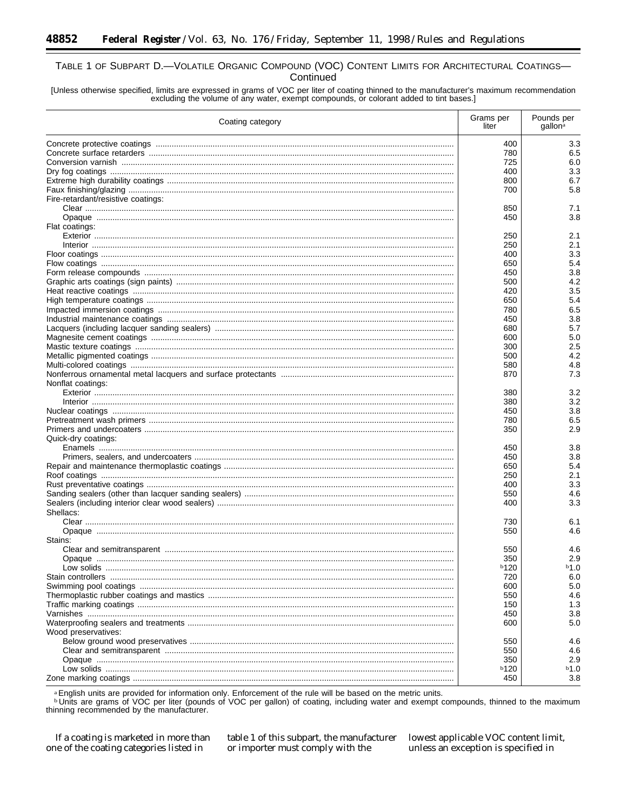# TABLE 1 OF SUBPART D.-VOLATILE ORGANIC COMPOUND (VOC) CONTENT LIMITS FOR ARCHITECTURAL COATINGS-Continued

[Unless otherwise specified, limits are expressed in grams of VOC per liter of coating thinned to the manufacturer's maximum recommendation excluding the volume of any water, exempt compounds, or colorant added to tint bases.]

| Coating category                   |      | Pounds per<br>gallon <sup>a</sup> |
|------------------------------------|------|-----------------------------------|
|                                    | 400  | 3.3                               |
|                                    | 780  | 6.5                               |
|                                    | 725  | 6.0                               |
|                                    | 400  | 3.3                               |
|                                    | 800  | 6.7                               |
|                                    | 700  | 5.8                               |
| Fire-retardant/resistive coatings: |      |                                   |
|                                    | 850  | 7.1                               |
|                                    | 450  | 3.8                               |
| Flat coatings:                     |      |                                   |
|                                    | 250  | 2.1                               |
|                                    | 250  | 2.1                               |
|                                    | 400  | 3.3                               |
|                                    | 650  | 5.4                               |
|                                    | 450  | 3.8                               |
|                                    | 500  | 4.2                               |
|                                    | 420  | 3.5                               |
|                                    | 650  | 5.4                               |
|                                    | 780  | 6.5                               |
|                                    | 450  | 3.8                               |
|                                    | 680  | 5.7                               |
|                                    | 600  | 5.0                               |
|                                    | 300  | 2.5                               |
|                                    | 500  | 4.2                               |
|                                    | 580  | 4.8                               |
|                                    | 870  | 7.3                               |
| Nonflat coatings:                  |      |                                   |
|                                    | 380  | 3.2                               |
|                                    | 380  | 3.2                               |
|                                    | 450  | 3.8                               |
|                                    | 780  | 6.5                               |
|                                    | 350  | 2.9                               |
| Quick-dry coatings:                |      |                                   |
|                                    | 450  | 3.8                               |
|                                    | 450  | 3.8                               |
|                                    | 650  | 5.4                               |
|                                    | 250  | 2.1                               |
|                                    | 400  | 3.3                               |
|                                    | 550  | 4.6                               |
|                                    | 400  | 3.3                               |
| Shellacs:                          |      |                                   |
|                                    | 730  | 6.1                               |
|                                    | 550  | 4.6                               |
| Stains:                            |      |                                   |
|                                    | 550  | 4.6                               |
|                                    | 350  | 2.9                               |
| Low solids                         | b120 | b1.0                              |
|                                    | 720  | 6.0                               |
|                                    | 600  | 5.0                               |
|                                    | 550  | 4.6                               |
|                                    | 150  | 1.3                               |
|                                    | 450  | 3.8                               |
|                                    | 600  | 5.0                               |
| Wood preservatives:                |      |                                   |
|                                    | 550  | 4.6                               |
|                                    | 550  | 4.6                               |
|                                    | 350  | 2.9                               |
|                                    | b120 | b1.0                              |
|                                    | 450  | 3.8                               |

<sup>a</sup> English units are provided for information only. Enforcement of the rule will be based on the metric units.<br><sup>b</sup> Units are grams of VOC per liter (pounds of VOC per gallon) of coating, including water and exempt compoun thinning recommended by the manufacturer.

If a coating is marketed in more than one of the coating categories listed in

table 1 of this subpart, the manufacturer or importer must comply with the

lowest applicable VOC content limit, unless an exception is specified in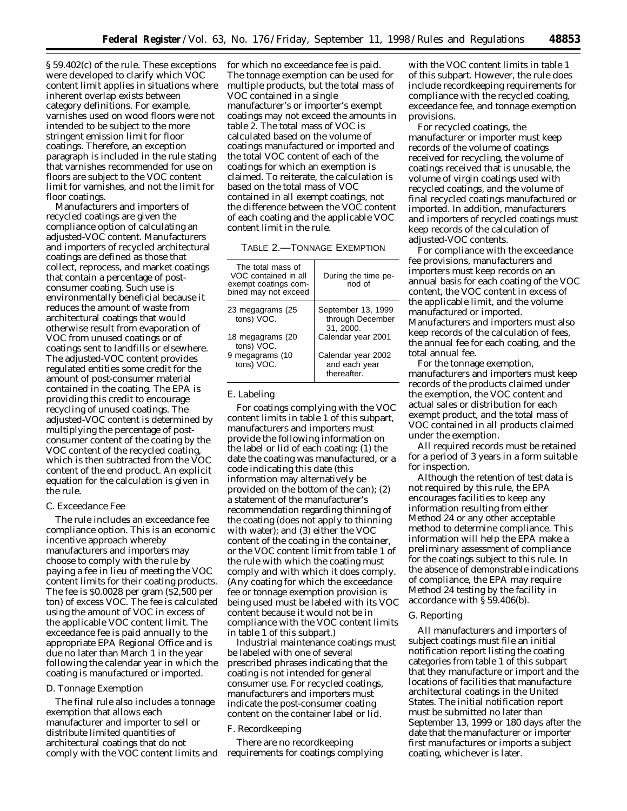§ 59.402(c) of the rule. These exceptions were developed to clarify which VOC content limit applies in situations where inherent overlap exists between category definitions. For example, varnishes used on wood floors were not intended to be subject to the more stringent emission limit for floor coatings. Therefore, an exception paragraph is included in the rule stating that varnishes recommended for use on floors are subject to the VOC content limit for varnishes, and not the limit for floor coatings.

Manufacturers and importers of recycled coatings are given the compliance option of calculating an adjusted-VOC content. Manufacturers and importers of recycled architectural coatings are defined as those that collect, reprocess, and market coatings that contain a percentage of postconsumer coating. Such use is environmentally beneficial because it reduces the amount of waste from architectural coatings that would otherwise result from evaporation of VOC from unused coatings or of coatings sent to landfills or elsewhere. The adjusted-VOC content provides regulated entities some credit for the amount of post-consumer material contained in the coating. The EPA is providing this credit to encourage recycling of unused coatings. The adjusted-VOC content is determined by multiplying the percentage of postconsumer content of the coating by the VOC content of the recycled coating, which is then subtracted from the VOC content of the end product. An explicit equation for the calculation is given in the rule.

## *C. Exceedance Fee*

The rule includes an exceedance fee compliance option. This is an economic incentive approach whereby manufacturers and importers may choose to comply with the rule by paying a fee in lieu of meeting the VOC content limits for their coating products. The fee is \$0.0028 per gram (\$2,500 per ton) of excess VOC. The fee is calculated using the amount of VOC in excess of the applicable VOC content limit. The exceedance fee is paid annually to the appropriate EPA Regional Office and is due no later than March 1 in the year following the calendar year in which the coating is manufactured or imported.

#### *D. Tonnage Exemption*

The final rule also includes a tonnage exemption that allows each manufacturer and importer to sell or distribute limited quantities of architectural coatings that do not comply with the VOC content limits and for which no exceedance fee is paid. The tonnage exemption can be used for multiple products, but the total mass of VOC contained in a single manufacturer's or importer's exempt coatings may not exceed the amounts in table 2. The total mass of VOC is calculated based on the volume of coatings manufactured or imported and the total VOC content of each of the coatings for which an exemption is claimed. To reiterate, the calculation is based on the total mass of VOC contained in all exempt coatings, not the difference between the VOC content of each coating and the applicable VOC content limit in the rule.

| TABLE 2.—TONNAGE EXEMPTION |  |
|----------------------------|--|
|----------------------------|--|

| The total mass of<br>VOC contained in all<br>exempt coatings com-<br>bined may not exceed | During the time pe-<br>riod of                     |
|-------------------------------------------------------------------------------------------|----------------------------------------------------|
| 23 megagrams (25<br>tons) VOC.                                                            | September 13, 1999<br>through December<br>31.2000. |
| 18 megagrams (20<br>tons) VOC.                                                            | Calendar year 2001                                 |
| 9 megagrams (10<br>tons) VOC.                                                             | Calendar year 2002<br>and each year<br>thereafter. |

# *E. Labeling*

For coatings complying with the VOC content limits in table 1 of this subpart, manufacturers and importers must provide the following information on the label or lid of each coating: (1) the date the coating was manufactured, or a code indicating this date (this information may alternatively be provided on the bottom of the can); (2) a statement of the manufacturer's recommendation regarding thinning of the coating (does not apply to thinning with water); and (3) either the VOC content of the coating in the container, or the VOC content limit from table 1 of the rule with which the coating must comply and with which it does comply. (Any coating for which the exceedance fee or tonnage exemption provision is being used must be labeled with its VOC content because it would not be in compliance with the VOC content limits in table 1 of this subpart.)

Industrial maintenance coatings must be labeled with one of several prescribed phrases indicating that the coating is not intended for general consumer use. For recycled coatings, manufacturers and importers must indicate the post-consumer coating content on the container label or lid.

### *F. Recordkeeping*

There are no recordkeeping requirements for coatings complying

with the VOC content limits in table 1 of this subpart. However, the rule does include recordkeeping requirements for compliance with the recycled coating, exceedance fee, and tonnage exemption provisions.

For recycled coatings, the manufacturer or importer must keep records of the volume of coatings received for recycling, the volume of coatings received that is unusable, the volume of virgin coatings used with recycled coatings, and the volume of final recycled coatings manufactured or imported. In addition, manufacturers and importers of recycled coatings must keep records of the calculation of adjusted-VOC contents.

For compliance with the exceedance fee provisions, manufacturers and importers must keep records on an annual basis for each coating of the VOC content, the VOC content in excess of the applicable limit, and the volume manufactured or imported. Manufacturers and importers must also keep records of the calculation of fees, the annual fee for each coating, and the total annual fee.

For the tonnage exemption, manufacturers and importers must keep records of the products claimed under the exemption, the VOC content and actual sales or distribution for each exempt product, and the total mass of VOC contained in all products claimed under the exemption.

All required records must be retained for a period of 3 years in a form suitable for inspection.

Although the retention of test data is not required by this rule, the EPA encourages facilities to keep any information resulting from either Method 24 or any other acceptable method to determine compliance. This information will help the EPA make a preliminary assessment of compliance for the coatings subject to this rule. In the absence of demonstrable indications of compliance, the EPA may require Method 24 testing by the facility in accordance with § 59.406(b).

#### *G. Reporting*

All manufacturers and importers of subject coatings must file an initial notification report listing the coating categories from table 1 of this subpart that they manufacture or import and the locations of facilities that manufacture architectural coatings in the United States. The initial notification report must be submitted no later than September 13, 1999 or 180 days after the date that the manufacturer or importer first manufactures or imports a subject coating, whichever is later.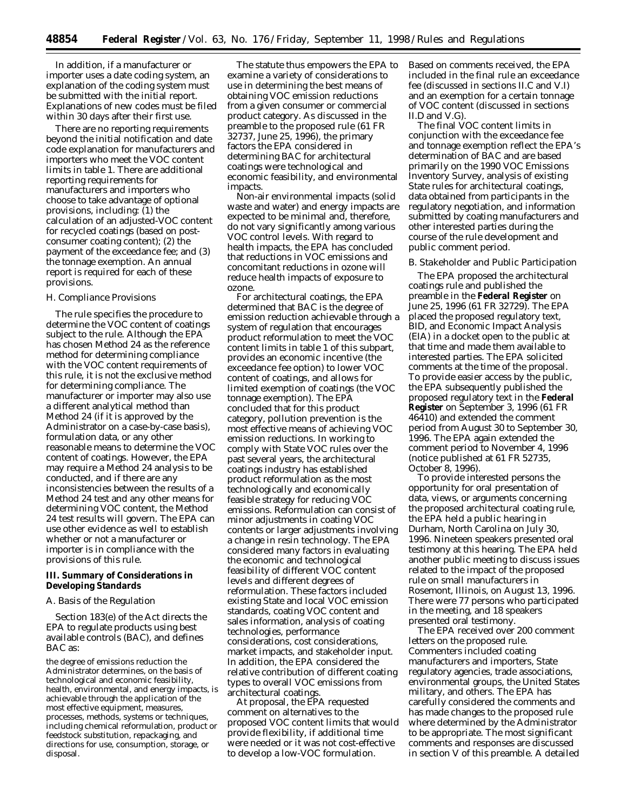In addition, if a manufacturer or importer uses a date coding system, an explanation of the coding system must be submitted with the initial report. Explanations of new codes must be filed within 30 days after their first use.

There are no reporting requirements beyond the initial notification and date code explanation for manufacturers and importers who meet the VOC content limits in table 1. There are additional reporting requirements for manufacturers and importers who choose to take advantage of optional provisions, including:  $(1)$  the calculation of an adjusted-VOC content for recycled coatings (based on postconsumer coating content); (2) the payment of the exceedance fee; and (3) the tonnage exemption. An annual report is required for each of these provisions.

# *H. Compliance Provisions*

The rule specifies the procedure to determine the VOC content of coatings subject to the rule. Although the EPA has chosen Method 24 as the reference method for determining compliance with the VOC content requirements of this rule, it is not the exclusive method for determining compliance. The manufacturer or importer may also use a different analytical method than Method 24 (if it is approved by the Administrator on a case-by-case basis), formulation data, or any other reasonable means to determine the VOC content of coatings. However, the EPA may require a Method 24 analysis to be conducted, and if there are any inconsistencies between the results of a Method 24 test and any other means for determining VOC content, the Method 24 test results will govern. The EPA can use other evidence as well to establish whether or not a manufacturer or importer is in compliance with the provisions of this rule.

# **III. Summary of Considerations in Developing Standards**

### *A. Basis of the Regulation*

Section 183(e) of the Act directs the EPA to regulate products using best available controls (BAC), and defines BAC as:

the degree of emissions reduction the Administrator determines, on the basis of technological and economic feasibility, health, environmental, and energy impacts, is achievable through the application of the most effective equipment, measures, processes, methods, systems or techniques, including chemical reformulation, product or feedstock substitution, repackaging, and directions for use, consumption, storage, or disposal.

The statute thus empowers the EPA to examine a variety of considerations to use in determining the best means of obtaining VOC emission reductions from a given consumer or commercial product category. As discussed in the preamble to the proposed rule (61 FR 32737, June 25, 1996), the primary factors the EPA considered in determining BAC for architectural coatings were technological and economic feasibility, and environmental impacts.

Non-air environmental impacts (solid waste and water) and energy impacts are expected to be minimal and, therefore, do not vary significantly among various VOC control levels. With regard to health impacts, the EPA has concluded that reductions in VOC emissions and concomitant reductions in ozone will reduce health impacts of exposure to ozone.

For architectural coatings, the EPA determined that BAC is the degree of emission reduction achievable through a system of regulation that encourages product reformulation to meet the VOC content limits in table 1 of this subpart, provides an economic incentive (the exceedance fee option) to lower VOC content of coatings, and allows for limited exemption of coatings (the VOC tonnage exemption). The EPA concluded that for this product category, pollution prevention is the most effective means of achieving VOC emission reductions. In working to comply with State VOC rules over the past several years, the architectural coatings industry has established product reformulation as the most technologically and economically feasible strategy for reducing VOC emissions. Reformulation can consist of minor adjustments in coating VOC contents or larger adjustments involving a change in resin technology. The EPA considered many factors in evaluating the economic and technological feasibility of different VOC content levels and different degrees of reformulation. These factors included existing State and local VOC emission standards, coating VOC content and sales information, analysis of coating technologies, performance considerations, cost considerations, market impacts, and stakeholder input. In addition, the EPA considered the relative contribution of different coating types to overall VOC emissions from architectural coatings.

At proposal, the EPA requested comment on alternatives to the proposed VOC content limits that would provide flexibility, if additional time were needed or it was not cost-effective to develop a low-VOC formulation.

Based on comments received, the EPA included in the final rule an exceedance fee (discussed in sections II.C and V.I) and an exemption for a certain tonnage of VOC content (discussed in sections II.D and V.G).

The final VOC content limits in conjunction with the exceedance fee and tonnage exemption reflect the EPA's determination of BAC and are based primarily on the 1990 VOC Emissions Inventory Survey, analysis of existing State rules for architectural coatings, data obtained from participants in the regulatory negotiation, and information submitted by coating manufacturers and other interested parties during the course of the rule development and public comment period.

### *B. Stakeholder and Public Participation*

The EPA proposed the architectural coatings rule and published the preamble in the **Federal Register** on June 25, 1996 (61 FR 32729). The EPA placed the proposed regulatory text, BID, and Economic Impact Analysis (EIA) in a docket open to the public at that time and made them available to interested parties. The EPA solicited comments at the time of the proposal. To provide easier access by the public, the EPA subsequently published the proposed regulatory text in the **Federal Register** on September 3, 1996 (61 FR 46410) and extended the comment period from August 30 to September 30, 1996. The EPA again extended the comment period to November 4, 1996 (notice published at 61 FR 52735, October 8, 1996).

To provide interested persons the opportunity for oral presentation of data, views, or arguments concerning the proposed architectural coating rule, the EPA held a public hearing in Durham, North Carolina on July 30, 1996. Nineteen speakers presented oral testimony at this hearing. The EPA held another public meeting to discuss issues related to the impact of the proposed rule on small manufacturers in Rosemont, Illinois, on August 13, 1996. There were 77 persons who participated in the meeting, and 18 speakers presented oral testimony.

The EPA received over 200 comment letters on the proposed rule. Commenters included coating manufacturers and importers, State regulatory agencies, trade associations, environmental groups, the United States military, and others. The EPA has carefully considered the comments and has made changes to the proposed rule where determined by the Administrator to be appropriate. The most significant comments and responses are discussed in section V of this preamble. A detailed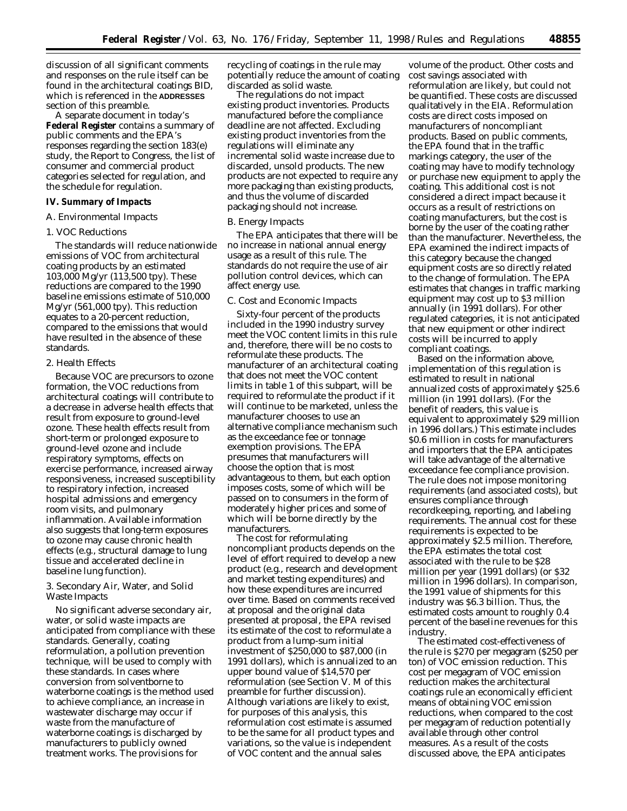discussion of all significant comments and responses on the rule itself can be found in the architectural coatings BID, which is referenced in the **ADDRESSES** section of this preamble.

A separate document in today's **Federal Register** contains a summary of public comments and the EPA's responses regarding the section 183(e) study, the Report to Congress, the list of consumer and commercial product categories selected for regulation, and the schedule for regulation.

# **IV. Summary of Impacts**

# *A. Environmental Impacts*

## 1. VOC Reductions

The standards will reduce nationwide emissions of VOC from architectural coating products by an estimated 103,000 Mg/yr (113,500 tpy). These reductions are compared to the 1990 baseline emissions estimate of 510,000 Mg/yr (561,000 tpy). This reduction equates to a 20-percent reduction, compared to the emissions that would have resulted in the absence of these standards.

# 2. Health Effects

Because VOC are precursors to ozone formation, the VOC reductions from architectural coatings will contribute to a decrease in adverse health effects that result from exposure to ground-level ozone. These health effects result from short-term or prolonged exposure to ground-level ozone and include respiratory symptoms, effects on exercise performance, increased airway responsiveness, increased susceptibility to respiratory infection, increased hospital admissions and emergency room visits, and pulmonary inflammation. Available information also suggests that long-term exposures to ozone may cause chronic health effects (e.g., structural damage to lung tissue and accelerated decline in baseline lung function).

# 3. Secondary Air, Water, and Solid Waste Impacts

No significant adverse secondary air, water, or solid waste impacts are anticipated from compliance with these standards. Generally, coating reformulation, a pollution prevention technique, will be used to comply with these standards. In cases where conversion from solventborne to waterborne coatings is the method used to achieve compliance, an increase in wastewater discharge may occur if waste from the manufacture of waterborne coatings is discharged by manufacturers to publicly owned treatment works. The provisions for

recycling of coatings in the rule may potentially reduce the amount of coating discarded as solid waste.

The regulations do not impact existing product inventories. Products manufactured before the compliance deadline are not affected. Excluding existing product inventories from the regulations will eliminate any incremental solid waste increase due to discarded, unsold products. The new products are not expected to require any more packaging than existing products, and thus the volume of discarded packaging should not increase.

### *B. Energy Impacts*

The EPA anticipates that there will be no increase in national annual energy usage as a result of this rule. The standards do not require the use of air pollution control devices, which can affect energy use.

#### *C. Cost and Economic Impacts*

Sixty-four percent of the products included in the 1990 industry survey meet the VOC content limits in this rule and, therefore, there will be no costs to reformulate these products. The manufacturer of an architectural coating that does not meet the VOC content limits in table 1 of this subpart, will be required to reformulate the product if it will continue to be marketed, unless the manufacturer chooses to use an alternative compliance mechanism such as the exceedance fee or tonnage exemption provisions. The EPA presumes that manufacturers will choose the option that is most advantageous to them, but each option imposes costs, some of which will be passed on to consumers in the form of moderately higher prices and some of which will be borne directly by the manufacturers.

The cost for reformulating noncompliant products depends on the level of effort required to develop a new product (e.g., research and development and market testing expenditures) and how these expenditures are incurred over time. Based on comments received at proposal and the original data presented at proposal, the EPA revised its estimate of the cost to reformulate a product from a lump-sum initial investment of \$250,000 to \$87,000 (in 1991 dollars), which is annualized to an upper bound value of \$14,570 per reformulation (see Section V. M of this preamble for further discussion). Although variations are likely to exist, for purposes of this analysis, this reformulation cost estimate is assumed to be the same for all product types and variations, so the value is independent of VOC content and the annual sales

volume of the product. Other costs and cost savings associated with reformulation are likely, but could not be quantified. These costs are discussed qualitatively in the EIA. Reformulation costs are direct costs imposed on manufacturers of noncompliant products. Based on public comments, the EPA found that in the traffic markings category, the user of the coating may have to modify technology or purchase new equipment to apply the coating. This additional cost is not considered a direct impact because it occurs as a result of restrictions on coating manufacturers, but the cost is borne by the user of the coating rather than the manufacturer. Nevertheless, the EPA examined the indirect impacts of this category because the changed equipment costs are so directly related to the change of formulation. The EPA estimates that changes in traffic marking equipment may cost up to \$3 million annually (in 1991 dollars). For other regulated categories, it is not anticipated that new equipment or other indirect costs will be incurred to apply compliant coatings.

Based on the information above, implementation of this regulation is estimated to result in national annualized costs of approximately \$25.6 million (in 1991 dollars). (For the benefit of readers, this value is equivalent to approximately \$29 million in 1996 dollars.) This estimate includes \$0.6 million in costs for manufacturers and importers that the EPA anticipates will take advantage of the alternative exceedance fee compliance provision. The rule does not impose monitoring requirements (and associated costs), but ensures compliance through recordkeeping, reporting, and labeling requirements. The annual cost for these requirements is expected to be approximately \$2.5 million. Therefore, the EPA estimates the total cost associated with the rule to be \$28 million per year (1991 dollars) (or \$32 million in 1996 dollars). In comparison, the 1991 value of shipments for this industry was \$6.3 billion. Thus, the estimated costs amount to roughly 0.4 percent of the baseline revenues for this industry.

The estimated cost-effectiveness of the rule is \$270 per megagram (\$250 per ton) of VOC emission reduction. This cost per megagram of VOC emission reduction makes the architectural coatings rule an economically efficient means of obtaining VOC emission reductions, when compared to the cost per megagram of reduction potentially available through other control measures. As a result of the costs discussed above, the EPA anticipates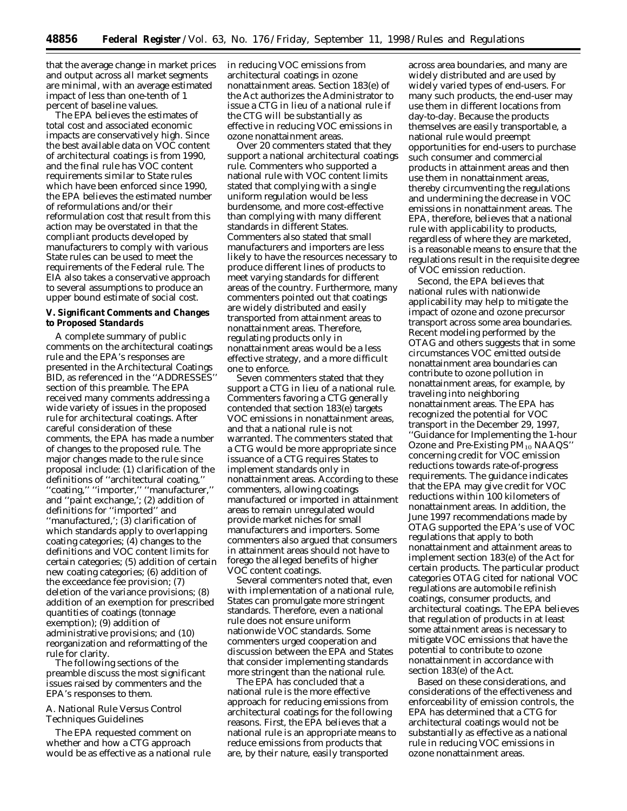that the average change in market prices and output across all market segments are minimal, with an average estimated impact of less than one-tenth of 1 percent of baseline values.

The EPA believes the estimates of total cost and associated economic impacts are conservatively high. Since the best available data on VOC content of architectural coatings is from 1990, and the final rule has VOC content requirements similar to State rules which have been enforced since 1990, the EPA believes the estimated number of reformulations and/or their reformulation cost that result from this action may be overstated in that the compliant products developed by manufacturers to comply with various State rules can be used to meet the requirements of the Federal rule. The EIA also takes a conservative approach to several assumptions to produce an upper bound estimate of social cost.

## **V. Significant Comments and Changes to Proposed Standards**

A complete summary of public comments on the architectural coatings rule and the EPA's responses are presented in the Architectural Coatings BID, as referenced in the ''ADDRESSES'' section of this preamble. The EPA received many comments addressing a wide variety of issues in the proposed rule for architectural coatings. After careful consideration of these comments, the EPA has made a number of changes to the proposed rule. The major changes made to the rule since proposal include: (1) clarification of the definitions of ''architectural coating,'' ''coating,'' ''importer,'' ''manufacturer,'' and ''paint exchange,'; (2) addition of definitions for ''imported'' and ''manufactured,'; (3) clarification of which standards apply to overlapping coating categories; (4) changes to the definitions and VOC content limits for certain categories; (5) addition of certain new coating categories; (6) addition of the exceedance fee provision; (7) deletion of the variance provisions; (8) addition of an exemption for prescribed quantities of coatings (tonnage exemption); (9) addition of administrative provisions; and (10) reorganization and reformatting of the rule for clarity.

The following sections of the preamble discuss the most significant issues raised by commenters and the EPA's responses to them.

## *A. National Rule Versus Control Techniques Guidelines*

The EPA requested comment on whether and how a CTG approach would be as effective as a national rule in reducing VOC emissions from architectural coatings in ozone nonattainment areas. Section 183(e) of the Act authorizes the Administrator to issue a CTG in lieu of a national rule if the CTG will be substantially as effective in reducing VOC emissions in ozone nonattainment areas.

Over 20 commenters stated that they support a national architectural coatings rule. Commenters who supported a national rule with VOC content limits stated that complying with a single uniform regulation would be less burdensome, and more cost-effective than complying with many different standards in different States. Commenters also stated that small manufacturers and importers are less likely to have the resources necessary to produce different lines of products to meet varying standards for different areas of the country. Furthermore, many commenters pointed out that coatings are widely distributed and easily transported from attainment areas to nonattainment areas. Therefore, regulating products only in nonattainment areas would be a less effective strategy, and a more difficult one to enforce.

Seven commenters stated that they support a CTG in lieu of a national rule. Commenters favoring a CTG generally contended that section 183(e) targets VOC emissions in nonattainment areas, and that a national rule is not warranted. The commenters stated that a CTG would be more appropriate since issuance of a CTG requires States to implement standards only in nonattainment areas. According to these commenters, allowing coatings manufactured or imported in attainment areas to remain unregulated would provide market niches for small manufacturers and importers. Some commenters also argued that consumers in attainment areas should not have to forego the alleged benefits of higher VOC content coatings.

Several commenters noted that, even with implementation of a national rule, States can promulgate more stringent standards. Therefore, even a national rule does not ensure uniform nationwide VOC standards. Some commenters urged cooperation and discussion between the EPA and States that consider implementing standards more stringent than the national rule.

The EPA has concluded that a national rule is the more effective approach for reducing emissions from architectural coatings for the following reasons. First, the EPA believes that a national rule is an appropriate means to reduce emissions from products that are, by their nature, easily transported

across area boundaries, and many are widely distributed and are used by widely varied types of end-users. For many such products, the end-user may use them in different locations from day-to-day. Because the products themselves are easily transportable, a national rule would preempt opportunities for end-users to purchase such consumer and commercial products in attainment areas and then use them in nonattainment areas, thereby circumventing the regulations and undermining the decrease in VOC emissions in nonattainment areas. The EPA, therefore, believes that a national rule with applicability to products, regardless of where they are marketed, is a reasonable means to ensure that the regulations result in the requisite degree of VOC emission reduction.

Second, the EPA believes that national rules with nationwide applicability may help to mitigate the impact of ozone and ozone precursor transport across some area boundaries. Recent modeling performed by the OTAG and others suggests that in some circumstances VOC emitted outside nonattainment area boundaries can contribute to ozone pollution in nonattainment areas, for example, by traveling into neighboring nonattainment areas. The EPA has recognized the potential for VOC transport in the December 29, 1997, ''Guidance for Implementing the 1-hour Ozone and Pre-Existing PM<sub>10</sub> NAAQS" concerning credit for VOC emission reductions towards rate-of-progress requirements. The guidance indicates that the EPA may give credit for VOC reductions within 100 kilometers of nonattainment areas. In addition, the June 1997 recommendations made by OTAG supported the EPA's use of VOC regulations that apply to both nonattainment and attainment areas to implement section 183(e) of the Act for certain products. The particular product categories OTAG cited for national VOC regulations are automobile refinish coatings, consumer products, and architectural coatings. The EPA believes that regulation of products in at least some attainment areas is necessary to mitigate VOC emissions that have the potential to contribute to ozone nonattainment in accordance with section 183(e) of the Act.

Based on these considerations, and considerations of the effectiveness and enforceability of emission controls, the EPA has determined that a CTG for architectural coatings would not be substantially as effective as a national rule in reducing VOC emissions in ozone nonattainment areas.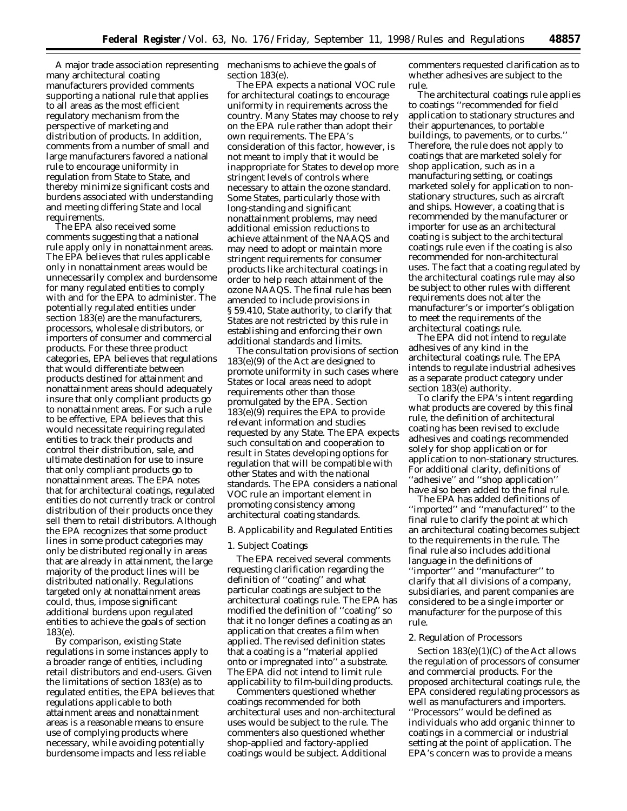A major trade association representing mechanisms to achieve the goals of many architectural coating manufacturers provided comments supporting a national rule that applies to all areas as the most efficient regulatory mechanism from the perspective of marketing and distribution of products. In addition, comments from a number of small and large manufacturers favored a national rule to encourage uniformity in regulation from State to State, and thereby minimize significant costs and burdens associated with understanding and meeting differing State and local requirements.

The EPA also received some comments suggesting that a national rule apply only in nonattainment areas. The EPA believes that rules applicable only in nonattainment areas would be unnecessarily complex and burdensome for many regulated entities to comply with and for the EPA to administer. The potentially regulated entities under section 183(e) are the manufacturers, processors, wholesale distributors, or importers of consumer and commercial products. For these three product categories, EPA believes that regulations that would differentiate between products destined for attainment and nonattainment areas should adequately insure that only compliant products go to nonattainment areas. For such a rule to be effective, EPA believes that this would necessitate requiring regulated entities to track their products and control their distribution, sale, and ultimate destination for use to insure that only compliant products go to nonattainment areas. The EPA notes that for architectural coatings, regulated entities do not currently track or control distribution of their products once they sell them to retail distributors. Although the EPA recognizes that some product lines in some product categories may only be distributed regionally in areas that are already in attainment, the large majority of the product lines will be distributed nationally. Regulations targeted only at nonattainment areas could, thus, impose significant additional burdens upon regulated entities to achieve the goals of section 183(e).

By comparison, existing State regulations in some instances apply to a broader range of entities, including retail distributors and end-users. Given the limitations of section 183(e) as to regulated entities, the EPA believes that regulations applicable to both attainment areas and nonattainment areas is a reasonable means to ensure use of complying products where necessary, while avoiding potentially burdensome impacts and less reliable

section 183(e).

The EPA expects a national VOC rule for architectural coatings to encourage uniformity in requirements across the country. Many States may choose to rely on the EPA rule rather than adopt their own requirements. The EPA's consideration of this factor, however, is not meant to imply that it would be inappropriate for States to develop more stringent levels of controls where necessary to attain the ozone standard. Some States, particularly those with long-standing and significant nonattainment problems, may need additional emission reductions to achieve attainment of the NAAQS and may need to adopt or maintain more stringent requirements for consumer products like architectural coatings in order to help reach attainment of the ozone NAAQS. The final rule has been amended to include provisions in § 59.410, State authority, to clarify that States are not restricted by this rule in establishing and enforcing their own additional standards and limits.

The consultation provisions of section 183(e)(9) of the Act are designed to promote uniformity in such cases where States or local areas need to adopt requirements other than those promulgated by the EPA. Section 183(e)(9) requires the EPA to provide relevant information and studies requested by any State. The EPA expects such consultation and cooperation to result in States developing options for regulation that will be compatible with other States and with the national standards. The EPA considers a national VOC rule an important element in promoting consistency among architectural coating standards.

### *B. Applicability and Regulated Entities*

### 1. Subject Coatings

The EPA received several comments requesting clarification regarding the definition of ''coating'' and what particular coatings are subject to the architectural coatings rule. The EPA has modified the definition of ''coating'' so that it no longer defines a coating as an application that creates a film when applied. The revised definition states that a coating is a ''material applied onto or impregnated into'' a substrate. The EPA did not intend to limit rule applicability to film-building products.

Commenters questioned whether coatings recommended for both architectural uses and non-architectural uses would be subject to the rule. The commenters also questioned whether shop-applied and factory-applied coatings would be subject. Additional

commenters requested clarification as to whether adhesives are subject to the rule.

The architectural coatings rule applies to coatings ''recommended for field application to stationary structures and their appurtenances, to portable buildings, to pavements, or to curbs.'' Therefore, the rule does not apply to coatings that are marketed solely for shop application, such as in a manufacturing setting, or coatings marketed solely for application to nonstationary structures, such as aircraft and ships. However, a coating that is recommended by the manufacturer or importer for use as an architectural coating is subject to the architectural coatings rule even if the coating is also recommended for non-architectural uses. The fact that a coating regulated by the architectural coatings rule may also be subject to other rules with different requirements does not alter the manufacturer's or importer's obligation to meet the requirements of the architectural coatings rule.

The EPA did not intend to regulate adhesives of any kind in the architectural coatings rule. The EPA intends to regulate industrial adhesives as a separate product category under section 183(e) authority.

To clarify the EPA's intent regarding what products are covered by this final rule, the definition of architectural coating has been revised to exclude adhesives and coatings recommended solely for shop application or for application to non-stationary structures. For additional clarity, definitions of ''adhesive'' and ''shop application'' have also been added to the final rule.

The EPA has added definitions of ''imported'' and ''manufactured'' to the final rule to clarify the point at which an architectural coating becomes subject to the requirements in the rule. The final rule also includes additional language in the definitions of ''importer'' and ''manufacturer'' to clarify that all divisions of a company, subsidiaries, and parent companies are considered to be a single importer or manufacturer for the purpose of this rule.

### 2. Regulation of Processors

Section 183(e)(1)(C) of the Act allows the regulation of processors of consumer and commercial products. For the proposed architectural coatings rule, the EPA considered regulating processors as well as manufacturers and importers. ''Processors'' would be defined as individuals who add organic thinner to coatings in a commercial or industrial setting at the point of application. The EPA's concern was to provide a means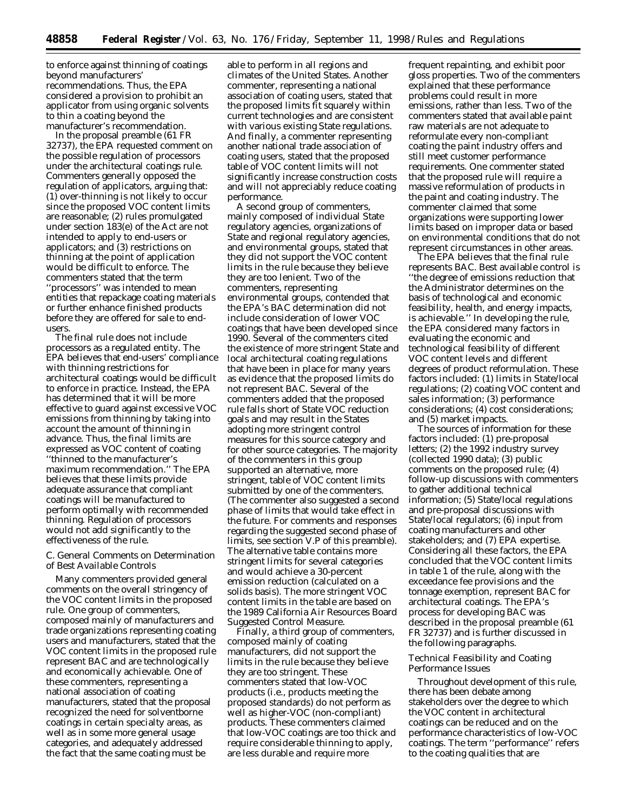to enforce against thinning of coatings beyond manufacturers' recommendations. Thus, the EPA considered a provision to prohibit an applicator from using organic solvents to thin a coating beyond the manufacturer's recommendation.

In the proposal preamble (61 FR 32737), the EPA requested comment on the possible regulation of processors under the architectural coatings rule. Commenters generally opposed the regulation of applicators, arguing that: (1) over-thinning is not likely to occur since the proposed VOC content limits are reasonable; (2) rules promulgated under section 183(e) of the Act are not intended to apply to end-users or applicators; and (3) restrictions on thinning at the point of application would be difficult to enforce. The commenters stated that the term ''processors'' was intended to mean entities that repackage coating materials or further enhance finished products before they are offered for sale to endusers.

The final rule does not include processors as a regulated entity. The EPA believes that end-users' compliance with thinning restrictions for architectural coatings would be difficult to enforce in practice. Instead, the EPA has determined that it will be more effective to guard against excessive VOC emissions from thinning by taking into account the amount of thinning in advance. Thus, the final limits are expressed as VOC content of coating ''thinned to the manufacturer's maximum recommendation.'' The EPA believes that these limits provide adequate assurance that compliant coatings will be manufactured to perform optimally with recommended thinning. Regulation of processors would not add significantly to the effectiveness of the rule.

# *C. General Comments on Determination of Best Available Controls*

Many commenters provided general comments on the overall stringency of the VOC content limits in the proposed rule. One group of commenters, composed mainly of manufacturers and trade organizations representing coating users and manufacturers, stated that the VOC content limits in the proposed rule represent BAC and are technologically and economically achievable. One of these commenters, representing a national association of coating manufacturers, stated that the proposal recognized the need for solventborne coatings in certain specialty areas, as well as in some more general usage categories, and adequately addressed the fact that the same coating must be

able to perform in all regions and climates of the United States. Another commenter, representing a national association of coating users, stated that the proposed limits fit squarely within current technologies and are consistent with various existing State regulations. And finally, a commenter representing another national trade association of coating users, stated that the proposed table of VOC content limits will not significantly increase construction costs and will not appreciably reduce coating performance.

A second group of commenters, mainly composed of individual State regulatory agencies, organizations of State and regional regulatory agencies, and environmental groups, stated that they did not support the VOC content limits in the rule because they believe they are too lenient. Two of the commenters, representing environmental groups, contended that the EPA's BAC determination did not include consideration of lower VOC coatings that have been developed since 1990. Several of the commenters cited the existence of more stringent State and local architectural coating regulations that have been in place for many years as evidence that the proposed limits do not represent BAC. Several of the commenters added that the proposed rule falls short of State VOC reduction goals and may result in the States adopting more stringent control measures for this source category and for other source categories. The majority of the commenters in this group supported an alternative, more stringent, table of VOC content limits submitted by one of the commenters. (The commenter also suggested a second phase of limits that would take effect in the future. For comments and responses regarding the suggested second phase of limits, see section V.P of this preamble). The alternative table contains more stringent limits for several categories and would achieve a 30-percent emission reduction (calculated on a solids basis). The more stringent VOC content limits in the table are based on the 1989 California Air Resources Board Suggested Control Measure.

Finally, a third group of commenters, composed mainly of coating manufacturers, did not support the limits in the rule because they believe they are too stringent. These commenters stated that low-VOC products (i.e., products meeting the proposed standards) do not perform as well as higher-VOC (non-compliant) products. These commenters claimed that low-VOC coatings are too thick and require considerable thinning to apply, are less durable and require more

frequent repainting, and exhibit poor gloss properties. Two of the commenters explained that these performance problems could result in more emissions, rather than less. Two of the commenters stated that available paint raw materials are not adequate to reformulate every non-compliant coating the paint industry offers and still meet customer performance requirements. One commenter stated that the proposed rule will require a massive reformulation of products in the paint and coating industry. The commenter claimed that some organizations were supporting lower limits based on improper data or based on environmental conditions that do not represent circumstances in other areas.

The EPA believes that the final rule represents BAC. Best available control is ''the degree of emissions reduction that the Administrator determines on the basis of technological and economic feasibility, health, and energy impacts, is achievable.'' In developing the rule, the EPA considered many factors in evaluating the economic and technological feasibility of different VOC content levels and different degrees of product reformulation. These factors included: (1) limits in State/local regulations; (2) coating VOC content and sales information; (3) performance considerations; (4) cost considerations; and (5) market impacts.

The sources of information for these factors included: (1) pre-proposal letters; (2) the 1992 industry survey (collected 1990 data); (3) public comments on the proposed rule; (4) follow-up discussions with commenters to gather additional technical information; (5) State/local regulations and pre-proposal discussions with State/local regulators; (6) input from coating manufacturers and other stakeholders; and (7) EPA expertise. Considering all these factors, the EPA concluded that the VOC content limits in table 1 of the rule, along with the exceedance fee provisions and the tonnage exemption, represent BAC for architectural coatings. The EPA's process for developing BAC was described in the proposal preamble (61 FR 32737) and is further discussed in the following paragraphs.

### Technical Feasibility and Coating Performance Issues

Throughout development of this rule, there has been debate among stakeholders over the degree to which the VOC content in architectural coatings can be reduced and on the performance characteristics of low-VOC coatings. The term ''performance'' refers to the coating qualities that are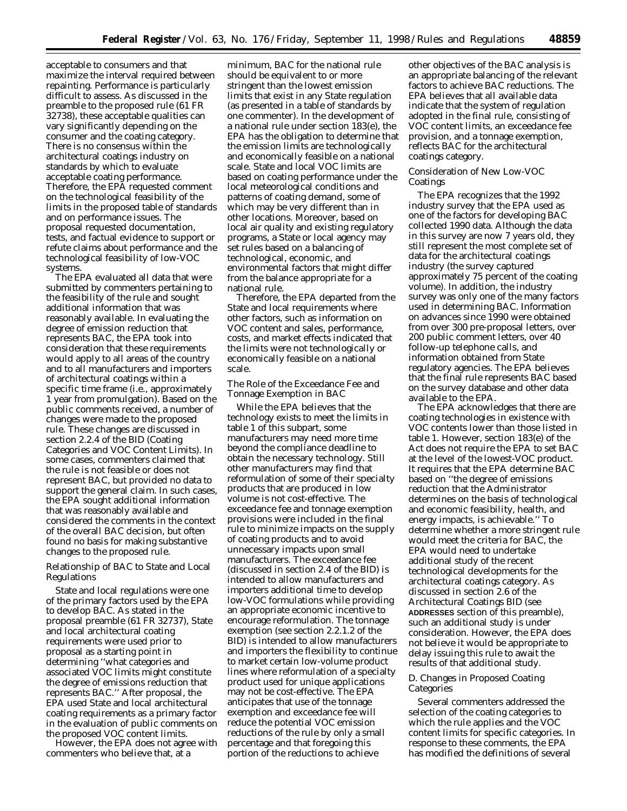acceptable to consumers and that maximize the interval required between repainting. Performance is particularly difficult to assess. As discussed in the preamble to the proposed rule (61 FR 32738), these acceptable qualities can vary significantly depending on the consumer and the coating category. There is no consensus within the architectural coatings industry on standards by which to evaluate acceptable coating performance. Therefore, the EPA requested comment on the technological feasibility of the limits in the proposed table of standards and on performance issues. The proposal requested documentation, tests, and factual evidence to support or refute claims about performance and the technological feasibility of low-VOC systems.

The EPA evaluated all data that were submitted by commenters pertaining to the feasibility of the rule and sought additional information that was reasonably available. In evaluating the degree of emission reduction that represents BAC, the EPA took into consideration that these requirements would apply to all areas of the country and to all manufacturers and importers of architectural coatings within a specific time frame (i.e., approximately 1 year from promulgation). Based on the public comments received, a number of changes were made to the proposed rule. These changes are discussed in section 2.2.4 of the BID (Coating Categories and VOC Content Limits). In some cases, commenters claimed that the rule is not feasible or does not represent BAC, but provided no data to support the general claim. In such cases, the EPA sought additional information that was reasonably available and considered the comments in the context of the overall BAC decision, but often found no basis for making substantive changes to the proposed rule.

# Relationship of BAC to State and Local Regulations

State and local regulations were one of the primary factors used by the EPA to develop BAC. As stated in the proposal preamble (61 FR 32737), State and local architectural coating requirements were used prior to proposal as a starting point in determining ''what categories and associated VOC limits might constitute the degree of emissions reduction that represents BAC.'' After proposal, the EPA used State and local architectural coating requirements as a primary factor in the evaluation of public comments on the proposed VOC content limits.

However, the EPA does not agree with commenters who believe that, at a

minimum, BAC for the national rule should be equivalent to or more stringent than the lowest emission limits that exist in any State regulation (as presented in a table of standards by one commenter). In the development of a national rule under section 183(e), the EPA has the obligation to determine that the emission limits are technologically and economically feasible on a national scale. State and local VOC limits are based on coating performance under the local meteorological conditions and patterns of coating demand, some of which may be very different than in other locations. Moreover, based on local air quality and existing regulatory programs, a State or local agency may set rules based on a balancing of technological, economic, and environmental factors that might differ from the balance appropriate for a national rule.

Therefore, the EPA departed from the State and local requirements where other factors, such as information on VOC content and sales, performance, costs, and market effects indicated that the limits were not technologically or economically feasible on a national scale.

The Role of the Exceedance Fee and Tonnage Exemption in BAC

While the EPA believes that the technology exists to meet the limits in table 1 of this subpart, some manufacturers may need more time beyond the compliance deadline to obtain the necessary technology. Still other manufacturers may find that reformulation of some of their specialty products that are produced in low volume is not cost-effective. The exceedance fee and tonnage exemption provisions were included in the final rule to minimize impacts on the supply of coating products and to avoid unnecessary impacts upon small manufacturers. The exceedance fee (discussed in section 2.4 of the BID) is intended to allow manufacturers and importers additional time to develop low-VOC formulations while providing an appropriate economic incentive to encourage reformulation. The tonnage exemption (see section 2.2.1.2 of the BID) is intended to allow manufacturers and importers the flexibility to continue to market certain low-volume product lines where reformulation of a specialty product used for unique applications may not be cost-effective. The EPA anticipates that use of the tonnage exemption and exceedance fee will reduce the potential VOC emission reductions of the rule by only a small percentage and that foregoing this portion of the reductions to achieve

other objectives of the BAC analysis is an appropriate balancing of the relevant factors to achieve BAC reductions. The EPA believes that all available data indicate that the system of regulation adopted in the final rule, consisting of VOC content limits, an exceedance fee provision, and a tonnage exemption, reflects BAC for the architectural coatings category.

#### Consideration of New Low-VOC Coatings

The EPA recognizes that the 1992 industry survey that the EPA used as one of the factors for developing BAC collected 1990 data. Although the data in this survey are now 7 years old, they still represent the most complete set of data for the architectural coatings industry (the survey captured approximately 75 percent of the coating volume). In addition, the industry survey was only one of the many factors used in determining BAC. Information on advances since 1990 were obtained from over 300 pre-proposal letters, over 200 public comment letters, over 40 follow-up telephone calls, and information obtained from State regulatory agencies. The EPA believes that the final rule represents BAC based on the survey database and other data available to the EPA.

The EPA acknowledges that there are coating technologies in existence with VOC contents lower than those listed in table 1. However, section 183(e) of the Act does not require the EPA to set BAC at the level of the lowest-VOC product. It requires that the EPA determine BAC based on ''the degree of emissions reduction that the Administrator determines on the basis of technological and economic feasibility, health, and energy impacts, is achievable.'' To determine whether a more stringent rule would meet the criteria for BAC, the EPA would need to undertake additional study of the recent technological developments for the architectural coatings category. As discussed in section 2.6 of the Architectural Coatings BID (see **ADDRESSES** section of this preamble), such an additional study is under consideration. However, the EPA does not believe it would be appropriate to delay issuing this rule to await the results of that additional study.

# *D. Changes in Proposed Coating Categories*

Several commenters addressed the selection of the coating categories to which the rule applies and the VOC content limits for specific categories. In response to these comments, the EPA has modified the definitions of several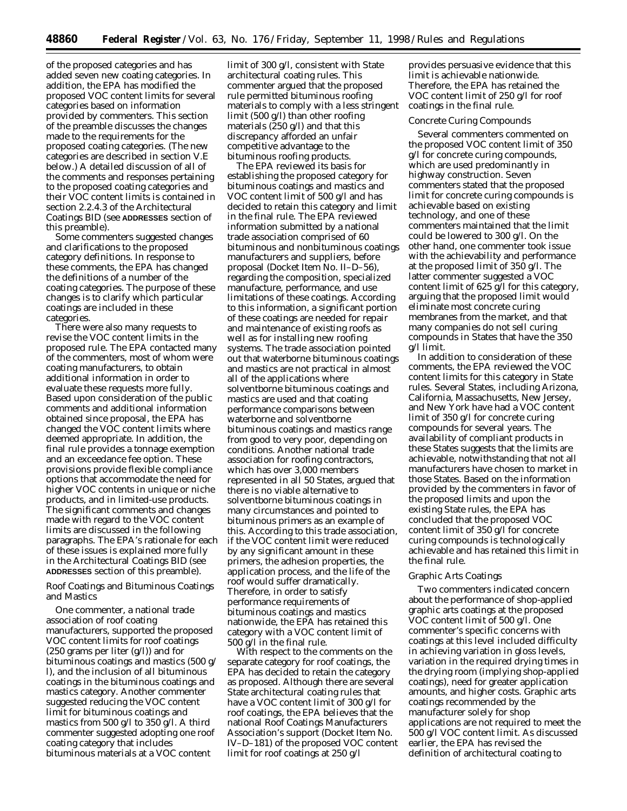of the proposed categories and has added seven new coating categories. In addition, the EPA has modified the proposed VOC content limits for several categories based on information provided by commenters. This section of the preamble discusses the changes made to the requirements for the proposed coating categories. (The new categories are described in section V.E below.) A detailed discussion of all of the comments and responses pertaining to the proposed coating categories and their VOC content limits is contained in section 2.2.4.3 of the Architectural Coatings BID (see **ADDRESSES** section of this preamble).

Some commenters suggested changes and clarifications to the proposed category definitions. In response to these comments, the EPA has changed the definitions of a number of the coating categories. The purpose of these changes is to clarify which particular coatings are included in these categories.

There were also many requests to revise the VOC content limits in the proposed rule. The EPA contacted many of the commenters, most of whom were coating manufacturers, to obtain additional information in order to evaluate these requests more fully. Based upon consideration of the public comments and additional information obtained since proposal, the EPA has changed the VOC content limits where deemed appropriate. In addition, the final rule provides a tonnage exemption and an exceedance fee option. These provisions provide flexible compliance options that accommodate the need for higher VOC contents in unique or niche products, and in limited-use products. The significant comments and changes made with regard to the VOC content limits are discussed in the following paragraphs. The EPA's rationale for each of these issues is explained more fully in the Architectural Coatings BID (see **ADDRESSES** section of this preamble).

Roof Coatings and Bituminous Coatings and Mastics

One commenter, a national trade association of roof coating manufacturers, supported the proposed VOC content limits for roof coatings  $(250 \text{ grams per liter (g/l)})$  and for bituminous coatings and mastics (500 g/ l), and the inclusion of all bituminous coatings in the bituminous coatings and mastics category. Another commenter suggested reducing the VOC content limit for bituminous coatings and mastics from 500 g/l to 350 g/l. A third commenter suggested adopting one roof coating category that includes bituminous materials at a VOC content

limit of 300 g/l, consistent with State architectural coating rules. This commenter argued that the proposed rule permitted bituminous roofing materials to comply with a less stringent limit (500 g/l) than other roofing materials (250 g/l) and that this discrepancy afforded an unfair competitive advantage to the bituminous roofing products.

The EPA reviewed its basis for establishing the proposed category for bituminous coatings and mastics and VOC content limit of 500 g/l and has decided to retain this category and limit in the final rule. The EPA reviewed information submitted by a national trade association comprised of 60 bituminous and nonbituminous coatings manufacturers and suppliers, before proposal (Docket Item No. II–D–56), regarding the composition, specialized manufacture, performance, and use limitations of these coatings. According to this information, a significant portion of these coatings are needed for repair and maintenance of existing roofs as well as for installing new roofing systems. The trade association pointed out that waterborne bituminous coatings and mastics are not practical in almost all of the applications where solventborne bituminous coatings and mastics are used and that coating performance comparisons between waterborne and solventborne bituminous coatings and mastics range from good to very poor, depending on conditions. Another national trade association for roofing contractors, which has over 3,000 members represented in all 50 States, argued that there is no viable alternative to solventborne bituminous coatings in many circumstances and pointed to bituminous primers as an example of this. According to this trade association, if the VOC content limit were reduced by any significant amount in these primers, the adhesion properties, the application process, and the life of the roof would suffer dramatically. Therefore, in order to satisfy performance requirements of bituminous coatings and mastics nationwide, the EPA has retained this category with a VOC content limit of 500 g/l in the final rule.

With respect to the comments on the separate category for roof coatings, the EPA has decided to retain the category as proposed. Although there are several State architectural coating rules that have a VOC content limit of 300 g/l for roof coatings, the EPA believes that the national Roof Coatings Manufacturers Association's support (Docket Item No. IV–D–181) of the proposed VOC content limit for roof coatings at 250 g/l

provides persuasive evidence that this limit is achievable nationwide. Therefore, the EPA has retained the VOC content limit of 250 g/l for roof coatings in the final rule.

#### Concrete Curing Compounds

Several commenters commented on the proposed VOC content limit of 350 g/l for concrete curing compounds, which are used predominantly in highway construction. Seven commenters stated that the proposed limit for concrete curing compounds is achievable based on existing technology, and one of these commenters maintained that the limit could be lowered to 300 g/l. On the other hand, one commenter took issue with the achievability and performance at the proposed limit of 350 g/l. The latter commenter suggested a VOC content limit of 625 g/l for this category, arguing that the proposed limit would eliminate most concrete curing membranes from the market, and that many companies do not sell curing compounds in States that have the 350 g/l limit.

In addition to consideration of these comments, the EPA reviewed the VOC content limits for this category in State rules. Several States, including Arizona, California, Massachusetts, New Jersey, and New York have had a VOC content limit of 350 g/l for concrete curing compounds for several years. The availability of compliant products in these States suggests that the limits are achievable, notwithstanding that not all manufacturers have chosen to market in those States. Based on the information provided by the commenters in favor of the proposed limits and upon the existing State rules, the EPA has concluded that the proposed VOC content limit of 350 g/l for concrete curing compounds is technologically achievable and has retained this limit in the final rule.

### Graphic Arts Coatings

Two commenters indicated concern about the performance of shop-applied graphic arts coatings at the proposed VOC content limit of 500 g/l. One commenter's specific concerns with coatings at this level included difficulty in achieving variation in gloss levels, variation in the required drying times in the drying room (implying shop-applied coatings), need for greater application amounts, and higher costs. Graphic arts coatings recommended by the manufacturer solely for shop applications are not required to meet the 500 g/l VOC content limit. As discussed earlier, the EPA has revised the definition of architectural coating to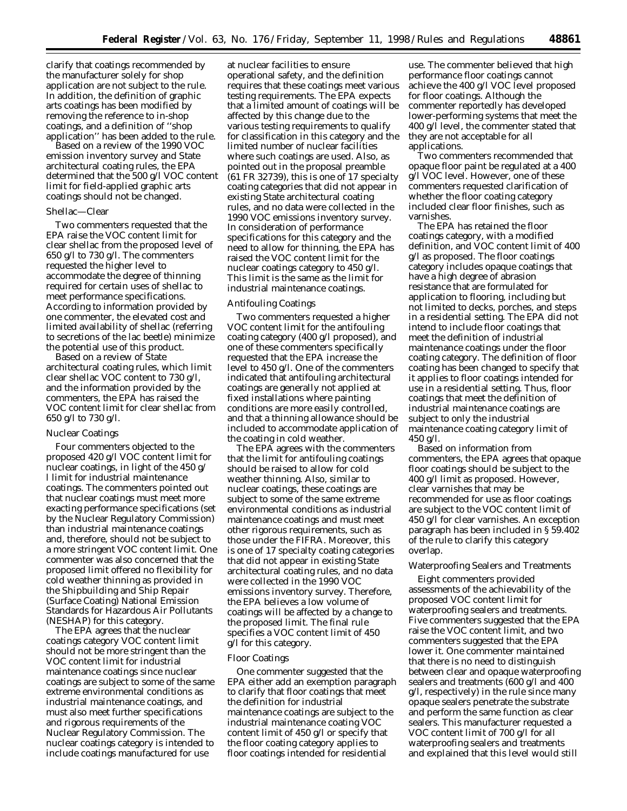clarify that coatings recommended by the manufacturer solely for shop application are not subject to the rule. In addition, the definition of graphic arts coatings has been modified by removing the reference to in-shop coatings, and a definition of ''shop application'' has been added to the rule.

Based on a review of the 1990 VOC emission inventory survey and State architectural coating rules, the EPA determined that the 500 g/l VOC content limit for field-applied graphic arts coatings should not be changed.

#### Shellac—Clear

Two commenters requested that the EPA raise the VOC content limit for clear shellac from the proposed level of 650 g/l to 730 g/l. The commenters requested the higher level to accommodate the degree of thinning required for certain uses of shellac to meet performance specifications. According to information provided by one commenter, the elevated cost and limited availability of shellac (referring to secretions of the lac beetle) minimize the potential use of this product.

Based on a review of State architectural coating rules, which limit clear shellac VOC content to 730 g/l, and the information provided by the commenters, the EPA has raised the VOC content limit for clear shellac from 650 g/l to 730 g/l.

#### Nuclear Coatings

Four commenters objected to the proposed 420 g/l VOC content limit for nuclear coatings, in light of the 450 g/ l limit for industrial maintenance coatings. The commenters pointed out that nuclear coatings must meet more exacting performance specifications (set by the Nuclear Regulatory Commission) than industrial maintenance coatings and, therefore, should not be subject to a more stringent VOC content limit. One commenter was also concerned that the proposed limit offered no flexibility for cold weather thinning as provided in the Shipbuilding and Ship Repair (Surface Coating) National Emission Standards for Hazardous Air Pollutants (NESHAP) for this category.

The EPA agrees that the nuclear coatings category VOC content limit should not be more stringent than the VOC content limit for industrial maintenance coatings since nuclear coatings are subject to some of the same extreme environmental conditions as industrial maintenance coatings, and must also meet further specifications and rigorous requirements of the Nuclear Regulatory Commission. The nuclear coatings category is intended to include coatings manufactured for use

at nuclear facilities to ensure operational safety, and the definition requires that these coatings meet various testing requirements. The EPA expects that a limited amount of coatings will be affected by this change due to the various testing requirements to qualify for classification in this category and the limited number of nuclear facilities where such coatings are used. Also, as pointed out in the proposal preamble (61 FR 32739), this is one of 17 specialty coating categories that did not appear in existing State architectural coating rules, and no data were collected in the 1990 VOC emissions inventory survey. In consideration of performance specifications for this category and the need to allow for thinning, the EPA has raised the VOC content limit for the nuclear coatings category to 450 g/l. This limit is the same as the limit for industrial maintenance coatings.

#### Antifouling Coatings

Two commenters requested a higher VOC content limit for the antifouling coating category (400 g/l proposed), and one of these commenters specifically requested that the EPA increase the level to 450 g/l. One of the commenters indicated that antifouling architectural coatings are generally not applied at fixed installations where painting conditions are more easily controlled, and that a thinning allowance should be included to accommodate application of the coating in cold weather.

The EPA agrees with the commenters that the limit for antifouling coatings should be raised to allow for cold weather thinning. Also, similar to nuclear coatings, these coatings are subject to some of the same extreme environmental conditions as industrial maintenance coatings and must meet other rigorous requirements, such as those under the FIFRA. Moreover, this is one of 17 specialty coating categories that did not appear in existing State architectural coating rules, and no data were collected in the 1990 VOC emissions inventory survey. Therefore, the EPA believes a low volume of coatings will be affected by a change to the proposed limit. The final rule specifies a VOC content limit of 450 g/l for this category.

### Floor Coatings

One commenter suggested that the EPA either add an exemption paragraph to clarify that floor coatings that meet the definition for industrial maintenance coatings are subject to the industrial maintenance coating VOC content limit of 450 g/l or specify that the floor coating category applies to floor coatings intended for residential

use. The commenter believed that high performance floor coatings cannot achieve the 400 g/l VOC level proposed for floor coatings. Although the commenter reportedly has developed lower-performing systems that meet the 400 g/l level, the commenter stated that they are not acceptable for all applications.

Two commenters recommended that opaque floor paint be regulated at a 400 g/l VOC level. However, one of these commenters requested clarification of whether the floor coating category included clear floor finishes, such as varnishes.

The EPA has retained the floor coatings category, with a modified definition, and VOC content limit of 400 g/l as proposed. The floor coatings category includes opaque coatings that have a high degree of abrasion resistance that are formulated for application to flooring, including but not limited to decks, porches, and steps in a residential setting. The EPA did not intend to include floor coatings that meet the definition of industrial maintenance coatings under the floor coating category. The definition of floor coating has been changed to specify that it applies to floor coatings intended for use in a residential setting. Thus, floor coatings that meet the definition of industrial maintenance coatings are subject to only the industrial maintenance coating category limit of  $450$  g/l.

Based on information from commenters, the EPA agrees that opaque floor coatings should be subject to the 400 g/l limit as proposed. However, clear varnishes that may be recommended for use as floor coatings are subject to the VOC content limit of 450 g/l for clear varnishes. An exception paragraph has been included in § 59.402 of the rule to clarify this category overlap.

#### Waterproofing Sealers and Treatments

Eight commenters provided assessments of the achievability of the proposed VOC content limit for waterproofing sealers and treatments. Five commenters suggested that the EPA raise the VOC content limit, and two commenters suggested that the EPA lower it. One commenter maintained that there is no need to distinguish between clear and opaque waterproofing sealers and treatments (600 g/l and 400 g/l, respectively) in the rule since many opaque sealers penetrate the substrate and perform the same function as clear sealers. This manufacturer requested a VOC content limit of 700 g/l for all waterproofing sealers and treatments and explained that this level would still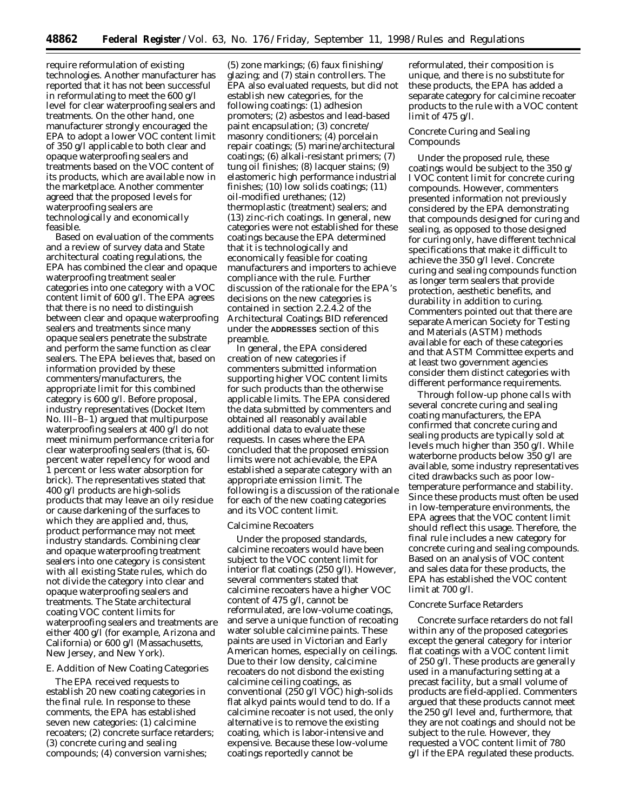require reformulation of existing technologies. Another manufacturer has reported that it has not been successful in reformulating to meet the 600 g/l level for clear waterproofing sealers and treatments. On the other hand, one manufacturer strongly encouraged the EPA to adopt a lower VOC content limit of 350 g/l applicable to both clear and opaque waterproofing sealers and treatments based on the VOC content of its products, which are available now in the marketplace. Another commenter agreed that the proposed levels for waterproofing sealers are technologically and economically feasible.

Based on evaluation of the comments and a review of survey data and State architectural coating regulations, the EPA has combined the clear and opaque waterproofing treatment sealer categories into one category with a VOC content limit of 600 g/l. The EPA agrees that there is no need to distinguish between clear and opaque waterproofing sealers and treatments since many opaque sealers penetrate the substrate and perform the same function as clear sealers. The EPA believes that, based on information provided by these commenters/manufacturers, the appropriate limit for this combined category is 600 g/l. Before proposal, industry representatives (Docket Item No. III–B–1) argued that multipurpose waterproofing sealers at 400 g/l do not meet minimum performance criteria for clear waterproofing sealers (that is, 60 percent water repellency for wood and 1 percent or less water absorption for brick). The representatives stated that 400 g/l products are high-solids products that may leave an oily residue or cause darkening of the surfaces to which they are applied and, thus, product performance may not meet industry standards. Combining clear and opaque waterproofing treatment sealers into one category is consistent with all existing State rules, which do not divide the category into clear and opaque waterproofing sealers and treatments. The State architectural coating VOC content limits for waterproofing sealers and treatments are either 400 g/l (for example, Arizona and California) or 600 g/l (Massachusetts, New Jersey, and New York).

## *E. Addition of New Coating Categories*

The EPA received requests to establish 20 new coating categories in the final rule. In response to these comments, the EPA has established seven new categories: (1) calcimine recoaters; (2) concrete surface retarders; (3) concrete curing and sealing compounds; (4) conversion varnishes;

(5) zone markings; (6) faux finishing/ glazing; and (7) stain controllers. The EPA also evaluated requests, but did not establish new categories, for the following coatings: (1) adhesion promoters; (2) asbestos and lead-based paint encapsulation; (3) concrete/ masonry conditioners; (4) porcelain repair coatings; (5) marine/architectural coatings; (6) alkali-resistant primers; (7) tung oil finishes; (8) lacquer stains; (9) elastomeric high performance industrial finishes; (10) low solids coatings; (11) oil-modified urethanes; (12) thermoplastic (treatment) sealers; and (13) zinc-rich coatings. In general, new categories were not established for these coatings because the EPA determined that it is technologically and economically feasible for coating manufacturers and importers to achieve compliance with the rule. Further discussion of the rationale for the EPA's decisions on the new categories is contained in section 2.2.4.2 of the Architectural Coatings BID referenced under the **ADDRESSES** section of this preamble.

In general, the EPA considered creation of new categories if commenters submitted information supporting higher VOC content limits for such products than the otherwise applicable limits. The EPA considered the data submitted by commenters and obtained all reasonably available additional data to evaluate these requests. In cases where the EPA concluded that the proposed emission limits were not achievable, the EPA established a separate category with an appropriate emission limit. The following is a discussion of the rationale for each of the new coating categories and its VOC content limit.

#### Calcimine Recoaters

Under the proposed standards, calcimine recoaters would have been subject to the VOC content limit for interior flat coatings (250 g/l). However, several commenters stated that calcimine recoaters have a higher VOC content of 475 g/l, cannot be reformulated, are low-volume coatings, and serve a unique function of recoating water soluble calcimine paints. These paints are used in Victorian and Early American homes, especially on ceilings. Due to their low density, calcimine recoaters do not disbond the existing calcimine ceiling coatings, as conventional (250 g/l VOC) high-solids flat alkyd paints would tend to do. If a calcimine recoater is not used, the only alternative is to remove the existing coating, which is labor-intensive and expensive. Because these low-volume coatings reportedly cannot be

reformulated, their composition is unique, and there is no substitute for these products, the EPA has added a separate category for calcimine recoater products to the rule with a VOC content limit of 475 g/l.

## Concrete Curing and Sealing Compounds

Under the proposed rule, these coatings would be subject to the 350 g/ l VOC content limit for concrete curing compounds. However, commenters presented information not previously considered by the EPA demonstrating that compounds designed for curing and sealing, as opposed to those designed for curing only, have different technical specifications that make it difficult to achieve the 350 g/l level. Concrete curing and sealing compounds function as longer term sealers that provide protection, aesthetic benefits, and durability in addition to curing. Commenters pointed out that there are separate American Society for Testing and Materials (ASTM) methods available for each of these categories and that ASTM Committee experts and at least two government agencies consider them distinct categories with different performance requirements.

Through follow-up phone calls with several concrete curing and sealing coating manufacturers, the EPA confirmed that concrete curing and sealing products are typically sold at levels much higher than 350 g/l. While waterborne products below 350 g/l are available, some industry representatives cited drawbacks such as poor lowtemperature performance and stability. Since these products must often be used in low-temperature environments, the EPA agrees that the VOC content limit should reflect this usage. Therefore, the final rule includes a new category for concrete curing and sealing compounds. Based on an analysis of VOC content and sales data for these products, the EPA has established the VOC content limit at 700 g/l.

### Concrete Surface Retarders

Concrete surface retarders do not fall within any of the proposed categories except the general category for interior flat coatings with a VOC content limit of 250 g/l. These products are generally used in a manufacturing setting at a precast facility, but a small volume of products are field-applied. Commenters argued that these products cannot meet the 250 g/l level and, furthermore, that they are not coatings and should not be subject to the rule. However, they requested a VOC content limit of 780 g/l if the EPA regulated these products.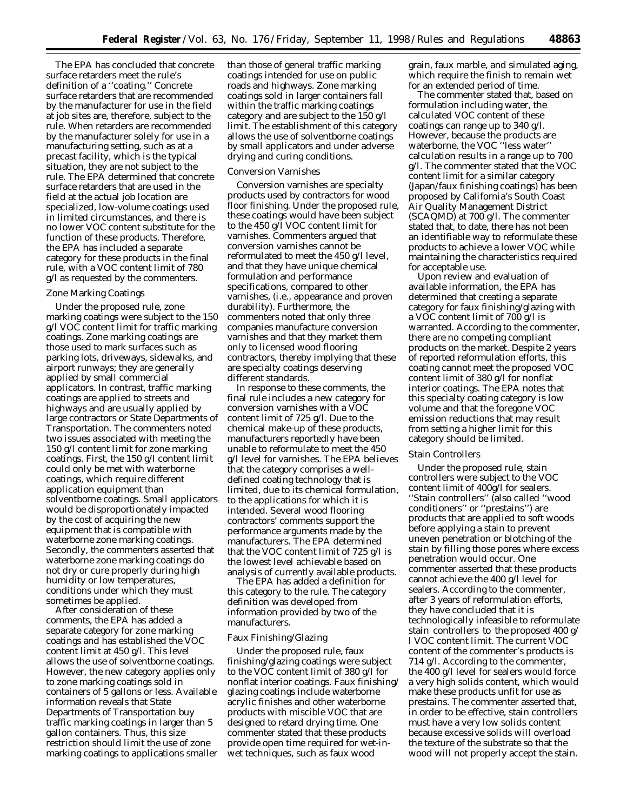The EPA has concluded that concrete surface retarders meet the rule's definition of a ''coating.'' Concrete surface retarders that are recommended by the manufacturer for use in the field at job sites are, therefore, subject to the rule. When retarders are recommended by the manufacturer solely for use in a manufacturing setting, such as at a precast facility, which is the typical situation, they are not subject to the rule. The EPA determined that concrete surface retarders that are used in the field at the actual job location are specialized, low-volume coatings used in limited circumstances, and there is no lower VOC content substitute for the function of these products. Therefore, the EPA has included a separate category for these products in the final rule, with a VOC content limit of 780 g/l as requested by the commenters.

#### Zone Marking Coatings

Under the proposed rule, zone marking coatings were subject to the 150 g/l VOC content limit for traffic marking coatings. Zone marking coatings are those used to mark surfaces such as parking lots, driveways, sidewalks, and airport runways; they are generally applied by small commercial applicators. In contrast, traffic marking coatings are applied to streets and highways and are usually applied by large contractors or State Departments of Transportation. The commenters noted two issues associated with meeting the 150 g/l content limit for zone marking coatings. First, the 150 g/l content limit could only be met with waterborne coatings, which require different application equipment than solventborne coatings. Small applicators would be disproportionately impacted by the cost of acquiring the new equipment that is compatible with waterborne zone marking coatings. Secondly, the commenters asserted that waterborne zone marking coatings do not dry or cure properly during high humidity or low temperatures, conditions under which they must sometimes be applied.

After consideration of these comments, the EPA has added a separate category for zone marking coatings and has established the VOC content limit at 450 g/l. This level allows the use of solventborne coatings. However, the new category applies only to zone marking coatings sold in containers of 5 gallons or less. Available information reveals that State Departments of Transportation buy traffic marking coatings in larger than 5 gallon containers. Thus, this size restriction should limit the use of zone marking coatings to applications smaller

than those of general traffic marking coatings intended for use on public roads and highways. Zone marking coatings sold in larger containers fall within the traffic marking coatings category and are subject to the 150 g/l limit. The establishment of this category allows the use of solventborne coatings by small applicators and under adverse drying and curing conditions.

#### Conversion Varnishes

Conversion varnishes are specialty products used by contractors for wood floor finishing. Under the proposed rule, these coatings would have been subject to the 450 g/l VOC content limit for varnishes. Commenters argued that conversion varnishes cannot be reformulated to meet the 450 g/l level, and that they have unique chemical formulation and performance specifications, compared to other varnishes, (i.e., appearance and proven durability). Furthermore, the commenters noted that only three companies manufacture conversion varnishes and that they market them only to licensed wood flooring contractors, thereby implying that these are specialty coatings deserving different standards.

In response to these comments, the final rule includes a new category for conversion varnishes with a VOC content limit of 725 g/l. Due to the chemical make-up of these products, manufacturers reportedly have been unable to reformulate to meet the 450 g/l level for varnishes. The EPA believes that the category comprises a welldefined coating technology that is limited, due to its chemical formulation, to the applications for which it is intended. Several wood flooring contractors' comments support the performance arguments made by the manufacturers. The EPA determined that the VOC content limit of 725 g/l is the lowest level achievable based on analysis of currently available products.

The EPA has added a definition for this category to the rule. The category definition was developed from information provided by two of the manufacturers.

### Faux Finishing/Glazing

Under the proposed rule, faux finishing/glazing coatings were subject to the VOC content limit of 380 g/l for nonflat interior coatings. Faux finishing/ glazing coatings include waterborne acrylic finishes and other waterborne products with miscible VOC that are designed to retard drying time. One commenter stated that these products provide open time required for wet-inwet techniques, such as faux wood

grain, faux marble, and simulated aging, which require the finish to remain wet for an extended period of time.

The commenter stated that, based on formulation including water, the calculated VOC content of these coatings can range up to 340 g/l. However, because the products are waterborne, the VOC ''less water'' calculation results in a range up to 700 g/l. The commenter stated that the VOC content limit for a similar category (Japan/faux finishing coatings) has been proposed by California's South Coast Air Quality Management District (SCAQMD) at 700 g/l. The commenter stated that, to date, there has not been an identifiable way to reformulate these products to achieve a lower VOC while maintaining the characteristics required for acceptable use.

Upon review and evaluation of available information, the EPA has determined that creating a separate category for faux finishing/glazing with a VOC content limit of 700 g/l is warranted. According to the commenter, there are no competing compliant products on the market. Despite 2 years of reported reformulation efforts, this coating cannot meet the proposed VOC content limit of 380 g/l for nonflat interior coatings. The EPA notes that this specialty coating category is low volume and that the foregone VOC emission reductions that may result from setting a higher limit for this category should be limited.

### Stain Controllers

Under the proposed rule, stain controllers were subject to the VOC content limit of 400g/l for sealers. ''Stain controllers'' (also called ''wood conditioners'' or ''prestains'') are products that are applied to soft woods before applying a stain to prevent uneven penetration or blotching of the stain by filling those pores where excess penetration would occur. One commenter asserted that these products cannot achieve the 400 g/l level for sealers. According to the commenter, after 3 years of reformulation efforts, they have concluded that it is technologically infeasible to reformulate stain controllers to the proposed 400 g/ l VOC content limit. The current VOC content of the commenter's products is 714 g/l. According to the commenter, the 400 g/l level for sealers would force a very high solids content, which would make these products unfit for use as prestains. The commenter asserted that, in order to be effective, stain controllers must have a very low solids content because excessive solids will overload the texture of the substrate so that the wood will not properly accept the stain.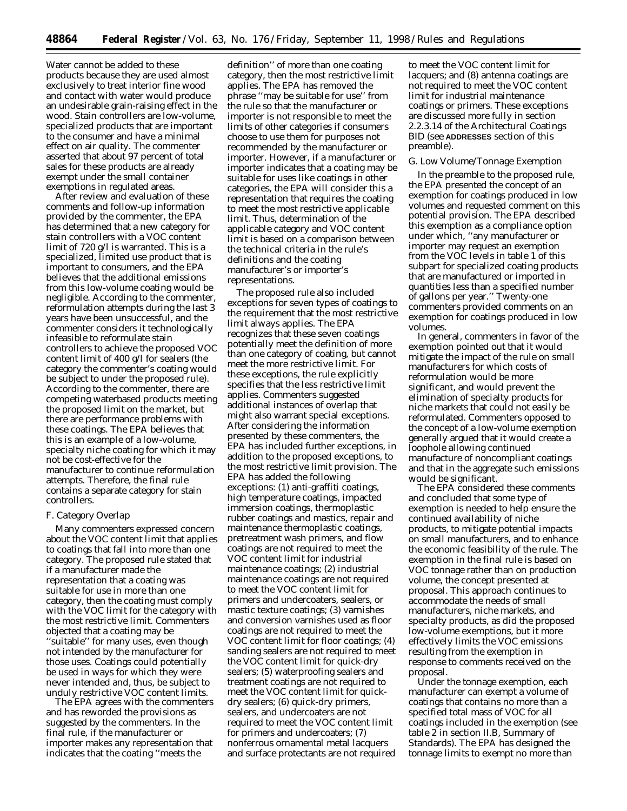Water cannot be added to these products because they are used almost exclusively to treat interior fine wood and contact with water would produce an undesirable grain-raising effect in the wood. Stain controllers are low-volume, specialized products that are important to the consumer and have a minimal effect on air quality. The commenter asserted that about 97 percent of total sales for these products are already exempt under the small container exemptions in regulated areas.

After review and evaluation of these comments and follow-up information provided by the commenter, the EPA has determined that a new category for stain controllers with a VOC content limit of 720 g/l is warranted. This is a specialized, limited use product that is important to consumers, and the EPA believes that the additional emissions from this low-volume coating would be negligible. According to the commenter, reformulation attempts during the last 3 years have been unsuccessful, and the commenter considers it technologically infeasible to reformulate stain controllers to achieve the proposed VOC content limit of 400 g/l for sealers (the category the commenter's coating would be subject to under the proposed rule). According to the commenter, there are competing waterbased products meeting the proposed limit on the market, but there are performance problems with these coatings. The EPA believes that this is an example of a low-volume, specialty niche coating for which it may not be cost-effective for the manufacturer to continue reformulation attempts. Therefore, the final rule contains a separate category for stain controllers.

## *F. Category Overlap*

Many commenters expressed concern about the VOC content limit that applies to coatings that fall into more than one category. The proposed rule stated that if a manufacturer made the representation that a coating was suitable for use in more than one category, then the coating must comply with the VOC limit for the category with the most restrictive limit. Commenters objected that a coating may be ''suitable'' for many uses, even though not intended by the manufacturer for those uses. Coatings could potentially be used in ways for which they were never intended and, thus, be subject to unduly restrictive VOC content limits.

The EPA agrees with the commenters and has reworded the provisions as suggested by the commenters. In the final rule, if the manufacturer or importer makes any representation that indicates that the coating ''meets the

definition'' of more than one coating category, then the most restrictive limit applies. The EPA has removed the phrase ''may be suitable for use'' from the rule so that the manufacturer or importer is not responsible to meet the limits of other categories if consumers choose to use them for purposes not recommended by the manufacturer or importer. However, if a manufacturer or importer indicates that a coating may be suitable for uses like coatings in other categories, the EPA will consider this a representation that requires the coating to meet the most restrictive applicable limit. Thus, determination of the applicable category and VOC content limit is based on a comparison between the technical criteria in the rule's definitions and the coating manufacturer's or importer's representations.

The proposed rule also included exceptions for seven types of coatings to the requirement that the most restrictive limit always applies. The EPA recognizes that these seven coatings potentially meet the definition of more than one category of coating, but cannot meet the more restrictive limit. For these exceptions, the rule explicitly specifies that the less restrictive limit applies. Commenters suggested additional instances of overlap that might also warrant special exceptions. After considering the information presented by these commenters, the EPA has included further exceptions, in addition to the proposed exceptions, to the most restrictive limit provision. The EPA has added the following exceptions: (1) anti-graffiti coatings, high temperature coatings, impacted immersion coatings, thermoplastic rubber coatings and mastics, repair and maintenance thermoplastic coatings, pretreatment wash primers, and flow coatings are not required to meet the VOC content limit for industrial maintenance coatings; (2) industrial maintenance coatings are not required to meet the VOC content limit for primers and undercoaters, sealers, or mastic texture coatings; (3) varnishes and conversion varnishes used as floor coatings are not required to meet the VOC content limit for floor coatings; (4) sanding sealers are not required to meet the VOC content limit for quick-dry sealers; (5) waterproofing sealers and treatment coatings are not required to meet the VOC content limit for quickdry sealers; (6) quick-dry primers, sealers, and undercoaters are not required to meet the VOC content limit for primers and undercoaters; (7) nonferrous ornamental metal lacquers and surface protectants are not required

to meet the VOC content limit for lacquers; and (8) antenna coatings are not required to meet the VOC content limit for industrial maintenance coatings or primers. These exceptions are discussed more fully in section 2.2.3.14 of the Architectural Coatings BID (see **ADDRESSES** section of this preamble).

### *G. Low Volume/Tonnage Exemption*

In the preamble to the proposed rule, the EPA presented the concept of an exemption for coatings produced in low volumes and requested comment on this potential provision. The EPA described this exemption as a compliance option under which, ''any manufacturer or importer may request an exemption from the VOC levels in table 1 of this subpart for specialized coating products that are manufactured or imported in quantities less than a specified number of gallons per year.'' Twenty-one commenters provided comments on an exemption for coatings produced in low volumes.

In general, commenters in favor of the exemption pointed out that it would mitigate the impact of the rule on small manufacturers for which costs of reformulation would be more significant, and would prevent the elimination of specialty products for niche markets that could not easily be reformulated. Commenters opposed to the concept of a low-volume exemption generally argued that it would create a loophole allowing continued manufacture of noncompliant coatings and that in the aggregate such emissions would be significant.

The EPA considered these comments and concluded that some type of exemption is needed to help ensure the continued availability of niche products, to mitigate potential impacts on small manufacturers, and to enhance the economic feasibility of the rule. The exemption in the final rule is based on VOC tonnage rather than on production volume, the concept presented at proposal. This approach continues to accommodate the needs of small manufacturers, niche markets, and specialty products, as did the proposed low-volume exemptions, but it more effectively limits the VOC emissions resulting from the exemption in response to comments received on the proposal.

Under the tonnage exemption, each manufacturer can exempt a volume of coatings that contains no more than a specified total mass of VOC for all coatings included in the exemption (see table 2 in section II.B, Summary of Standards). The EPA has designed the tonnage limits to exempt no more than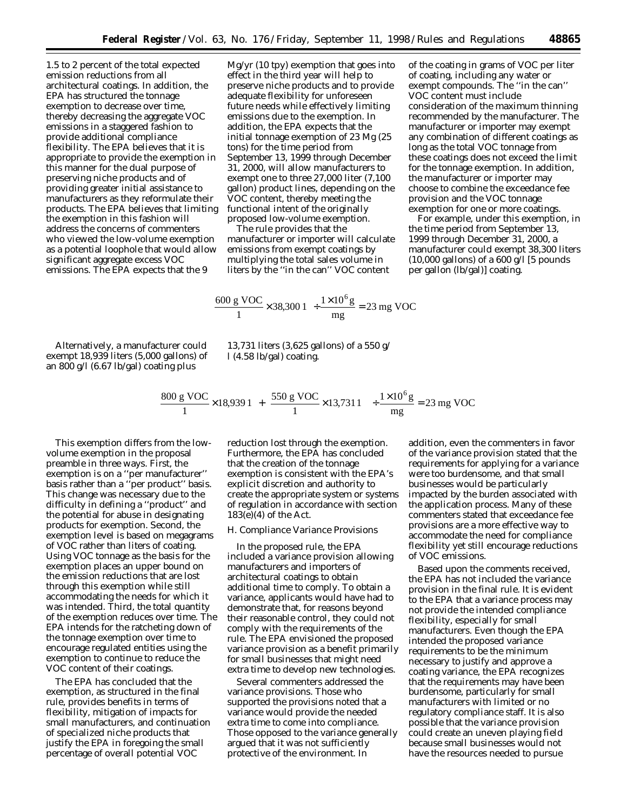1.5 to 2 percent of the total expected emission reductions from all architectural coatings. In addition, the EPA has structured the tonnage exemption to decrease over time, thereby decreasing the aggregate VOC emissions in a staggered fashion to provide additional compliance flexibility. The EPA believes that it is appropriate to provide the exemption in this manner for the dual purpose of preserving niche products and of providing greater initial assistance to manufacturers as they reformulate their products. The EPA believes that limiting the exemption in this fashion will address the concerns of commenters who viewed the low-volume exemption as a potential loophole that would allow significant aggregate excess VOC emissions. The EPA expects that the 9

Mg/yr (10 tpy) exemption that goes into effect in the third year will help to preserve niche products and to provide adequate flexibility for unforeseen future needs while effectively limiting emissions due to the exemption. In addition, the EPA expects that the initial tonnage exemption of 23 Mg (25 tons) for the time period from September 13, 1999 through December 31, 2000, will allow manufacturers to exempt one to three 27,000 liter (7,100 gallon) product lines, depending on the VOC content, thereby meeting the functional intent of the originally proposed low-volume exemption.

The rule provides that the manufacturer or importer will calculate emissions from exempt coatings by multiplying the total sales volume in liters by the ''in the can'' VOC content

of the coating in grams of VOC per liter of coating, including any water or exempt compounds. The ''in the can'' VOC content must include consideration of the maximum thinning recommended by the manufacturer. The manufacturer or importer may exempt any combination of different coatings as long as the total VOC tonnage from these coatings does not exceed the limit for the tonnage exemption. In addition, the manufacturer or importer may choose to combine the exceedance fee provision and the VOC tonnage exemption for one or more coatings.

For example, under this exemption, in the time period from September 13, 1999 through December 31, 2000, a manufacturer could exempt 38,300 liters (10,000 gallons) of a 600 g/l [5 pounds per gallon (lb/gal)] coating.

$$
\left(\frac{600 \text{ g VOC}}{1} \times 38,300 \text{ l}\right) \div \frac{1 \times 10^6 \text{ g}}{\text{mg}} = 23 \text{ mg VOC}
$$

Alternatively, a manufacturer could exempt 18,939 liters (5,000 gallons) of an 800 g/l (6.67 lb/gal) coating plus

13,731 liters (3,625 gallons) of a 550 g/ l (4.58 lb/gal) coating.

$$
\left[ \left( \frac{800 \text{ g VOC}}{1} \times 18,9391 \right) + \left( \frac{550 \text{ g VOC}}{1} \times 13,7311 \right) \right] + \frac{1 \times 10^6 \text{ g}}{\text{mg}} = 23 \text{ mg VOC}
$$

This exemption differs from the lowvolume exemption in the proposal preamble in three ways. First, the exemption is on a ''per manufacturer'' basis rather than a ''per product'' basis. This change was necessary due to the difficulty in defining a ''product'' and the potential for abuse in designating products for exemption. Second, the exemption level is based on megagrams of VOC rather than liters of coating. Using VOC tonnage as the basis for the exemption places an upper bound on the emission reductions that are lost through this exemption while still accommodating the needs for which it was intended. Third, the total quantity of the exemption reduces over time. The EPA intends for the ratcheting down of the tonnage exemption over time to encourage regulated entities using the exemption to continue to reduce the VOC content of their coatings.

The EPA has concluded that the exemption, as structured in the final rule, provides benefits in terms of flexibility, mitigation of impacts for small manufacturers, and continuation of specialized niche products that justify the EPA in foregoing the small percentage of overall potential VOC

reduction lost through the exemption. Furthermore, the EPA has concluded that the creation of the tonnage exemption is consistent with the EPA's explicit discretion and authority to create the appropriate system or systems of regulation in accordance with section 183(e)(4) of the Act.

## *H. Compliance Variance Provisions*

In the proposed rule, the EPA included a variance provision allowing manufacturers and importers of architectural coatings to obtain additional time to comply. To obtain a variance, applicants would have had to demonstrate that, for reasons beyond their reasonable control, they could not comply with the requirements of the rule. The EPA envisioned the proposed variance provision as a benefit primarily for small businesses that might need extra time to develop new technologies.

Several commenters addressed the variance provisions. Those who supported the provisions noted that a variance would provide the needed extra time to come into compliance. Those opposed to the variance generally argued that it was not sufficiently protective of the environment. In

addition, even the commenters in favor of the variance provision stated that the requirements for applying for a variance were too burdensome, and that small businesses would be particularly impacted by the burden associated with the application process. Many of these commenters stated that exceedance fee provisions are a more effective way to accommodate the need for compliance flexibility yet still encourage reductions of VOC emissions.

Based upon the comments received, the EPA has not included the variance provision in the final rule. It is evident to the EPA that a variance process may not provide the intended compliance flexibility, especially for small manufacturers. Even though the EPA intended the proposed variance requirements to be the minimum necessary to justify and approve a coating variance, the EPA recognizes that the requirements may have been burdensome, particularly for small manufacturers with limited or no regulatory compliance staff. It is also possible that the variance provision could create an uneven playing field because small businesses would not have the resources needed to pursue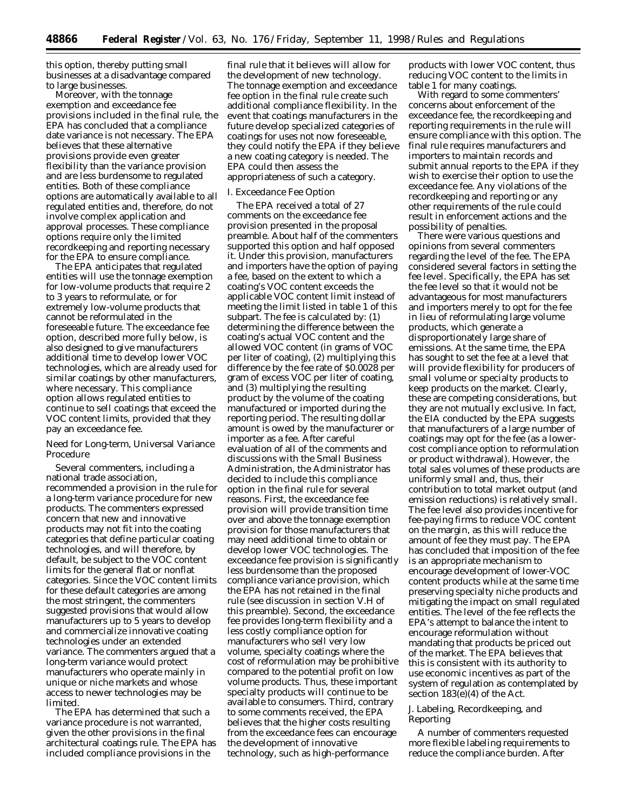this option, thereby putting small businesses at a disadvantage compared to large businesses.

Moreover, with the tonnage exemption and exceedance fee provisions included in the final rule, the EPA has concluded that a compliance date variance is not necessary. The EPA believes that these alternative provisions provide even greater flexibility than the variance provision and are less burdensome to regulated entities. Both of these compliance options are automatically available to all regulated entities and, therefore, do not involve complex application and approval processes. These compliance options require only the limited recordkeeping and reporting necessary for the EPA to ensure compliance.

The EPA anticipates that regulated entities will use the tonnage exemption for low-volume products that require 2 to 3 years to reformulate, or for extremely low-volume products that cannot be reformulated in the foreseeable future. The exceedance fee option, described more fully below, is also designed to give manufacturers additional time to develop lower VOC technologies, which are already used for similar coatings by other manufacturers, where necessary. This compliance option allows regulated entities to continue to sell coatings that exceed the VOC content limits, provided that they pay an exceedance fee.

Need for Long-term, Universal Variance Procedure

Several commenters, including a national trade association, recommended a provision in the rule for a long-term variance procedure for new products. The commenters expressed concern that new and innovative products may not fit into the coating categories that define particular coating technologies, and will therefore, by default, be subject to the VOC content limits for the general flat or nonflat categories. Since the VOC content limits for these default categories are among the most stringent, the commenters suggested provisions that would allow manufacturers up to 5 years to develop and commercialize innovative coating technologies under an extended variance. The commenters argued that a long-term variance would protect manufacturers who operate mainly in unique or niche markets and whose access to newer technologies may be limited.

The EPA has determined that such a variance procedure is not warranted, given the other provisions in the final architectural coatings rule. The EPA has included compliance provisions in the

final rule that it believes will allow for the development of new technology. The tonnage exemption and exceedance fee option in the final rule create such additional compliance flexibility. In the event that coatings manufacturers in the future develop specialized categories of coatings for uses not now foreseeable, they could notify the EPA if they believe a new coating category is needed. The EPA could then assess the appropriateness of such a category.

### *I. Exceedance Fee Option*

The EPA received a total of 27 comments on the exceedance fee provision presented in the proposal preamble. About half of the commenters supported this option and half opposed it. Under this provision, manufacturers and importers have the option of paying a fee, based on the extent to which a coating's VOC content exceeds the applicable VOC content limit instead of meeting the limit listed in table 1 of this subpart. The fee is calculated by: (1) determining the difference between the coating's actual VOC content and the allowed VOC content (in grams of VOC per liter of coating), (2) multiplying this difference by the fee rate of \$0.0028 per gram of excess VOC per liter of coating, and (3) multiplying the resulting product by the volume of the coating manufactured or imported during the reporting period. The resulting dollar amount is owed by the manufacturer or importer as a fee. After careful evaluation of all of the comments and discussions with the Small Business Administration, the Administrator has decided to include this compliance option in the final rule for several reasons. First, the exceedance fee provision will provide transition time over and above the tonnage exemption provision for those manufacturers that may need additional time to obtain or develop lower VOC technologies. The exceedance fee provision is significantly less burdensome than the proposed compliance variance provision, which the EPA has not retained in the final rule (see discussion in section V.H of this preamble). Second, the exceedance fee provides long-term flexibility and a less costly compliance option for manufacturers who sell very low volume, specialty coatings where the cost of reformulation may be prohibitive compared to the potential profit on low volume products. Thus, these important specialty products will continue to be available to consumers. Third, contrary to some comments received, the EPA believes that the higher costs resulting from the exceedance fees can encourage the development of innovative technology, such as high-performance

products with lower VOC content, thus reducing VOC content to the limits in table 1 for many coatings.

With regard to some commenters' concerns about enforcement of the exceedance fee, the recordkeeping and reporting requirements in the rule will ensure compliance with this option. The final rule requires manufacturers and importers to maintain records and submit annual reports to the EPA if they wish to exercise their option to use the exceedance fee. Any violations of the recordkeeping and reporting or any other requirements of the rule could result in enforcement actions and the possibility of penalties.

There were various questions and opinions from several commenters regarding the level of the fee. The EPA considered several factors in setting the fee level. Specifically, the EPA has set the fee level so that it would not be advantageous for most manufacturers and importers merely to opt for the fee in lieu of reformulating large volume products, which generate a disproportionately large share of emissions. At the same time, the EPA has sought to set the fee at a level that will provide flexibility for producers of small volume or specialty products to keep products on the market. Clearly, these are competing considerations, but they are not mutually exclusive. In fact, the EIA conducted by the EPA suggests that manufacturers of a large number of coatings may opt for the fee (as a lowercost compliance option to reformulation or product withdrawal). However, the total sales volumes of these products are uniformly small and, thus, their contribution to total market output (and emission reductions) is relatively small. The fee level also provides incentive for fee-paying firms to reduce VOC content on the margin, as this will reduce the amount of fee they must pay. The EPA has concluded that imposition of the fee is an appropriate mechanism to encourage development of lower-VOC content products while at the same time preserving specialty niche products and mitigating the impact on small regulated entities. The level of the fee reflects the EPA's attempt to balance the intent to encourage reformulation without mandating that products be priced out of the market. The EPA believes that this is consistent with its authority to use economic incentives as part of the system of regulation as contemplated by section 183(e)(4) of the Act.

# *J. Labeling, Recordkeeping, and Reporting*

A number of commenters requested more flexible labeling requirements to reduce the compliance burden. After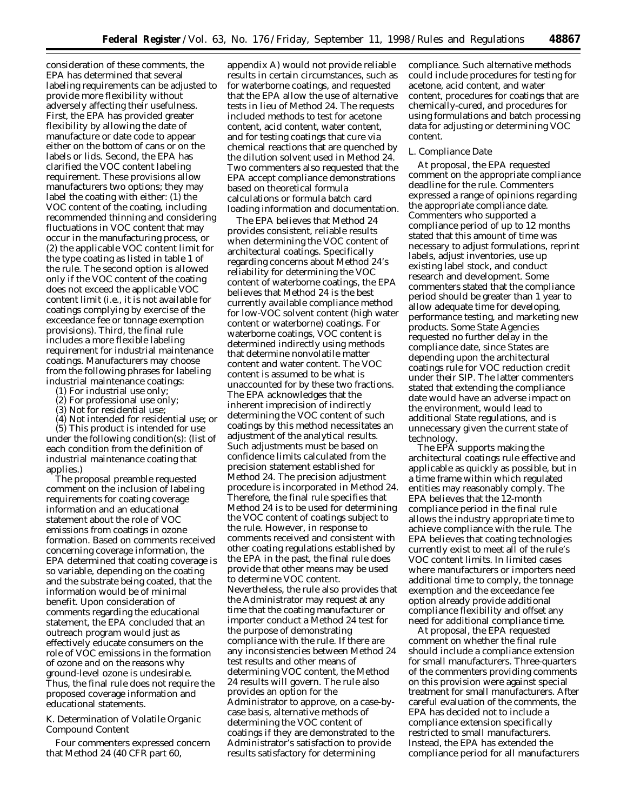consideration of these comments, the EPA has determined that several labeling requirements can be adjusted to provide more flexibility without adversely affecting their usefulness. First, the EPA has provided greater flexibility by allowing the date of manufacture or date code to appear either on the bottom of cans or on the labels or lids. Second, the EPA has clarified the VOC content labeling requirement. These provisions allow manufacturers two options; they may label the coating with either: (1) the VOC content of the coating, including recommended thinning and considering fluctuations in VOC content that may occur in the manufacturing process, or (2) the applicable VOC content limit for the type coating as listed in table 1 of the rule. The second option is allowed only if the VOC content of the coating does not exceed the applicable VOC content limit (i.e., it is not available for coatings complying by exercise of the exceedance fee or tonnage exemption provisions). Third, the final rule includes a more flexible labeling requirement for industrial maintenance coatings. Manufacturers may choose from the following phrases for labeling industrial maintenance coatings:

- (1) For industrial use only;
- (2) For professional use only;
- (3) Not for residential use;

(4) Not intended for residential use; or (5) This product is intended for use under the following condition(s): (list of each condition from the definition of industrial maintenance coating that

applies.) The proposal preamble requested comment on the inclusion of labeling requirements for coating coverage information and an educational statement about the role of VOC emissions from coatings in ozone formation. Based on comments received concerning coverage information, the EPA determined that coating coverage is so variable, depending on the coating and the substrate being coated, that the information would be of minimal benefit. Upon consideration of comments regarding the educational statement, the EPA concluded that an outreach program would just as effectively educate consumers on the role of VOC emissions in the formation of ozone and on the reasons why ground-level ozone is undesirable. Thus, the final rule does not require the proposed coverage information and educational statements.

# *K. Determination of Volatile Organic Compound Content*

Four commenters expressed concern that Method 24 (40 CFR part 60,

appendix A) would not provide reliable results in certain circumstances, such as for waterborne coatings, and requested that the EPA allow the use of alternative tests in lieu of Method 24. The requests included methods to test for acetone content, acid content, water content, and for testing coatings that cure via chemical reactions that are quenched by the dilution solvent used in Method 24. Two commenters also requested that the EPA accept compliance demonstrations based on theoretical formula calculations or formula batch card loading information and documentation.

The EPA believes that Method 24 provides consistent, reliable results when determining the VOC content of architectural coatings. Specifically regarding concerns about Method 24's reliability for determining the VOC content of waterborne coatings, the EPA believes that Method 24 is the best currently available compliance method for low-VOC solvent content (high water content or waterborne) coatings. For waterborne coatings, VOC content is determined indirectly using methods that determine nonvolatile matter content and water content. The VOC content is assumed to be what is unaccounted for by these two fractions. The EPA acknowledges that the inherent imprecision of indirectly determining the VOC content of such coatings by this method necessitates an adjustment of the analytical results. Such adjustments must be based on confidence limits calculated from the precision statement established for Method 24. The precision adjustment procedure is incorporated in Method 24. Therefore, the final rule specifies that Method 24 is to be used for determining the VOC content of coatings subject to the rule. However, in response to comments received and consistent with other coating regulations established by the EPA in the past, the final rule does provide that other means may be used to determine VOC content. Nevertheless, the rule also provides that the Administrator may request at any time that the coating manufacturer or importer conduct a Method 24 test for the purpose of demonstrating compliance with the rule. If there are any inconsistencies between Method 24 test results and other means of determining VOC content, the Method 24 results will govern. The rule also provides an option for the Administrator to approve, on a case-bycase basis, alternative methods of determining the VOC content of coatings if they are demonstrated to the Administrator's satisfaction to provide results satisfactory for determining

compliance. Such alternative methods could include procedures for testing for acetone, acid content, and water content, procedures for coatings that are chemically-cured, and procedures for using formulations and batch processing data for adjusting or determining VOC content.

### *L. Compliance Date*

At proposal, the EPA requested comment on the appropriate compliance deadline for the rule. Commenters expressed a range of opinions regarding the appropriate compliance date. Commenters who supported a compliance period of up to 12 months stated that this amount of time was necessary to adjust formulations, reprint labels, adjust inventories, use up existing label stock, and conduct research and development. Some commenters stated that the compliance period should be greater than 1 year to allow adequate time for developing, performance testing, and marketing new products. Some State Agencies requested no further delay in the compliance date, since States are depending upon the architectural coatings rule for VOC reduction credit under their SIP. The latter commenters stated that extending the compliance date would have an adverse impact on the environment, would lead to additional State regulations, and is unnecessary given the current state of technology.

The EPA supports making the architectural coatings rule effective and applicable as quickly as possible, but in a time frame within which regulated entities may reasonably comply. The EPA believes that the 12-month compliance period in the final rule allows the industry appropriate time to achieve compliance with the rule. The EPA believes that coating technologies currently exist to meet all of the rule's VOC content limits. In limited cases where manufacturers or importers need additional time to comply, the tonnage exemption and the exceedance fee option already provide additional compliance flexibility and offset any need for additional compliance time.

At proposal, the EPA requested comment on whether the final rule should include a compliance extension for small manufacturers. Three-quarters of the commenters providing comments on this provision were against special treatment for small manufacturers. After careful evaluation of the comments, the EPA has decided not to include a compliance extension specifically restricted to small manufacturers. Instead, the EPA has extended the compliance period for all manufacturers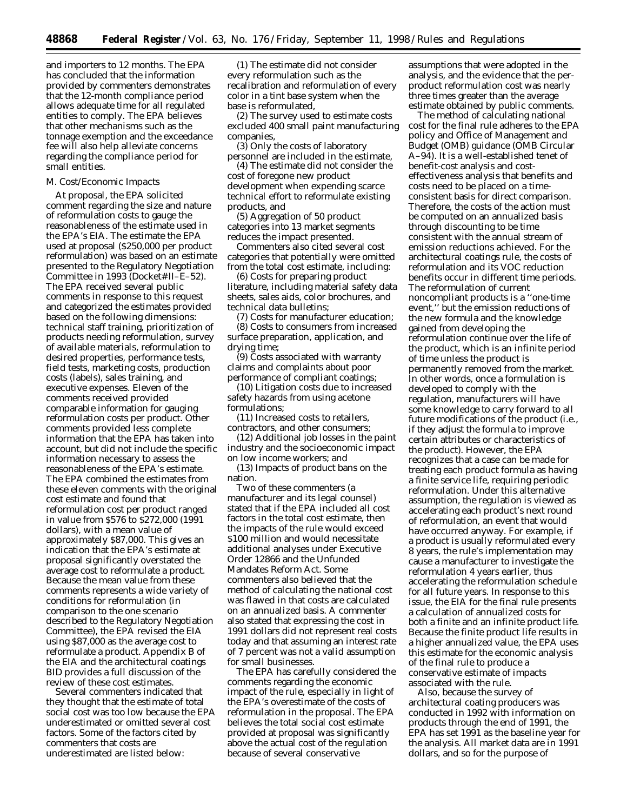and importers to 12 months. The EPA has concluded that the information provided by commenters demonstrates that the 12-month compliance period allows adequate time for all regulated entities to comply. The EPA believes that other mechanisms such as the tonnage exemption and the exceedance fee will also help alleviate concerns regarding the compliance period for small entities.

### *M. Cost/Economic Impacts*

At proposal, the EPA solicited comment regarding the size and nature of reformulation costs to gauge the reasonableness of the estimate used in the EPA's EIA. The estimate the EPA used at proposal (\$250,000 per product reformulation) was based on an estimate presented to the Regulatory Negotiation Committee in 1993 (Docket# II–E–52). The EPA received several public comments in response to this request and categorized the estimates provided based on the following dimensions: technical staff training, prioritization of products needing reformulation, survey of available materials, reformulation to desired properties, performance tests, field tests, marketing costs, production costs (labels), sales training, and executive expenses. Eleven of the comments received provided comparable information for gauging reformulation costs per product. Other comments provided less complete information that the EPA has taken into account, but did not include the specific information necessary to assess the reasonableness of the EPA's estimate. The EPA combined the estimates from these eleven comments with the original cost estimate and found that reformulation cost per product ranged in value from \$576 to \$272,000 (1991 dollars), with a mean value of approximately \$87,000. This gives an indication that the EPA's estimate at proposal significantly overstated the average cost to reformulate a product. Because the mean value from these comments represents a wide variety of conditions for reformulation (in comparison to the one scenario described to the Regulatory Negotiation Committee), the EPA revised the EIA using \$87,000 as the average cost to reformulate a product. Appendix B of the EIA and the architectural coatings BID provides a full discussion of the review of these cost estimates.

Several commenters indicated that they thought that the estimate of total social cost was too low because the EPA underestimated or omitted several cost factors. Some of the factors cited by commenters that costs are underestimated are listed below:

(1) The estimate did not consider every reformulation such as the recalibration and reformulation of every color in a tint base system when the base is reformulated,

(2) The survey used to estimate costs excluded 400 small paint manufacturing companies,

(3) Only the costs of laboratory personnel are included in the estimate,

(4) The estimate did not consider the cost of foregone new product development when expending scarce technical effort to reformulate existing products, and

(5) Aggregation of 50 product categories into 13 market segments reduces the impact presented.

Commenters also cited several cost categories that potentially were omitted from the total cost estimate, including:

(6) Costs for preparing product literature, including material safety data sheets, sales aids, color brochures, and technical data bulletins;

(7) Costs for manufacturer education; (8) Costs to consumers from increased surface preparation, application, and drying time;

(9) Costs associated with warranty claims and complaints about poor performance of compliant coatings;

(10) Litigation costs due to increased safety hazards from using acetone formulations;

(11) Increased costs to retailers, contractors, and other consumers;

(12) Additional job losses in the paint industry and the socioeconomic impact on low income workers; and

(13) Impacts of product bans on the nation.

Two of these commenters (a manufacturer and its legal counsel) stated that if the EPA included all cost factors in the total cost estimate, then the impacts of the rule would exceed \$100 million and would necessitate additional analyses under Executive Order 12866 and the Unfunded Mandates Reform Act. Some commenters also believed that the method of calculating the national cost was flawed in that costs are calculated on an annualized basis. A commenter also stated that expressing the cost in 1991 dollars did not represent real costs today and that assuming an interest rate of 7 percent was not a valid assumption for small businesses.

The EPA has carefully considered the comments regarding the economic impact of the rule, especially in light of the EPA's overestimate of the costs of reformulation in the proposal. The EPA believes the total social cost estimate provided at proposal was significantly above the actual cost of the regulation because of several conservative

assumptions that were adopted in the analysis, and the evidence that the perproduct reformulation cost was nearly three times greater than the average estimate obtained by public comments.

The method of calculating national cost for the final rule adheres to the EPA policy and Office of Management and Budget (OMB) guidance (OMB Circular A–94). It is a well-established tenet of benefit-cost analysis and costeffectiveness analysis that benefits and costs need to be placed on a timeconsistent basis for direct comparison. Therefore, the costs of the action must be computed on an annualized basis through discounting to be time consistent with the annual stream of emission reductions achieved. For the architectural coatings rule, the costs of reformulation and its VOC reduction benefits occur in different time periods. The reformulation of current noncompliant products is a ''one-time event,'' but the emission reductions of the new formula and the knowledge gained from developing the reformulation continue over the life of the product, which is an infinite period of time unless the product is permanently removed from the market. In other words, once a formulation is developed to comply with the regulation, manufacturers will have some knowledge to carry forward to all future modifications of the product (i.e., if they adjust the formula to improve certain attributes or characteristics of the product). However, the EPA recognizes that a case can be made for treating each product formula as having a finite service life, requiring periodic reformulation. Under this alternative assumption, the regulation is viewed as accelerating each product's next round of reformulation, an event that would have occurred anyway. For example, if a product is usually reformulated every 8 years, the rule's implementation may cause a manufacturer to investigate the reformulation 4 years earlier, thus accelerating the reformulation schedule for all future years. In response to this issue, the EIA for the final rule presents a calculation of annualized costs for both a finite and an infinite product life. Because the finite product life results in a higher annualized value, the EPA uses this estimate for the economic analysis of the final rule to produce a conservative estimate of impacts associated with the rule.

Also, because the survey of architectural coating producers was conducted in 1992 with information on products through the end of 1991, the EPA has set 1991 as the baseline year for the analysis. All market data are in 1991 dollars, and so for the purpose of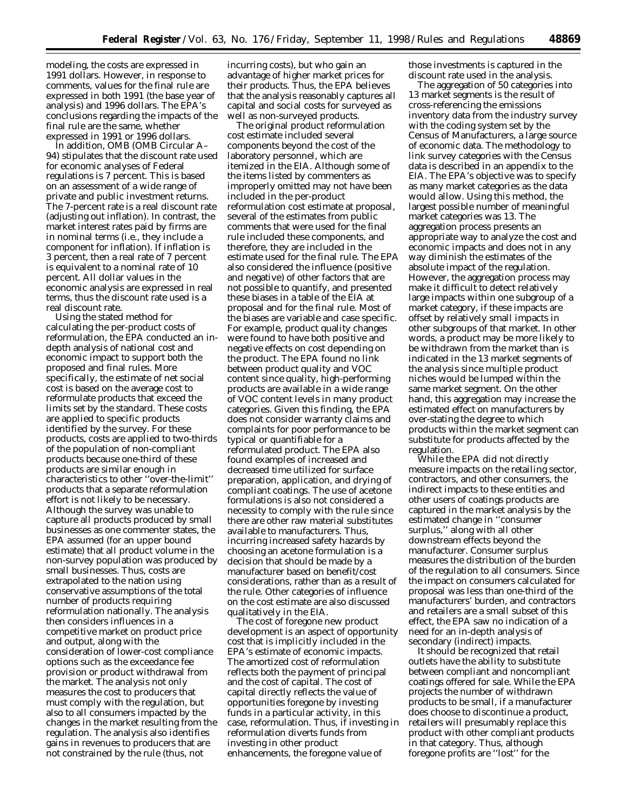modeling, the costs are expressed in 1991 dollars. However, in response to comments, values for the final rule are expressed in both 1991 (the base year of analysis) and 1996 dollars. The EPA's conclusions regarding the impacts of the final rule are the same, whether expressed in 1991 or 1996 dollars.

In addition, OMB (OMB Circular A– 94) stipulates that the discount rate used for economic analyses of Federal regulations is 7 percent. This is based on an assessment of a wide range of private and public investment returns. The 7-percent rate is a real discount rate (adjusting out inflation). In contrast, the market interest rates paid by firms are in nominal terms (i.e., they include a component for inflation). If inflation is 3 percent, then a real rate of 7 percent is equivalent to a nominal rate of 10 percent. All dollar values in the economic analysis are expressed in real terms, thus the discount rate used is a real discount rate.

Using the stated method for calculating the per-product costs of reformulation, the EPA conducted an indepth analysis of national cost and economic impact to support both the proposed and final rules. More specifically, the estimate of net social cost is based on the average cost to reformulate products that exceed the limits set by the standard. These costs are applied to specific products identified by the survey. For these products, costs are applied to two-thirds of the population of non-compliant products because one-third of these products are similar enough in characteristics to other ''over-the-limit'' products that a separate reformulation effort is not likely to be necessary. Although the survey was unable to capture all products produced by small businesses as one commenter states, the EPA assumed (for an upper bound estimate) that all product volume in the non-survey population was produced by small businesses. Thus, costs are extrapolated to the nation using conservative assumptions of the total number of products requiring reformulation nationally. The analysis then considers influences in a competitive market on product price and output, along with the consideration of lower-cost compliance options such as the exceedance fee provision or product withdrawal from the market. The analysis not only measures the cost to producers that must comply with the regulation, but also to all consumers impacted by the changes in the market resulting from the regulation. The analysis also identifies gains in revenues to producers that are not constrained by the rule (thus, not

incurring costs), but who gain an advantage of higher market prices for their products. Thus, the EPA believes that the analysis reasonably captures all capital and social costs for surveyed as well as non-surveyed products.

The original product reformulation cost estimate included several components beyond the cost of the laboratory personnel, which are itemized in the EIA. Although some of the items listed by commenters as improperly omitted may not have been included in the per-product reformulation cost estimate at proposal, several of the estimates from public comments that were used for the final rule included these components, and therefore, they are included in the estimate used for the final rule. The EPA also considered the influence (positive and negative) of other factors that are not possible to quantify, and presented these biases in a table of the EIA at proposal and for the final rule. Most of the biases are variable and case specific. For example, product quality changes were found to have both positive and negative effects on cost depending on the product. The EPA found no link between product quality and VOC content since quality, high-performing products are available in a wide range of VOC content levels in many product categories. Given this finding, the EPA does not consider warranty claims and complaints for poor performance to be typical or quantifiable for a reformulated product. The EPA also found examples of increased and decreased time utilized for surface preparation, application, and drying of compliant coatings. The use of acetone formulations is also not considered a necessity to comply with the rule since there are other raw material substitutes available to manufacturers. Thus, incurring increased safety hazards by choosing an acetone formulation is a decision that should be made by a manufacturer based on benefit/cost considerations, rather than as a result of the rule. Other categories of influence on the cost estimate are also discussed qualitatively in the EIA.

The cost of foregone new product development is an aspect of opportunity cost that is implicitly included in the EPA's estimate of economic impacts. The amortized cost of reformulation reflects both the payment of principal and the cost of capital. The cost of capital directly reflects the value of opportunities foregone by investing funds in a particular activity, in this case, reformulation. Thus, if investing in reformulation diverts funds from investing in other product enhancements, the foregone value of

those investments is captured in the discount rate used in the analysis.

The aggregation of 50 categories into 13 market segments is the result of cross-referencing the emissions inventory data from the industry survey with the coding system set by the Census of Manufacturers, a large source of economic data. The methodology to link survey categories with the Census data is described in an appendix to the EIA. The EPA's objective was to specify as many market categories as the data would allow. Using this method, the largest possible number of meaningful market categories was 13. The aggregation process presents an appropriate way to analyze the cost and economic impacts and does not in any way diminish the estimates of the absolute impact of the regulation. However, the aggregation process may make it difficult to detect relatively large impacts within one subgroup of a market category, if these impacts are offset by relatively small impacts in other subgroups of that market. In other words, a product may be more likely to be withdrawn from the market than is indicated in the 13 market segments of the analysis since multiple product niches would be lumped within the same market segment. On the other hand, this aggregation may increase the estimated effect on manufacturers by over-stating the degree to which products within the market segment can substitute for products affected by the regulation.

While the EPA did not directly measure impacts on the retailing sector, contractors, and other consumers, the indirect impacts to these entities and other users of coatings products are captured in the market analysis by the estimated change in ''consumer surplus,'' along with all other downstream effects beyond the manufacturer. Consumer surplus measures the distribution of the burden of the regulation to all consumers. Since the impact on consumers calculated for proposal was less than one-third of the manufacturers' burden, and contractors and retailers are a small subset of this effect, the EPA saw no indication of a need for an in-depth analysis of secondary (indirect) impacts.

It should be recognized that retail outlets have the ability to substitute between compliant and noncompliant coatings offered for sale. While the EPA projects the number of withdrawn products to be small, if a manufacturer does choose to discontinue a product, retailers will presumably replace this product with other compliant products in that category. Thus, although foregone profits are ''lost'' for the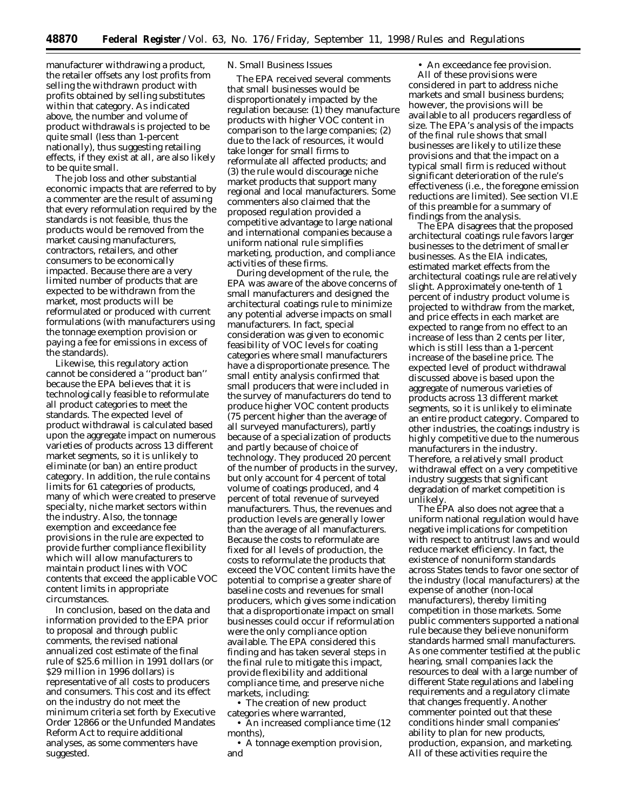manufacturer withdrawing a product, the retailer offsets any lost profits from selling the withdrawn product with profits obtained by selling substitutes within that category. As indicated above, the number and volume of product withdrawals is projected to be quite small (less than 1-percent nationally), thus suggesting retailing effects, if they exist at all, are also likely to be quite small.

The job loss and other substantial economic impacts that are referred to by a commenter are the result of assuming that every reformulation required by the standards is not feasible, thus the products would be removed from the market causing manufacturers, contractors, retailers, and other consumers to be economically impacted. Because there are a very limited number of products that are expected to be withdrawn from the market, most products will be reformulated or produced with current formulations (with manufacturers using the tonnage exemption provision or paying a fee for emissions in excess of the standards).

Likewise, this regulatory action cannot be considered a ''product ban'' because the EPA believes that it is technologically feasible to reformulate all product categories to meet the standards. The expected level of product withdrawal is calculated based upon the aggregate impact on numerous varieties of products across 13 different market segments, so it is unlikely to eliminate (or ban) an entire product category. In addition, the rule contains limits for 61 categories of products, many of which were created to preserve specialty, niche market sectors within the industry. Also, the tonnage exemption and exceedance fee provisions in the rule are expected to provide further compliance flexibility which will allow manufacturers to maintain product lines with VOC contents that exceed the applicable VOC content limits in appropriate circumstances.

In conclusion, based on the data and information provided to the EPA prior to proposal and through public comments, the revised national annualized cost estimate of the final rule of \$25.6 million in 1991 dollars (or \$29 million in 1996 dollars) is representative of all costs to producers and consumers. This cost and its effect on the industry do not meet the minimum criteria set forth by Executive Order 12866 or the Unfunded Mandates Reform Act to require additional analyses, as some commenters have suggested.

## *N. Small Business Issues*

The EPA received several comments that small businesses would be disproportionately impacted by the regulation because: (1) they manufacture products with higher VOC content in comparison to the large companies; (2) due to the lack of resources, it would take longer for small firms to reformulate all affected products; and (3) the rule would discourage niche market products that support many regional and local manufacturers. Some commenters also claimed that the proposed regulation provided a competitive advantage to large national and international companies because a uniform national rule simplifies marketing, production, and compliance activities of these firms.

During development of the rule, the EPA was aware of the above concerns of small manufacturers and designed the architectural coatings rule to minimize any potential adverse impacts on small manufacturers. In fact, special consideration was given to economic feasibility of VOC levels for coating categories where small manufacturers have a disproportionate presence. The small entity analysis confirmed that small producers that were included in the survey of manufacturers do tend to produce higher VOC content products (75 percent higher than the average of all surveyed manufacturers), partly because of a specialization of products and partly because of choice of technology. They produced 20 percent of the number of products in the survey, but only account for 4 percent of total volume of coatings produced, and 4 percent of total revenue of surveyed manufacturers. Thus, the revenues and production levels are generally lower than the average of all manufacturers. Because the costs to reformulate are fixed for all levels of production, the costs to reformulate the products that exceed the VOC content limits have the potential to comprise a greater share of baseline costs and revenues for small producers, which gives some indication that a disproportionate impact on small businesses could occur if reformulation were the only compliance option available. The EPA considered this finding and has taken several steps in the final rule to mitigate this impact, provide flexibility and additional compliance time, and preserve niche markets, including:

• The creation of new product categories where warranted,

• An increased compliance time (12) months),

• A tonnage exemption provision, and

• An exceedance fee provision. All of these provisions were considered in part to address niche markets and small business burdens; however, the provisions will be available to all producers regardless of size. The EPA's analysis of the impacts of the final rule shows that small businesses are likely to utilize these provisions and that the impact on a typical small firm is reduced without significant deterioration of the rule's effectiveness (i.e., the foregone emission reductions are limited). See section VI.E of this preamble for a summary of findings from the analysis.

The EPA disagrees that the proposed architectural coatings rule favors larger businesses to the detriment of smaller businesses. As the EIA indicates, estimated market effects from the architectural coatings rule are relatively slight. Approximately one-tenth of 1 percent of industry product volume is projected to withdraw from the market, and price effects in each market are expected to range from no effect to an increase of less than 2 cents per liter, which is still less than a 1-percent increase of the baseline price. The expected level of product withdrawal discussed above is based upon the aggregate of numerous varieties of products across 13 different market segments, so it is unlikely to eliminate an entire product category. Compared to other industries, the coatings industry is highly competitive due to the numerous manufacturers in the industry. Therefore, a relatively small product withdrawal effect on a very competitive industry suggests that significant degradation of market competition is unlikely.

The EPA also does not agree that a uniform national regulation would have negative implications for competition with respect to antitrust laws and would reduce market efficiency. In fact, the existence of nonuniform standards across States tends to favor one sector of the industry (local manufacturers) at the expense of another (non-local manufacturers), thereby limiting competition in those markets. Some public commenters supported a national rule because they believe nonuniform standards harmed small manufacturers. As one commenter testified at the public hearing, small companies lack the resources to deal with a large number of different State regulations and labeling requirements and a regulatory climate that changes frequently. Another commenter pointed out that these conditions hinder small companies' ability to plan for new products, production, expansion, and marketing. All of these activities require the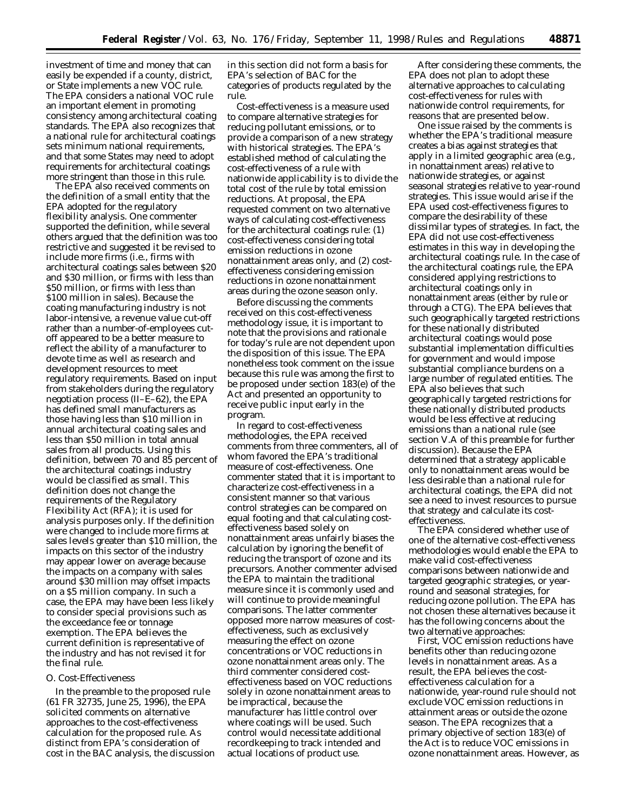investment of time and money that can easily be expended if a county, district, or State implements a new VOC rule. The EPA considers a national VOC rule an important element in promoting consistency among architectural coating standards. The EPA also recognizes that a national rule for architectural coatings sets minimum national requirements, and that some States may need to adopt requirements for architectural coatings more stringent than those in this rule.

The EPA also received comments on the definition of a small entity that the EPA adopted for the regulatory flexibility analysis. One commenter supported the definition, while several others argued that the definition was too restrictive and suggested it be revised to include more firms (i.e., firms with architectural coatings sales between \$20 and \$30 million, or firms with less than \$50 million, or firms with less than \$100 million in sales). Because the coating manufacturing industry is not labor-intensive, a revenue value cut-off rather than a number-of-employees cutoff appeared to be a better measure to reflect the ability of a manufacturer to devote time as well as research and development resources to meet regulatory requirements. Based on input from stakeholders during the regulatory negotiation process (II–E–62), the EPA has defined small manufacturers as those having less than \$10 million in annual architectural coating sales and less than \$50 million in total annual sales from all products. Using this definition, between 70 and 85 percent of the architectural coatings industry would be classified as small. This definition does not change the requirements of the Regulatory Flexibility Act (RFA); it is used for analysis purposes only. If the definition were changed to include more firms at sales levels greater than \$10 million, the impacts on this sector of the industry may appear lower on average because the impacts on a company with sales around \$30 million may offset impacts on a \$5 million company. In such a case, the EPA may have been less likely to consider special provisions such as the exceedance fee or tonnage exemption. The EPA believes the current definition is representative of the industry and has not revised it for the final rule.

### *O. Cost-Effectiveness*

In the preamble to the proposed rule (61 FR 32735, June 25, 1996), the EPA solicited comments on alternative approaches to the cost-effectiveness calculation for the proposed rule. As distinct from EPA's consideration of cost in the BAC analysis, the discussion

in this section did not form a basis for EPA's selection of BAC for the categories of products regulated by the rule.

Cost-effectiveness is a measure used to compare alternative strategies for reducing pollutant emissions, or to provide a comparison of a new strategy with historical strategies. The EPA's established method of calculating the cost-effectiveness of a rule with nationwide applicability is to divide the total cost of the rule by total emission reductions. At proposal, the EPA requested comment on two alternative ways of calculating cost-effectiveness for the architectural coatings rule: (1) cost-effectiveness considering total emission reductions in ozone nonattainment areas only, and (2) costeffectiveness considering emission reductions in ozone nonattainment areas during the ozone season only.

Before discussing the comments received on this cost-effectiveness methodology issue, it is important to note that the provisions and rationale for today's rule are not dependent upon the disposition of this issue. The EPA nonetheless took comment on the issue because this rule was among the first to be proposed under section 183(e) of the Act and presented an opportunity to receive public input early in the program.

In regard to cost-effectiveness methodologies, the EPA received comments from three commenters, all of whom favored the EPA's traditional measure of cost-effectiveness. One commenter stated that it is important to characterize cost-effectiveness in a consistent manner so that various control strategies can be compared on equal footing and that calculating costeffectiveness based solely on nonattainment areas unfairly biases the calculation by ignoring the benefit of reducing the transport of ozone and its precursors. Another commenter advised the EPA to maintain the traditional measure since it is commonly used and will continue to provide meaningful comparisons. The latter commenter opposed more narrow measures of costeffectiveness, such as exclusively measuring the effect on ozone concentrations or VOC reductions in ozone nonattainment areas only. The third commenter considered costeffectiveness based on VOC reductions solely in ozone nonattainment areas to be impractical, because the manufacturer has little control over where coatings will be used. Such control would necessitate additional recordkeeping to track intended and actual locations of product use.

After considering these comments, the EPA does not plan to adopt these alternative approaches to calculating cost-effectiveness for rules with nationwide control requirements, for reasons that are presented below.

One issue raised by the comments is whether the EPA's traditional measure creates a bias against strategies that apply in a limited geographic area (e.g., in nonattainment areas) relative to nationwide strategies, or against seasonal strategies relative to year-round strategies. This issue would arise if the EPA used cost-effectiveness figures to compare the desirability of these dissimilar types of strategies. In fact, the EPA did not use cost-effectiveness estimates in this way in developing the architectural coatings rule. In the case of the architectural coatings rule, the EPA considered applying restrictions to architectural coatings only in nonattainment areas (either by rule or through a CTG). The EPA believes that such geographically targeted restrictions for these nationally distributed architectural coatings would pose substantial implementation difficulties for government and would impose substantial compliance burdens on a large number of regulated entities. The EPA also believes that such geographically targeted restrictions for these nationally distributed products would be less effective at reducing emissions than a national rule (see section V.A of this preamble for further discussion). Because the EPA determined that a strategy applicable only to nonattainment areas would be less desirable than a national rule for architectural coatings, the EPA did not see a need to invest resources to pursue that strategy and calculate its costeffectiveness.

The EPA considered whether use of one of the alternative cost-effectiveness methodologies would enable the EPA to make valid cost-effectiveness comparisons between nationwide and targeted geographic strategies, or yearround and seasonal strategies, for reducing ozone pollution. The EPA has not chosen these alternatives because it has the following concerns about the two alternative approaches:

First, VOC emission reductions have benefits other than reducing ozone levels in nonattainment areas. As a result, the EPA believes the costeffectiveness calculation for a nationwide, year-round rule should not exclude VOC emission reductions in attainment areas or outside the ozone season. The EPA recognizes that a primary objective of section 183(e) of the Act is to reduce VOC emissions in ozone nonattainment areas. However, as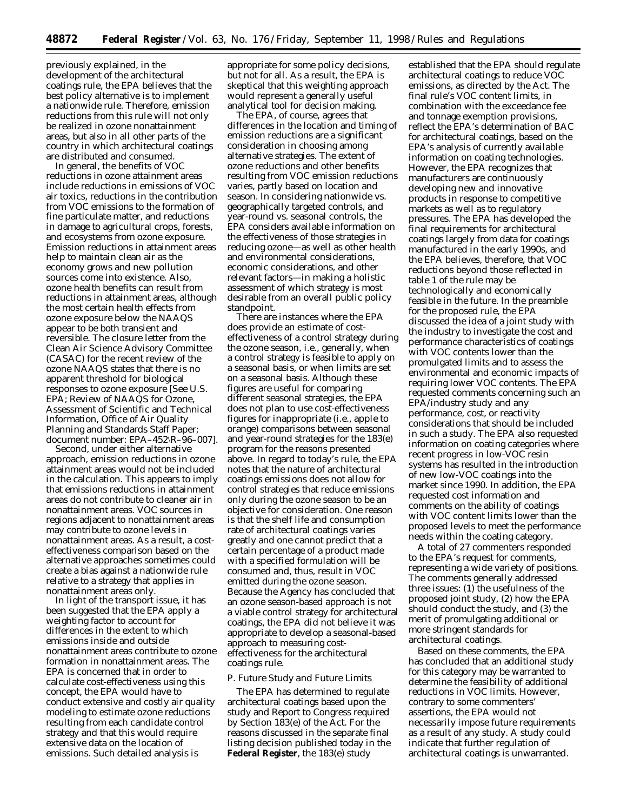previously explained, in the development of the architectural coatings rule, the EPA believes that the best policy alternative is to implement a nationwide rule. Therefore, emission reductions from this rule will not only be realized in ozone nonattainment areas, but also in all other parts of the country in which architectural coatings are distributed and consumed.

In general, the benefits of VOC reductions in ozone attainment areas include reductions in emissions of VOC air toxics, reductions in the contribution from VOC emissions to the formation of fine particulate matter, and reductions in damage to agricultural crops, forests, and ecosystems from ozone exposure. Emission reductions in attainment areas help to maintain clean air as the economy grows and new pollution sources come into existence. Also, ozone health benefits can result from reductions in attainment areas, although the most certain health effects from ozone exposure below the NAAQS appear to be both transient and reversible. The closure letter from the Clean Air Science Advisory Committee (CASAC) for the recent review of the ozone NAAQS states that there is no apparent threshold for biological responses to ozone exposure [See U.S. EPA; Review of NAAQS for Ozone, Assessment of Scientific and Technical Information, Office of Air Quality Planning and Standards Staff Paper; document number: EPA–452\R–96–007].

Second, under either alternative approach, emission reductions in ozone attainment areas would not be included in the calculation. This appears to imply that emissions reductions in attainment areas do not contribute to cleaner air in nonattainment areas. VOC sources in regions adjacent to nonattainment areas may contribute to ozone levels in nonattainment areas. As a result, a costeffectiveness comparison based on the alternative approaches sometimes could create a bias against a nationwide rule relative to a strategy that applies in nonattainment areas only.

In light of the transport issue, it has been suggested that the EPA apply a weighting factor to account for differences in the extent to which emissions inside and outside nonattainment areas contribute to ozone formation in nonattainment areas. The EPA is concerned that in order to calculate cost-effectiveness using this concept, the EPA would have to conduct extensive and costly air quality modeling to estimate ozone reductions resulting from each candidate control strategy and that this would require extensive data on the location of emissions. Such detailed analysis is

appropriate for some policy decisions, but not for all. As a result, the EPA is skeptical that this weighting approach would represent a generally useful analytical tool for decision making.

The EPA, of course, agrees that differences in the location and timing of emission reductions are a significant consideration in choosing among alternative strategies. The extent of ozone reductions and other benefits resulting from VOC emission reductions varies, partly based on location and season. In considering nationwide vs. geographically targeted controls, and year-round vs. seasonal controls, the EPA considers available information on the effectiveness of those strategies in reducing ozone—as well as other health and environmental considerations, economic considerations, and other relevant factors—in making a holistic assessment of which strategy is most desirable from an overall public policy standpoint.

There are instances where the EPA does provide an estimate of costeffectiveness of a control strategy during the ozone season, i.e., generally, when a control strategy is feasible to apply on a seasonal basis, or when limits are set on a seasonal basis. Although these figures are useful for comparing different seasonal strategies, the EPA does not plan to use cost-effectiveness figures for inappropriate (i.e., apple to orange) comparisons between seasonal and year-round strategies for the 183(e) program for the reasons presented above. In regard to today's rule, the EPA notes that the nature of architectural coatings emissions does not allow for control strategies that reduce emissions only during the ozone season to be an objective for consideration. One reason is that the shelf life and consumption rate of architectural coatings varies greatly and one cannot predict that a certain percentage of a product made with a specified formulation will be consumed and, thus, result in VOC emitted during the ozone season. Because the Agency has concluded that an ozone season-based approach is not a viable control strategy for architectural coatings, the EPA did not believe it was appropriate to develop a seasonal-based approach to measuring costeffectiveness for the architectural coatings rule.

### *P. Future Study and Future Limits*

The EPA has determined to regulate architectural coatings based upon the study and Report to Congress required by Section 183(e) of the Act. For the reasons discussed in the separate final listing decision published today in the **Federal Register**, the 183(e) study

established that the EPA should regulate architectural coatings to reduce VOC emissions, as directed by the Act. The final rule's VOC content limits, in combination with the exceedance fee and tonnage exemption provisions, reflect the EPA's determination of BAC for architectural coatings, based on the EPA's analysis of currently available information on coating technologies. However, the EPA recognizes that manufacturers are continuously developing new and innovative products in response to competitive markets as well as to regulatory pressures. The EPA has developed the final requirements for architectural coatings largely from data for coatings manufactured in the early 1990s, and the EPA believes, therefore, that VOC reductions beyond those reflected in table 1 of the rule may be technologically and economically feasible in the future. In the preamble for the proposed rule, the EPA discussed the idea of a joint study with the industry to investigate the cost and performance characteristics of coatings with VOC contents lower than the promulgated limits and to assess the environmental and economic impacts of requiring lower VOC contents. The EPA requested comments concerning such an EPA/industry study and any performance, cost, or reactivity considerations that should be included in such a study. The EPA also requested information on coating categories where recent progress in low-VOC resin systems has resulted in the introduction of new low-VOC coatings into the market since 1990. In addition, the EPA requested cost information and comments on the ability of coatings with VOC content limits lower than the proposed levels to meet the performance needs within the coating category.

A total of 27 commenters responded to the EPA's request for comments, representing a wide variety of positions. The comments generally addressed three issues: (1) the usefulness of the proposed joint study, (2) how the EPA should conduct the study, and (3) the merit of promulgating additional or more stringent standards for architectural coatings.

Based on these comments, the EPA has concluded that an additional study for this category may be warranted to determine the feasibility of additional reductions in VOC limits. However, contrary to some commenters' assertions, the EPA would not necessarily impose future requirements as a result of any study. A study could indicate that further regulation of architectural coatings is unwarranted.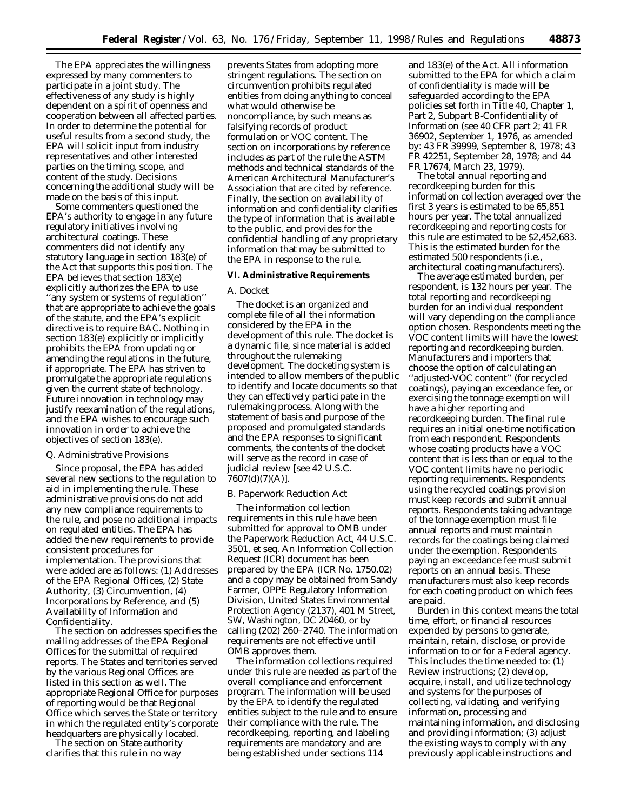The EPA appreciates the willingness expressed by many commenters to participate in a joint study. The effectiveness of any study is highly dependent on a spirit of openness and cooperation between all affected parties. In order to determine the potential for useful results from a second study, the EPA will solicit input from industry representatives and other interested parties on the timing, scope, and content of the study. Decisions concerning the additional study will be made on the basis of this input.

Some commenters questioned the EPA's authority to engage in any future regulatory initiatives involving architectural coatings. These commenters did not identify any statutory language in section 183(e) of the Act that supports this position. The EPA believes that section 183(e) explicitly authorizes the EPA to use ''any system or systems of regulation'' that are appropriate to achieve the goals of the statute, and the EPA's explicit directive is to require BAC. Nothing in section 183(e) explicitly or implicitly prohibits the EPA from updating or amending the regulations in the future, if appropriate. The EPA has striven to promulgate the appropriate regulations given the current state of technology. Future innovation in technology may justify reexamination of the regulations, and the EPA wishes to encourage such innovation in order to achieve the objectives of section 183(e).

#### *Q. Administrative Provisions*

Since proposal, the EPA has added several new sections to the regulation to aid in implementing the rule. These administrative provisions do not add any new compliance requirements to the rule, and pose no additional impacts on regulated entities. The EPA has added the new requirements to provide consistent procedures for implementation. The provisions that were added are as follows: (1) Addresses of the EPA Regional Offices, (2) State Authority, (3) Circumvention, (4) Incorporations by Reference, and (5) Availability of Information and Confidentiality.

The section on addresses specifies the mailing addresses of the EPA Regional Offices for the submittal of required reports. The States and territories served by the various Regional Offices are listed in this section as well. The appropriate Regional Office for purposes of reporting would be that Regional Office which serves the State or territory in which the regulated entity's corporate headquarters are physically located.

The section on State authority clarifies that this rule in no way

prevents States from adopting more stringent regulations. The section on circumvention prohibits regulated entities from doing anything to conceal what would otherwise be noncompliance, by such means as falsifying records of product formulation or VOC content. The section on incorporations by reference includes as part of the rule the ASTM methods and technical standards of the American Architectural Manufacturer's Association that are cited by reference. Finally, the section on availability of information and confidentiality clarifies the type of information that is available to the public, and provides for the confidential handling of any proprietary information that may be submitted to the EPA in response to the rule.

### **VI. Administrative Requirements**

## *A. Docket*

The docket is an organized and complete file of all the information considered by the EPA in the development of this rule. The docket is a dynamic file, since material is added throughout the rulemaking development. The docketing system is intended to allow members of the public to identify and locate documents so that they can effectively participate in the rulemaking process. Along with the statement of basis and purpose of the proposed and promulgated standards and the EPA responses to significant comments, the contents of the docket will serve as the record in case of judicial review [see 42 U.S.C. 7607(d)(7)(A)].

### *B. Paperwork Reduction Act*

The information collection requirements in this rule have been submitted for approval to OMB under the *Paperwork Reduction Act*, 44 U.S.C. 3501, *et seq.* An Information Collection Request (ICR) document has been prepared by the EPA (ICR No. 1750.02) and a copy may be obtained from Sandy Farmer, OPPE Regulatory Information Division, United States Environmental Protection Agency (2137), 401 M Street, SW, Washington, DC 20460, or by calling (202) 260–2740. The information requirements are not effective until OMB approves them.

The information collections required under this rule are needed as part of the overall compliance and enforcement program. The information will be used by the EPA to identify the regulated entities subject to the rule and to ensure their compliance with the rule. The recordkeeping, reporting, and labeling requirements are mandatory and are being established under sections 114

and 183(e) of the Act. All information submitted to the EPA for which a claim of confidentiality is made will be safeguarded according to the EPA policies set forth in Title 40, Chapter 1, Part 2, Subpart B-Confidentiality of Information (see 40 CFR part 2; 41 FR 36902, September 1, 1976, as amended by: 43 FR 39999, September 8, 1978; 43 FR 42251, September 28, 1978; and 44 FR 17674, March 23, 1979).

The total annual reporting and recordkeeping burden for this information collection averaged over the first 3 years is estimated to be 65,851 hours per year. The total annualized recordkeeping and reporting costs for this rule are estimated to be \$2,452,683. This is the estimated burden for the estimated 500 respondents (i.e., architectural coating manufacturers).

The average estimated burden, per respondent, is 132 hours per year. The total reporting and recordkeeping burden for an individual respondent will vary depending on the compliance option chosen. Respondents meeting the VOC content limits will have the lowest reporting and recordkeeping burden. Manufacturers and importers that choose the option of calculating an ''adjusted-VOC content'' (for recycled coatings), paying an exceedance fee, or exercising the tonnage exemption will have a higher reporting and recordkeeping burden. The final rule requires an initial one-time notification from each respondent. Respondents whose coating products have a VOC content that is less than or equal to the VOC content limits have no periodic reporting requirements. Respondents using the recycled coatings provision must keep records and submit annual reports. Respondents taking advantage of the tonnage exemption must file annual reports and must maintain records for the coatings being claimed under the exemption. Respondents paying an exceedance fee must submit reports on an annual basis. These manufacturers must also keep records for each coating product on which fees are paid.

Burden in this context means the total time, effort, or financial resources expended by persons to generate, maintain, retain, disclose, or provide information to or for a Federal agency. This includes the time needed to: (1) Review instructions; (2) develop, acquire, install, and utilize technology and systems for the purposes of collecting, validating, and verifying information, processing and maintaining information, and disclosing and providing information; (3) adjust the existing ways to comply with any previously applicable instructions and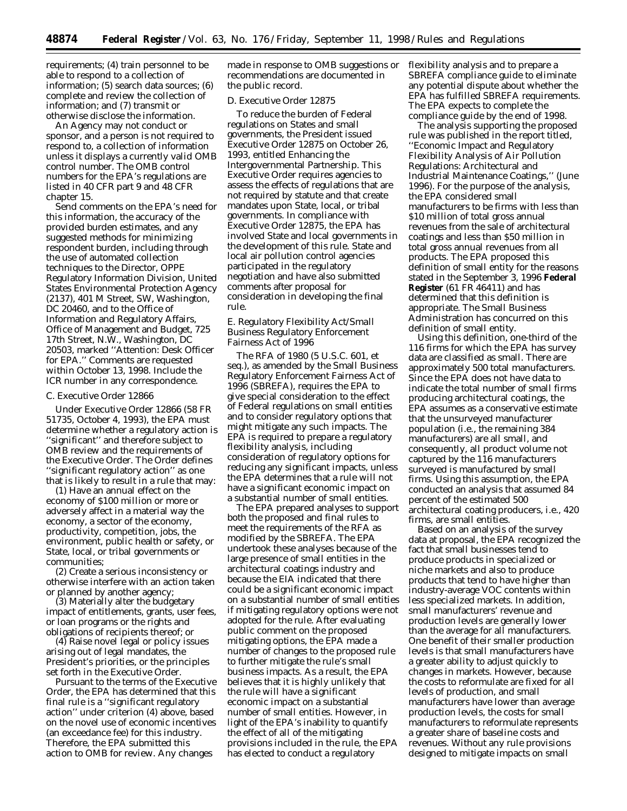requirements; (4) train personnel to be able to respond to a collection of information; (5) search data sources; (6) complete and review the collection of information; and (7) transmit or otherwise disclose the information.

An Agency may not conduct or sponsor, and a person is not required to respond to, a collection of information unless it displays a currently valid OMB control number. The OMB control numbers for the EPA's regulations are listed in 40 CFR part 9 and 48 CFR chapter 15.

Send comments on the EPA's need for this information, the accuracy of the provided burden estimates, and any suggested methods for minimizing respondent burden, including through the use of automated collection techniques to the Director, OPPE Regulatory Information Division, United States Environmental Protection Agency (2137), 401 M Street, SW, Washington, DC 20460, and to the Office of Information and Regulatory Affairs, Office of Management and Budget, 725 17th Street, N.W., Washington, DC 20503, marked ''Attention: Desk Officer for EPA.'' Comments are requested within October 13, 1998. Include the ICR number in any correspondence.

#### *C. Executive Order 12866*

Under Executive Order 12866 (58 FR 51735, October 4, 1993), the EPA must determine whether a regulatory action is ''significant'' and therefore subject to OMB review and the requirements of the Executive Order. The Order defines ''significant regulatory action'' as one that is likely to result in a rule that may:

(1) Have an annual effect on the economy of \$100 million or more or adversely affect in a material way the economy, a sector of the economy, productivity, competition, jobs, the environment, public health or safety, or State, local, or tribal governments or communities;

(2) Create a serious inconsistency or otherwise interfere with an action taken or planned by another agency;

(3) Materially alter the budgetary impact of entitlements, grants, user fees, or loan programs or the rights and obligations of recipients thereof; or

(4) Raise novel legal or policy issues arising out of legal mandates, the President's priorities, or the principles set forth in the Executive Order.

Pursuant to the terms of the Executive Order, the EPA has determined that this final rule is a ''significant regulatory action'' under criterion (4) above, based on the novel use of economic incentives (an exceedance fee) for this industry. Therefore, the EPA submitted this action to OMB for review. Any changes

made in response to OMB suggestions or recommendations are documented in the public record.

### *D. Executive Order 12875*

To reduce the burden of Federal regulations on States and small governments, the President issued Executive Order 12875 on October 26, 1993, entitled Enhancing the Intergovernmental Partnership. This Executive Order requires agencies to assess the effects of regulations that are not required by statute and that create mandates upon State, local, or tribal governments. In compliance with Executive Order 12875, the EPA has involved State and local governments in the development of this rule. State and local air pollution control agencies participated in the regulatory negotiation and have also submitted comments after proposal for consideration in developing the final rule.

## *E. Regulatory Flexibility Act/Small Business Regulatory Enforcement Fairness Act of 1996*

The RFA of 1980 (5 U.S.C. 601, *et seq.*), as amended by the Small Business Regulatory Enforcement Fairness Act of 1996 (SBREFA), requires the EPA to give special consideration to the effect of Federal regulations on small entities and to consider regulatory options that might mitigate any such impacts. The EPA is required to prepare a regulatory flexibility analysis, including consideration of regulatory options for reducing any significant impacts, unless the EPA determines that a rule will not have a significant economic impact on a substantial number of small entities.

The EPA prepared analyses to support both the proposed and final rules to meet the requirements of the RFA as modified by the SBREFA. The EPA undertook these analyses because of the large presence of small entities in the architectural coatings industry and because the EIA indicated that there could be a significant economic impact on a substantial number of small entities if mitigating regulatory options were not adopted for the rule. After evaluating public comment on the proposed mitigating options, the EPA made a number of changes to the proposed rule to further mitigate the rule's small business impacts. As a result, the EPA believes that it is highly unlikely that the rule will have a significant economic impact on a substantial number of small entities. However, in light of the EPA's inability to quantify the effect of all of the mitigating provisions included in the rule, the EPA has elected to conduct a regulatory

flexibility analysis and to prepare a SBREFA compliance guide to eliminate any potential dispute about whether the EPA has fulfilled SBREFA requirements. The EPA expects to complete the compliance guide by the end of 1998.

The analysis supporting the proposed rule was published in the report titled, ''Economic Impact and Regulatory Flexibility Analysis of Air Pollution Regulations: Architectural and Industrial Maintenance Coatings,'' (June 1996). For the purpose of the analysis, the EPA considered small manufacturers to be firms with less than \$10 million of total gross annual revenues from the sale of architectural coatings and less than \$50 million in total gross annual revenues from all products. The EPA proposed this definition of small entity for the reasons stated in the September 3, 1996 **Federal Register** (61 FR 46411) and has determined that this definition is appropriate. The Small Business Administration has concurred on this definition of small entity.

Using this definition, one-third of the 116 firms for which the EPA has survey data are classified as small. There are approximately 500 total manufacturers. Since the EPA does not have data to indicate the total number of small firms producing architectural coatings, the EPA assumes as a conservative estimate that the unsurveyed manufacturer population (i.e., the remaining 384 manufacturers) are all small, and consequently, all product volume not captured by the 116 manufacturers surveyed is manufactured by small firms. Using this assumption, the EPA conducted an analysis that assumed 84 percent of the estimated 500 architectural coating producers, i.e., 420 firms, are small entities.

Based on an analysis of the survey data at proposal, the EPA recognized the fact that small businesses tend to produce products in specialized or niche markets and also to produce products that tend to have higher than industry-average VOC contents within less specialized markets. In addition, small manufacturers' revenue and production levels are generally lower than the average for all manufacturers. One benefit of their smaller production levels is that small manufacturers have a greater ability to adjust quickly to changes in markets. However, because the costs to reformulate are fixed for all levels of production, and small manufacturers have lower than average production levels, the costs for small manufacturers to reformulate represents a greater share of baseline costs and revenues. Without any rule provisions designed to mitigate impacts on small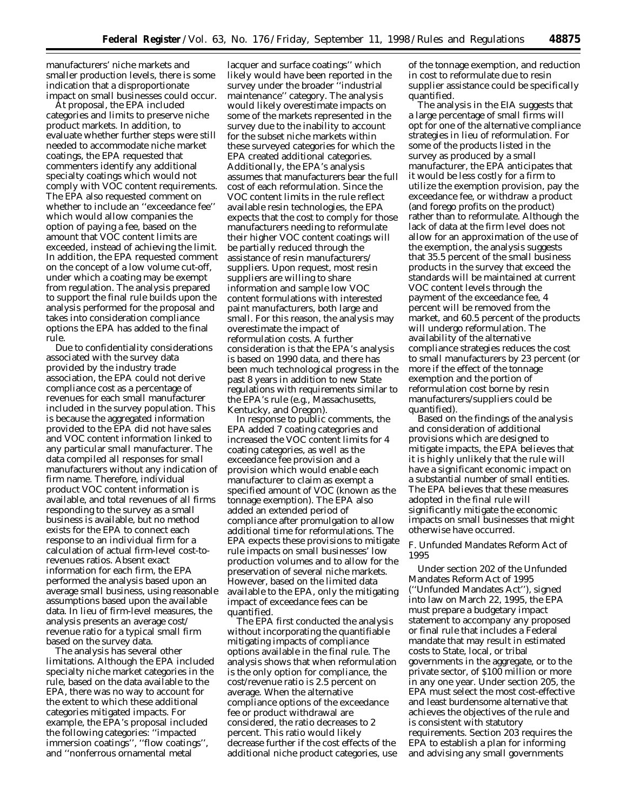manufacturers' niche markets and smaller production levels, there is some indication that a disproportionate impact on small businesses could occur.

At proposal, the EPA included categories and limits to preserve niche product markets. In addition, to evaluate whether further steps were still needed to accommodate niche market coatings, the EPA requested that commenters identify any additional specialty coatings which would not comply with VOC content requirements. The EPA also requested comment on whether to include an ''exceedance fee'' which would allow companies the option of paying a fee, based on the amount that VOC content limits are exceeded, instead of achieving the limit. In addition, the EPA requested comment on the concept of a low volume cut-off, under which a coating may be exempt from regulation. The analysis prepared to support the final rule builds upon the analysis performed for the proposal and takes into consideration compliance options the EPA has added to the final rule.

Due to confidentiality considerations associated with the survey data provided by the industry trade association, the EPA could not derive compliance cost as a percentage of revenues for each small manufacturer included in the survey population. This is because the aggregated information provided to the EPA did not have sales and VOC content information linked to any particular small manufacturer. The data compiled all responses for small manufacturers without any indication of firm name. Therefore, individual product VOC content information is available, and total revenues of all firms responding to the survey as a small business is available, but no method exists for the EPA to connect each response to an individual firm for a calculation of actual firm-level cost-torevenues ratios. Absent exact information for each firm, the EPA performed the analysis based upon an average small business, using reasonable assumptions based upon the available data. In lieu of firm-level measures, the analysis presents an average cost/ revenue ratio for a typical small firm based on the survey data.

The analysis has several other limitations. Although the EPA included specialty niche market categories in the rule, based on the data available to the EPA, there was no way to account for the extent to which these additional categories mitigated impacts. For example, the EPA's proposal included the following categories: ''impacted immersion coatings'', ''flow coatings'', and ''nonferrous ornamental metal

lacquer and surface coatings'' which likely would have been reported in the survey under the broader ''industrial maintenance'' category. The analysis would likely overestimate impacts on some of the markets represented in the survey due to the inability to account for the subset niche markets within these surveyed categories for which the EPA created additional categories. Additionally, the EPA's analysis assumes that manufacturers bear the full cost of each reformulation. Since the VOC content limits in the rule reflect available resin technologies, the EPA expects that the cost to comply for those manufacturers needing to reformulate their higher VOC content coatings will be partially reduced through the assistance of resin manufacturers/ suppliers. Upon request, most resin suppliers are willing to share information and sample low VOC content formulations with interested paint manufacturers, both large and small. For this reason, the analysis may overestimate the impact of reformulation costs. A further consideration is that the EPA's analysis is based on 1990 data, and there has been much technological progress in the past 8 years in addition to new State regulations with requirements similar to the EPA's rule (e.g., Massachusetts, Kentucky, and Oregon).

In response to public comments, the EPA added 7 coating categories and increased the VOC content limits for 4 coating categories, as well as the exceedance fee provision and a provision which would enable each manufacturer to claim as exempt a specified amount of VOC (known as the tonnage exemption). The EPA also added an extended period of compliance after promulgation to allow additional time for reformulations. The EPA expects these provisions to mitigate rule impacts on small businesses' low production volumes and to allow for the preservation of several niche markets. However, based on the limited data available to the EPA, only the mitigating impact of exceedance fees can be quantified.

The EPA first conducted the analysis without incorporating the quantifiable mitigating impacts of compliance options available in the final rule. The analysis shows that when reformulation is the only option for compliance, the cost/revenue ratio is 2.5 percent on average. When the alternative compliance options of the exceedance fee or product withdrawal are considered, the ratio decreases to 2 percent. This ratio would likely decrease further if the cost effects of the additional niche product categories, use

of the tonnage exemption, and reduction in cost to reformulate due to resin supplier assistance could be specifically quantified.

The analysis in the EIA suggests that a large percentage of small firms will opt for one of the alternative compliance strategies in lieu of reformulation. For some of the products listed in the survey as produced by a small manufacturer, the EPA anticipates that it would be less costly for a firm to utilize the exemption provision, pay the exceedance fee, or withdraw a product (and forego profits on the product) rather than to reformulate. Although the lack of data at the firm level does not allow for an approximation of the use of the exemption, the analysis suggests that 35.5 percent of the small business products in the survey that exceed the standards will be maintained at current VOC content levels through the payment of the exceedance fee, 4 percent will be removed from the market, and 60.5 percent of the products will undergo reformulation. The availability of the alternative compliance strategies reduces the cost to small manufacturers by 23 percent (or more if the effect of the tonnage exemption and the portion of reformulation cost borne by resin manufacturers/suppliers could be quantified).

Based on the findings of the analysis and consideration of additional provisions which are designed to mitigate impacts, the EPA believes that it is highly unlikely that the rule will have a significant economic impact on a substantial number of small entities. The EPA believes that these measures adopted in the final rule will significantly mitigate the economic impacts on small businesses that might otherwise have occurred.

# *F. Unfunded Mandates Reform Act of 1995*

Under section 202 of the Unfunded Mandates Reform Act of 1995 (''Unfunded Mandates Act''), signed into law on March 22, 1995, the EPA must prepare a budgetary impact statement to accompany any proposed or final rule that includes a Federal mandate that may result in estimated costs to State, local, or tribal governments in the aggregate, or to the private sector, of \$100 million or more in any one year. Under section 205, the EPA must select the most cost-effective and least burdensome alternative that achieves the objectives of the rule and is consistent with statutory requirements. Section 203 requires the EPA to establish a plan for informing and advising any small governments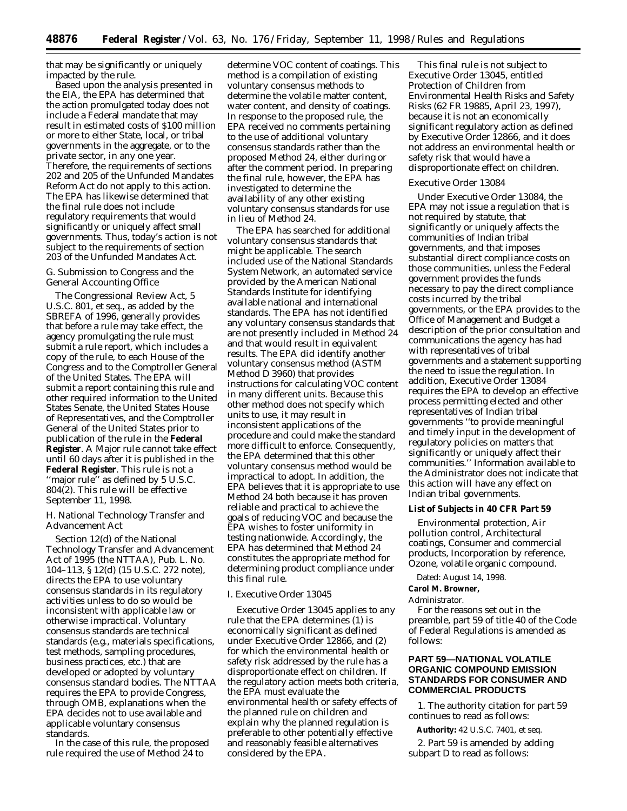that may be significantly or uniquely impacted by the rule.

Based upon the analysis presented in the EIA, the EPA has determined that the action promulgated today does not include a Federal mandate that may result in estimated costs of \$100 million or more to either State, local, or tribal governments in the aggregate, or to the private sector, in any one year. Therefore, the requirements of sections 202 and 205 of the Unfunded Mandates Reform Act do not apply to this action. The EPA has likewise determined that the final rule does not include regulatory requirements that would significantly or uniquely affect small governments. Thus, today's action is not subject to the requirements of section 203 of the Unfunded Mandates Act.

### *G. Submission to Congress and the General Accounting Office*

The Congressional Review Act, 5 U.S.C. 801, *et seq.*, as added by the SBREFA of 1996, generally provides that before a rule may take effect, the agency promulgating the rule must submit a rule report, which includes a copy of the rule, to each House of the Congress and to the Comptroller General of the United States. The EPA will submit a report containing this rule and other required information to the United States Senate, the United States House of Representatives, and the Comptroller General of the United States prior to publication of the rule in the **Federal Register**. A Major rule cannot take effect until 60 days after it is published in the **Federal Register**. This rule is not a ''major rule'' as defined by 5 U.S.C. 804(2). This rule will be effective September 11, 1998.

### *H. National Technology Transfer and Advancement Act*

Section 12(d) of the National Technology Transfer and Advancement Act of 1995 (the NTTAA), Pub. L. No. 104–113, § 12(d) (15 U.S.C. 272 note), directs the EPA to use voluntary consensus standards in its regulatory activities unless to do so would be inconsistent with applicable law or otherwise impractical. Voluntary consensus standards are technical standards (e.g., materials specifications, test methods, sampling procedures, business practices, etc.) that are developed or adopted by voluntary consensus standard bodies. The NTTAA requires the EPA to provide Congress, through OMB, explanations when the EPA decides not to use available and applicable voluntary consensus standards.

In the case of this rule, the proposed rule required the use of Method 24 to

determine VOC content of coatings. This method is a compilation of existing voluntary consensus methods to determine the volatile matter content, water content, and density of coatings. In response to the proposed rule, the EPA received no comments pertaining to the use of additional voluntary consensus standards rather than the proposed Method 24, either during or after the comment period. In preparing the final rule, however, the EPA has investigated to determine the availability of any other existing voluntary consensus standards for use in lieu of Method 24.

The EPA has searched for additional voluntary consensus standards that might be applicable. The search included use of the National Standards System Network, an automated service provided by the American National Standards Institute for identifying available national and international standards. The EPA has not identified any voluntary consensus standards that are not presently included in Method 24 and that would result in equivalent results. The EPA did identify another voluntary consensus method (ASTM Method D 3960) that provides instructions for calculating VOC content in many different units. Because this other method does not specify which units to use, it may result in inconsistent applications of the procedure and could make the standard more difficult to enforce. Consequently, the EPA determined that this other voluntary consensus method would be impractical to adopt. In addition, the EPA believes that it is appropriate to use Method 24 both because it has proven reliable and practical to achieve the goals of reducing VOC and because the EPA wishes to foster uniformity in testing nationwide. Accordingly, the EPA has determined that Method 24 constitutes the appropriate method for determining product compliance under this final rule.

#### *I. Executive Order 13045*

Executive Order 13045 applies to any rule that the EPA determines (1) is economically significant as defined under Executive Order 12866, and (2) for which the environmental health or safety risk addressed by the rule has a disproportionate effect on children. If the regulatory action meets both criteria, the EPA must evaluate the environmental health or safety effects of the planned rule on children and explain why the planned regulation is preferable to other potentially effective and reasonably feasible alternatives considered by the EPA.

This final rule is not subject to Executive Order 13045, entitled Protection of Children from Environmental Health Risks and Safety Risks (62 FR 19885, April 23, 1997), because it is not an economically significant regulatory action as defined by Executive Order 12866, and it does not address an environmental health or safety risk that would have a disproportionate effect on children.

#### Executive Order 13084

Under Executive Order 13084, the EPA may not issue a regulation that is not required by statute, that significantly or uniquely affects the communities of Indian tribal governments, and that imposes substantial direct compliance costs on those communities, unless the Federal government provides the funds necessary to pay the direct compliance costs incurred by the tribal governments, or the EPA provides to the Office of Management and Budget a description of the prior consultation and communications the agency has had with representatives of tribal governments and a statement supporting the need to issue the regulation. In addition, Executive Order 13084 requires the EPA to develop an effective process permitting elected and other representatives of Indian tribal governments ''to provide meaningful and timely input in the development of regulatory policies on matters that significantly or uniquely affect their communities.'' Information available to the Administrator does not indicate that this action will have any effect on Indian tribal governments.

#### **List of Subjects in 40 CFR Part 59**

Environmental protection, Air pollution control, Architectural coatings, Consumer and commercial products, Incorporation by reference, Ozone, volatile organic compound.

#### Dated: August 14, 1998.

#### **Carol M. Browner,**

#### *Administrator.*

For the reasons set out in the preamble, part 59 of title 40 of the Code of Federal Regulations is amended as follows:

# **PART 59—NATIONAL VOLATILE ORGANIC COMPOUND EMISSION STANDARDS FOR CONSUMER AND COMMERCIAL PRODUCTS**

1. The authority citation for part 59 continues to read as follows:

**Authority:** 42 U.S.C. 7401, *et seq.*

2. Part 59 is amended by adding subpart D to read as follows: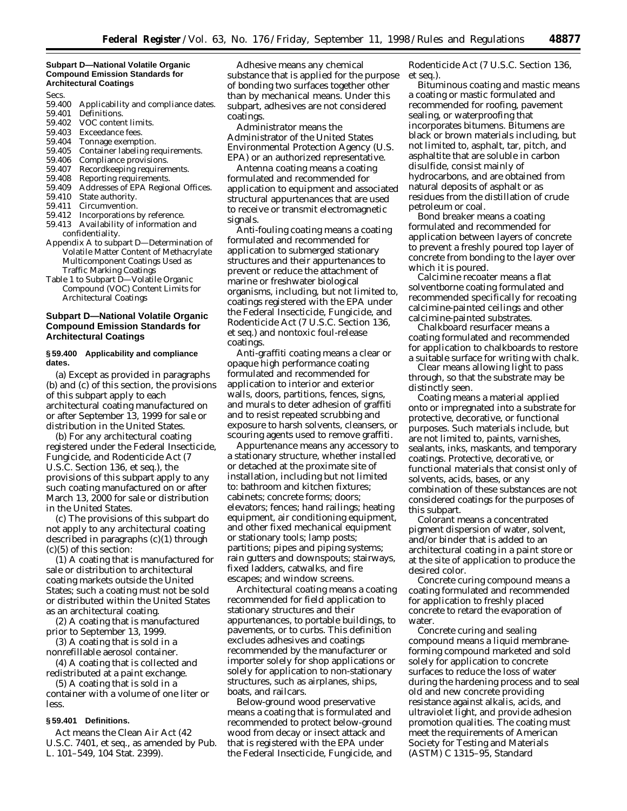#### **Subpart D—National Volatile Organic Compound Emission Standards for Architectural Coatings**

Secs.

- 59.400 Applicability and compliance dates.<br>59.401 Definitions.
- Definitions.
- 59.402 VOC content limits.
- 59.403 Exceedance fees.
- 59.404 Tonnage exemption.
- 59.405 Container labeling requirements.
- 59.406 Compliance provisions.
- 59.407 Recordkeeping requirements.<br>59.408 Reporting requirements. Reporting requirements.
- 
- 59.409 Addresses of EPA Regional Offices.
- 59.410 State authority.
- 59.411 Circumvention.
- 59.412 Incorporations by reference. 59.413 Availability of information and confidentiality.
- Appendix A to subpart D—Determination of Volatile Matter Content of Methacrylate Multicomponent Coatings Used as Traffic Marking Coatings
- Table 1 to Subpart D—Volatile Organic Compound (VOC) Content Limits for Architectural Coatings

## **Subpart D—National Volatile Organic Compound Emission Standards for Architectural Coatings**

### **§ 59.400 Applicability and compliance dates.**

(a) Except as provided in paragraphs (b) and (c) of this section, the provisions of this subpart apply to each architectural coating manufactured on or after September 13, 1999 for sale or distribution in the United States.

(b) For any architectural coating registered under the Federal Insecticide, Fungicide, and Rodenticide Act (7 U.S.C. Section 136, *et seq.*), the provisions of this subpart apply to any such coating manufactured on or after March 13, 2000 for sale or distribution in the United States.

(c) The provisions of this subpart do not apply to any architectural coating described in paragraphs (c)(1) through (c)(5) of this section:

(1) A coating that is manufactured for sale or distribution to architectural coating markets outside the United States; such a coating must not be sold or distributed within the United States as an architectural coating.

(2) A coating that is manufactured prior to September 13, 1999.

(3) A coating that is sold in a nonrefillable aerosol container.

(4) A coating that is collected and redistributed at a paint exchange.

(5) A coating that is sold in a container with a volume of one liter or less.

### **§ 59.401 Definitions.**

*Act* means the Clean Air Act (42 U.S.C. 7401, *et seq.*, as amended by Pub. L. 101–549, 104 Stat. 2399).

*Adhesive* means any chemical substance that is applied for the purpose of bonding two surfaces together other than by mechanical means. Under this subpart, adhesives are not considered coatings.

*Administrator* means the Administrator of the United States Environmental Protection Agency (U.S. EPA) or an authorized representative.

*Antenna coating* means a coating formulated and recommended for application to equipment and associated structural appurtenances that are used to receive or transmit electromagnetic signals.

*Anti-fouling coating* means a coating formulated and recommended for application to submerged stationary structures and their appurtenances to prevent or reduce the attachment of marine or freshwater biological organisms, including, but not limited to, coatings registered with the EPA under the Federal Insecticide, Fungicide, and Rodenticide Act (7 U.S.C. Section 136, *et seq.*) and nontoxic foul-release coatings.

*Anti-graffiti coating* means a clear or opaque high performance coating formulated and recommended for application to interior and exterior walls, doors, partitions, fences, signs, and murals to deter adhesion of graffiti and to resist repeated scrubbing and exposure to harsh solvents, cleansers, or scouring agents used to remove graffiti.

*Appurtenance* means any accessory to a stationary structure, whether installed or detached at the proximate site of installation, including but not limited to: bathroom and kitchen fixtures; cabinets; concrete forms; doors; elevators; fences; hand railings; heating equipment, air conditioning equipment, and other fixed mechanical equipment or stationary tools; lamp posts; partitions; pipes and piping systems; rain gutters and downspouts; stairways, fixed ladders, catwalks, and fire escapes; and window screens.

*Architectural coating* means a coating recommended for field application to stationary structures and their appurtenances, to portable buildings, to pavements, or to curbs. This definition excludes adhesives and coatings recommended by the manufacturer or importer solely for shop applications or solely for application to non-stationary structures, such as airplanes, ships, boats, and railcars.

*Below-ground wood preservative* means a coating that is formulated and recommended to protect below-ground wood from decay or insect attack and that is registered with the EPA under the Federal Insecticide, Fungicide, and Rodenticide Act (7 U.S.C. Section 136, *et seq.*).

*Bituminous coating and mastic* means a coating or mastic formulated and recommended for roofing, pavement sealing, or waterproofing that incorporates bitumens. Bitumens are black or brown materials including, but not limited to, asphalt, tar, pitch, and asphaltite that are soluble in carbon disulfide, consist mainly of hydrocarbons, and are obtained from natural deposits of asphalt or as residues from the distillation of crude petroleum or coal.

*Bond breaker* means a coating formulated and recommended for application between layers of concrete to prevent a freshly poured top layer of concrete from bonding to the layer over which it is poured.

*Calcimine recoater* means a flat solventborne coating formulated and recommended specifically for recoating calcimine-painted ceilings and other calcimine-painted substrates.

*Chalkboard resurfacer* means a coating formulated and recommended for application to chalkboards to restore a suitable surface for writing with chalk.

*Clear* means allowing light to pass through, so that the substrate may be distinctly seen.

*Coating* means a material applied onto or impregnated into a substrate for protective, decorative, or functional purposes. Such materials include, but are not limited to, paints, varnishes, sealants, inks, maskants, and temporary coatings. Protective, decorative, or functional materials that consist only of solvents, acids, bases, or any combination of these substances are not considered coatings for the purposes of this subpart.

*Colorant* means a concentrated pigment dispersion of water, solvent, and/or binder that is added to an architectural coating in a paint store or at the site of application to produce the desired color.

*Concrete curing compound* means a coating formulated and recommended for application to freshly placed concrete to retard the evaporation of water.

*Concrete curing and sealing compound* means a liquid membraneforming compound marketed and sold solely for application to concrete surfaces to reduce the loss of water during the hardening process and to seal old and new concrete providing resistance against alkalis, acids, and ultraviolet light, and provide adhesion promotion qualities. The coating must meet the requirements of American Society for Testing and Materials (ASTM) C 1315–95, Standard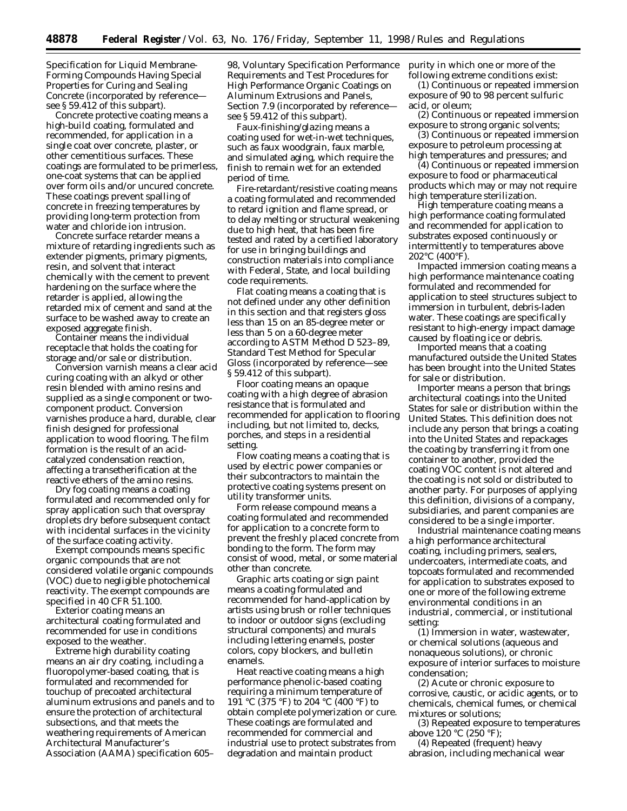Specification for Liquid Membrane-Forming Compounds Having Special Properties for Curing and Sealing Concrete (incorporated by reference see § 59.412 of this subpart).

*Concrete protective coating* means a high-build coating, formulated and recommended, for application in a single coat over concrete, plaster, or other cementitious surfaces. These coatings are formulated to be primerless, one-coat systems that can be applied over form oils and/or uncured concrete. These coatings prevent spalling of concrete in freezing temperatures by providing long-term protection from water and chloride ion intrusion.

*Concrete surface retarder* means a mixture of retarding ingredients such as extender pigments, primary pigments, resin, and solvent that interact chemically with the cement to prevent hardening on the surface where the retarder is applied, allowing the retarded mix of cement and sand at the surface to be washed away to create an exposed aggregate finish.

*Container* means the individual receptacle that holds the coating for storage and/or sale or distribution.

*Conversion varnish* means a clear acid curing coating with an alkyd or other resin blended with amino resins and supplied as a single component or twocomponent product. Conversion varnishes produce a hard, durable, clear finish designed for professional application to wood flooring. The film formation is the result of an acidcatalyzed condensation reaction, affecting a transetherification at the reactive ethers of the amino resins.

*Dry fog coating* means a coating formulated and recommended only for spray application such that overspray droplets dry before subsequent contact with incidental surfaces in the vicinity of the surface coating activity.

*Exempt compounds* means specific organic compounds that are not considered volatile organic compounds (VOC) due to negligible photochemical reactivity. The exempt compounds are specified in 40 CFR 51.100.

*Exterior coating* means an architectural coating formulated and recommended for use in conditions exposed to the weather.

*Extreme high durability coating* means an air dry coating, including a fluoropolymer-based coating, that is formulated and recommended for touchup of precoated architectural aluminum extrusions and panels and to ensure the protection of architectural subsections, and that meets the weathering requirements of American Architectural Manufacturer's Association (AAMA) specification 605–

98, Voluntary Specification Performance Requirements and Test Procedures for High Performance Organic Coatings on Aluminum Extrusions and Panels, Section 7.9 (incorporated by reference see § 59.412 of this subpart).

*Faux-finishing/glazing* means a coating used for wet-in-wet techniques, such as faux woodgrain, faux marble, and simulated aging, which require the finish to remain wet for an extended period of time.

*Fire-retardant/resistive coating* means a coating formulated and recommended to retard ignition and flame spread, or to delay melting or structural weakening due to high heat, that has been fire tested and rated by a certified laboratory for use in bringing buildings and construction materials into compliance with Federal, State, and local building code requirements.

*Flat coating* means a coating that is not defined under any other definition in this section and that registers gloss less than 15 on an 85-degree meter or less than 5 on a 60-degree meter according to ASTM Method D 523–89, Standard Test Method for Specular Gloss (incorporated by reference—see § 59.412 of this subpart).

*Floor coating* means an opaque coating with a high degree of abrasion resistance that is formulated and recommended for application to flooring including, but not limited to, decks, porches, and steps in a residential setting.

*Flow coating* means a coating that is used by electric power companies or their subcontractors to maintain the protective coating systems present on utility transformer units.

*Form release compound* means a coating formulated and recommended for application to a concrete form to prevent the freshly placed concrete from bonding to the form. The form may consist of wood, metal, or some material other than concrete.

*Graphic arts coating* or *sign paint* means a coating formulated and recommended for hand-application by artists using brush or roller techniques to indoor or outdoor signs (excluding structural components) and murals including lettering enamels, poster colors, copy blockers, and bulletin enamels.

*Heat reactive coating* means a high performance phenolic-based coating requiring a minimum temperature of 191 °C (375 °F) to 204 °C (400 °F) to obtain complete polymerization or cure. These coatings are formulated and recommended for commercial and industrial use to protect substrates from degradation and maintain product

purity in which one or more of the following extreme conditions exist:

(1) Continuous or repeated immersion exposure of 90 to 98 percent sulfuric acid, or oleum;

(2) Continuous or repeated immersion exposure to strong organic solvents;

(3) Continuous or repeated immersion exposure to petroleum processing at high temperatures and pressures; and

(4) Continuous or repeated immersion exposure to food or pharmaceutical products which may or may not require high temperature sterilization.

*High temperature coating* means a high performance coating formulated and recommended for application to substrates exposed continuously or intermittently to temperatures above 202°C (400°F).

*Impacted immersion coating* means a high performance maintenance coating formulated and recommended for application to steel structures subject to immersion in turbulent, debris-laden water. These coatings are specifically resistant to high-energy impact damage caused by floating ice or debris.

*Imported* means that a coating manufactured outside the United States has been brought into the United States for sale or distribution.

*Importer* means a person that brings architectural coatings into the United States for sale or distribution within the United States. This definition does not include any person that brings a coating into the United States and repackages the coating by transferring it from one container to another, provided the coating VOC content is not altered and the coating is not sold or distributed to another party. For purposes of applying this definition, divisions of a company, subsidiaries, and parent companies are considered to be a single importer.

*Industrial maintenance coating* means a high performance architectural coating, including primers, sealers, undercoaters, intermediate coats, and topcoats formulated and recommended for application to substrates exposed to one or more of the following extreme environmental conditions in an industrial, commercial, or institutional setting:

(1) Immersion in water, wastewater, or chemical solutions (aqueous and nonaqueous solutions), or chronic exposure of interior surfaces to moisture condensation;

(2) Acute or chronic exposure to corrosive, caustic, or acidic agents, or to chemicals, chemical fumes, or chemical mixtures or solutions;

(3) Repeated exposure to temperatures above 120 °C (250 °F);

(4) Repeated (frequent) heavy abrasion, including mechanical wear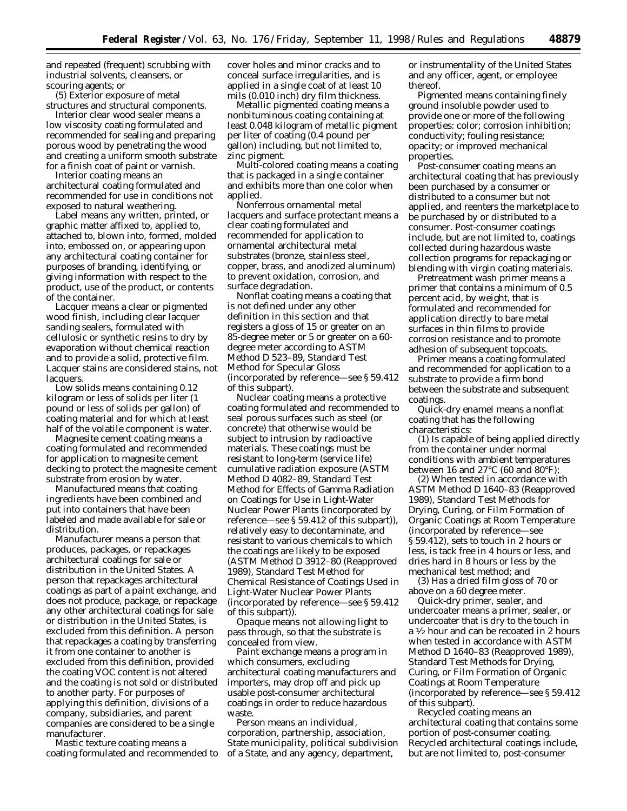and repeated (frequent) scrubbing with industrial solvents, cleansers, or scouring agents; or

(5) Exterior exposure of metal structures and structural components.

*Interior clear wood sealer* means a low viscosity coating formulated and recommended for sealing and preparing porous wood by penetrating the wood and creating a uniform smooth substrate for a finish coat of paint or varnish.

*Interior coating* means an architectural coating formulated and recommended for use in conditions not exposed to natural weathering.

*Label* means any written, printed, or graphic matter affixed to, applied to, attached to, blown into, formed, molded into, embossed on, or appearing upon any architectural coating container for purposes of branding, identifying, or giving information with respect to the product, use of the product, or contents of the container.

*Lacquer* means a clear or pigmented wood finish, including clear lacquer sanding sealers, formulated with cellulosic or synthetic resins to dry by evaporation without chemical reaction and to provide a solid, protective film. Lacquer stains are considered stains, not lacquers.

*Low solids* means containing 0.12 kilogram or less of solids per liter (1 pound or less of solids per gallon) of coating material and for which at least half of the volatile component is water.

*Magnesite cement coating* means a coating formulated and recommended for application to magnesite cement decking to protect the magnesite cement substrate from erosion by water.

*Manufactured* means that coating ingredients have been combined and put into containers that have been labeled and made available for sale or distribution.

*Manufacturer* means a person that produces, packages, or repackages architectural coatings for sale or distribution in the United States. A person that repackages architectural coatings as part of a paint exchange, and does not produce, package, or repackage any other architectural coatings for sale or distribution in the United States, is excluded from this definition. A person that repackages a coating by transferring it from one container to another is excluded from this definition, provided the coating VOC content is not altered and the coating is not sold or distributed to another party. For purposes of applying this definition, divisions of a company, subsidiaries, and parent companies are considered to be a single manufacturer.

*Mastic texture coating* means a coating formulated and recommended to cover holes and minor cracks and to conceal surface irregularities, and is applied in a single coat of at least 10 mils (0.010 inch) dry film thickness.

*Metallic pigmented coating* means a nonbituminous coating containing at least 0.048 kilogram of metallic pigment per liter of coating (0.4 pound per gallon) including, but not limited to, zinc pigment.

*Multi-colored coating* means a coating that is packaged in a single container and exhibits more than one color when applied.

*Nonferrous ornamental metal lacquers and surface protectant* means a clear coating formulated and recommended for application to ornamental architectural metal substrates (bronze, stainless steel, copper, brass, and anodized aluminum) to prevent oxidation, corrosion, and surface degradation.

*Nonflat coating* means a coating that is not defined under any other definition in this section and that registers a gloss of 15 or greater on an 85-degree meter or 5 or greater on a 60 degree meter according to ASTM Method D 523–89, Standard Test Method for Specular Gloss (incorporated by reference—see § 59.412 of this subpart).

*Nuclear coating* means a protective coating formulated and recommended to seal porous surfaces such as steel (or concrete) that otherwise would be subject to intrusion by radioactive materials. These coatings must be resistant to long-term (service life) cumulative radiation exposure (ASTM Method D 4082–89, Standard Test Method for Effects of Gamma Radiation on Coatings for Use in Light-Water Nuclear Power Plants (incorporated by reference—see § 59.412 of this subpart)), relatively easy to decontaminate, and resistant to various chemicals to which the coatings are likely to be exposed (ASTM Method D 3912–80 (Reapproved 1989), Standard Test Method for Chemical Resistance of Coatings Used in Light-Water Nuclear Power Plants (incorporated by reference—see § 59.412 of this subpart)).

*Opaque* means not allowing light to pass through, so that the substrate is concealed from view.

*Paint exchange* means a program in which consumers, excluding architectural coating manufacturers and importers, may drop off and pick up usable post-consumer architectural coatings in order to reduce hazardous waste.

*Person* means an individual, corporation, partnership, association, State municipality, political subdivision of a State, and any agency, department,

or instrumentality of the United States and any officer, agent, or employee thereof.

*Pigmented* means containing finely ground insoluble powder used to provide one or more of the following properties: color; corrosion inhibition; conductivity; fouling resistance; opacity; or improved mechanical properties.

*Post-consumer coating* means an architectural coating that has previously been purchased by a consumer or distributed to a consumer but not applied, and reenters the marketplace to be purchased by or distributed to a consumer. Post-consumer coatings include, but are not limited to, coatings collected during hazardous waste collection programs for repackaging or blending with virgin coating materials.

*Pretreatment wash primer* means a primer that contains a minimum of 0.5 percent acid, by weight, that is formulated and recommended for application directly to bare metal surfaces in thin films to provide corrosion resistance and to promote adhesion of subsequent topcoats.

*Primer* means a coating formulated and recommended for application to a substrate to provide a firm bond between the substrate and subsequent coatings.

*Quick-dry enamel* means a nonflat coating that has the following characteristics:

(1) Is capable of being applied directly from the container under normal conditions with ambient temperatures between 16 and 27°C (60 and 80°F);

(2) When tested in accordance with ASTM Method D 1640–83 (Reapproved 1989), Standard Test Methods for Drying, Curing, or Film Formation of Organic Coatings at Room Temperature (incorporated by reference—see § 59.412), sets to touch in 2 hours or less, is tack free in 4 hours or less, and dries hard in 8 hours or less by the mechanical test method; and

(3) Has a dried film gloss of 70 or above on a 60 degree meter.

*Quick-dry primer, sealer, and undercoater* means a primer, sealer, or undercoater that is dry to the touch in a 1⁄2 hour and can be recoated in 2 hours when tested in accordance with ASTM Method D 1640–83 (Reapproved 1989), Standard Test Methods for Drying, Curing, or Film Formation of Organic Coatings at Room Temperature (incorporated by reference—see § 59.412 of this subpart).

*Recycled coating* means an architectural coating that contains some portion of post-consumer coating. Recycled architectural coatings include, but are not limited to, post-consumer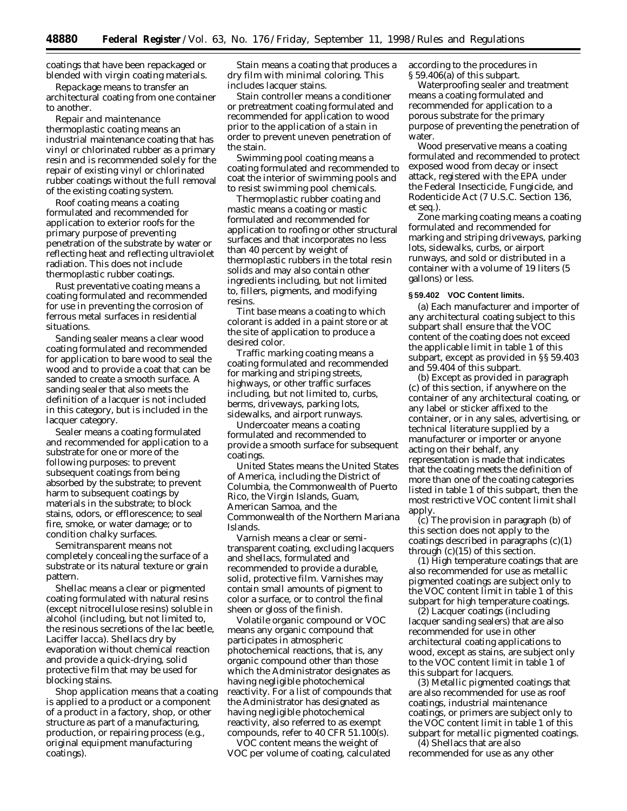coatings that have been repackaged or blended with virgin coating materials.

*Repackage* means to transfer an architectural coating from one container to another.

*Repair and maintenance thermoplastic coating* means an industrial maintenance coating that has vinyl or chlorinated rubber as a primary resin and is recommended solely for the repair of existing vinyl or chlorinated rubber coatings without the full removal of the existing coating system.

*Roof coating* means a coating formulated and recommended for application to exterior roofs for the primary purpose of preventing penetration of the substrate by water or reflecting heat and reflecting ultraviolet radiation. This does not include thermoplastic rubber coatings.

*Rust preventative coating* means a coating formulated and recommended for use in preventing the corrosion of ferrous metal surfaces in residential situations.

*Sanding sealer* means a clear wood coating formulated and recommended for application to bare wood to seal the wood and to provide a coat that can be sanded to create a smooth surface. A sanding sealer that also meets the definition of a lacquer is not included in this category, but is included in the lacquer category.

*Sealer* means a coating formulated and recommended for application to a substrate for one or more of the following purposes: to prevent subsequent coatings from being absorbed by the substrate; to prevent harm to subsequent coatings by materials in the substrate; to block stains, odors, or efflorescence; to seal fire, smoke, or water damage; or to condition chalky surfaces.

*Semitransparent* means not completely concealing the surface of a substrate or its natural texture or grain pattern.

*Shellac* means a clear or pigmented coating formulated with natural resins (except nitrocellulose resins) soluble in alcohol (including, but not limited to, the resinous secretions of the lac beetle, *Laciffer lacca*). Shellacs dry by evaporation without chemical reaction and provide a quick-drying, solid protective film that may be used for blocking stains.

*Shop application* means that a coating is applied to a product or a component of a product in a factory, shop, or other structure as part of a manufacturing, production, or repairing process (e.g., original equipment manufacturing coatings).

*Stain* means a coating that produces a dry film with minimal coloring. This includes lacquer stains.

*Stain controller* means a conditioner or pretreatment coating formulated and recommended for application to wood prior to the application of a stain in order to prevent uneven penetration of the stain.

*Swimming pool coating* means a coating formulated and recommended to coat the interior of swimming pools and to resist swimming pool chemicals.

*Thermoplastic rubber coating and mastic* means a coating or mastic formulated and recommended for application to roofing or other structural surfaces and that incorporates no less than 40 percent by weight of thermoplastic rubbers in the total resin solids and may also contain other ingredients including, but not limited to, fillers, pigments, and modifying resins.

*Tint base* means a coating to which colorant is added in a paint store or at the site of application to produce a desired color.

*Traffic marking coating* means a coating formulated and recommended for marking and striping streets, highways, or other traffic surfaces including, but not limited to, curbs, berms, driveways, parking lots, sidewalks, and airport runways.

*Undercoater* means a coating formulated and recommended to provide a smooth surface for subsequent coatings.

*United States* means the United States of America, including the District of Columbia, the Commonwealth of Puerto Rico, the Virgin Islands, Guam, American Samoa, and the Commonwealth of the Northern Mariana Islands.

*Varnish* means a clear or semitransparent coating, excluding lacquers and shellacs, formulated and recommended to provide a durable, solid, protective film. Varnishes may contain small amounts of pigment to color a surface, or to control the final sheen or gloss of the finish.

*Volatile organic compound* or *VOC* means any organic compound that participates in atmospheric photochemical reactions, that is, any organic compound other than those which the Administrator designates as having negligible photochemical reactivity. For a list of compounds that the Administrator has designated as having negligible photochemical reactivity, also referred to as exempt compounds, refer to 40 CFR 51.100(s).

*VOC content* means the weight of VOC per volume of coating, calculated according to the procedures in § 59.406(a) of this subpart.

*Waterproofing sealer and treatment* means a coating formulated and recommended for application to a porous substrate for the primary purpose of preventing the penetration of water.

*Wood preservative* means a coating formulated and recommended to protect exposed wood from decay or insect attack, registered with the EPA under the Federal Insecticide, Fungicide, and Rodenticide Act (7 U.S.C. Section 136, *et seq.*).

*Zone marking coating* means a coating formulated and recommended for marking and striping driveways, parking lots, sidewalks, curbs, or airport runways, and sold or distributed in a container with a volume of 19 liters (5 gallons) or less.

#### **§ 59.402 VOC Content limits.**

(a) Each manufacturer and importer of any architectural coating subject to this subpart shall ensure that the VOC content of the coating does not exceed the applicable limit in table 1 of this subpart, except as provided in §§ 59.403 and 59.404 of this subpart.

(b) Except as provided in paragraph (c) of this section, if anywhere on the container of any architectural coating, or any label or sticker affixed to the container, or in any sales, advertising, or technical literature supplied by a manufacturer or importer or anyone acting on their behalf, any representation is made that indicates that the coating meets the definition of more than one of the coating categories listed in table 1 of this subpart, then the most restrictive VOC content limit shall apply.

(c) The provision in paragraph (b) of this section does not apply to the coatings described in paragraphs (c)(1) through (c)(15) of this section.

(1) High temperature coatings that are also recommended for use as metallic pigmented coatings are subject only to the VOC content limit in table 1 of this subpart for high temperature coatings.

(2) Lacquer coatings (including lacquer sanding sealers) that are also recommended for use in other architectural coating applications to wood, except as stains, are subject only to the VOC content limit in table 1 of this subpart for lacquers.

(3) Metallic pigmented coatings that are also recommended for use as roof coatings, industrial maintenance coatings, or primers are subject only to the VOC content limit in table 1 of this subpart for metallic pigmented coatings.

(4) Shellacs that are also recommended for use as any other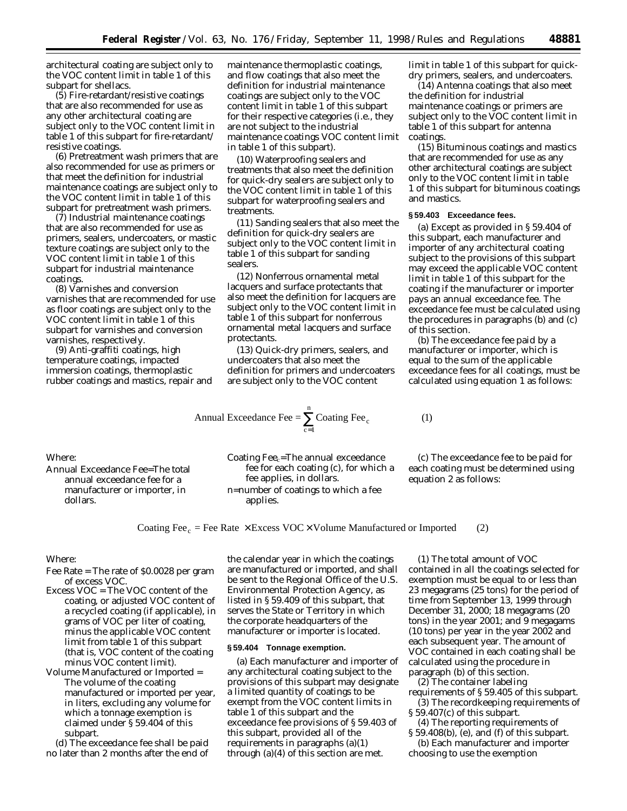architectural coating are subject only to the VOC content limit in table 1 of this subpart for shellacs.

(5) Fire-retardant/resistive coatings that are also recommended for use as any other architectural coating are subject only to the VOC content limit in table 1 of this subpart for fire-retardant/ resistive coatings.

(6) Pretreatment wash primers that are also recommended for use as primers or that meet the definition for industrial maintenance coatings are subject only to the VOC content limit in table 1 of this subpart for pretreatment wash primers.

(7) Industrial maintenance coatings that are also recommended for use as primers, sealers, undercoaters, or mastic texture coatings are subject only to the VOC content limit in table 1 of this subpart for industrial maintenance coatings.

(8) Varnishes and conversion varnishes that are recommended for use as floor coatings are subject only to the VOC content limit in table 1 of this subpart for varnishes and conversion varnishes, respectively.

(9) Anti-graffiti coatings, high temperature coatings, impacted immersion coatings, thermoplastic rubber coatings and mastics, repair and maintenance thermoplastic coatings, and flow coatings that also meet the definition for industrial maintenance coatings are subject only to the VOC content limit in table 1 of this subpart for their respective categories (i.e., they are not subject to the industrial maintenance coatings VOC content limit in table 1 of this subpart).

(10) Waterproofing sealers and treatments that also meet the definition for quick-dry sealers are subject only to the VOC content limit in table 1 of this subpart for waterproofing sealers and treatments.

(11) Sanding sealers that also meet the definition for quick-dry sealers are subject only to the VOC content limit in table 1 of this subpart for sanding sealers.

(12) Nonferrous ornamental metal lacquers and surface protectants that also meet the definition for lacquers are subject only to the VOC content limit in table 1 of this subpart for nonferrous ornamental metal lacquers and surface protectants.

(13) Quick-dry primers, sealers, and undercoaters that also meet the definition for primers and undercoaters are subject only to the VOC content

Annual Exceedance Fee =  $\sum$  Coating Fee<sub>c</sub> (1)  $c = 1$ 

n  $\sum_{c=1}$  limit in table 1 of this subpart for quickdry primers, sealers, and undercoaters.

(14) Antenna coatings that also meet the definition for industrial maintenance coatings or primers are subject only to the VOC content limit in table 1 of this subpart for antenna coatings.

(15) Bituminous coatings and mastics that are recommended for use as any other architectural coatings are subject only to the VOC content limit in table 1 of this subpart for bituminous coatings and mastics.

#### **§ 59.403 Exceedance fees.**

(a) Except as provided in § 59.404 of this subpart, each manufacturer and importer of any architectural coating subject to the provisions of this subpart may exceed the applicable VOC content limit in table 1 of this subpart for the coating if the manufacturer or importer pays an annual exceedance fee. The exceedance fee must be calculated using the procedures in paragraphs (b) and (c) of this section.

(b) The exceedance fee paid by a manufacturer or importer, which is equal to the sum of the applicable exceedance fees for all coatings, must be calculated using equation 1 as follows:

# Where:

Annual Exceedance Fee=The total annual exceedance fee for a manufacturer or importer, in dollars.

Coating Fee<sub>c</sub>=The annual exceedance fee for each coating (c), for which a fee applies, in dollars. n=number of coatings to which a fee applies.

(c) The exceedance fee to be paid for each coating must be determined using equation 2 as follows:

Coating Fee<sub>c</sub> = Fee Rate  $\times$  Excess VOC  $\times$  Volume Manufactured or Imported (2)

### Where:

- Fee Rate = The rate of \$0.0028 per gram of excess VOC.
- Excess VOC = The VOC content of the coating, or adjusted VOC content of a recycled coating (if applicable), in grams of VOC per liter of coating, minus the applicable VOC content limit from table 1 of this subpart (that is, VOC content of the coating minus VOC content limit).
- Volume Manufactured or Imported = The volume of the coating manufactured or imported per year, in liters, excluding any volume for which a tonnage exemption is claimed under § 59.404 of this subpart.

(d) The exceedance fee shall be paid no later than 2 months after the end of

the calendar year in which the coatings are manufactured or imported, and shall be sent to the Regional Office of the U.S. Environmental Protection Agency, as listed in § 59.409 of this subpart, that serves the State or Territory in which the corporate headquarters of the manufacturer or importer is located.

#### **§ 59.404 Tonnage exemption.**

(a) Each manufacturer and importer of any architectural coating subject to the provisions of this subpart may designate a limited quantity of coatings to be exempt from the VOC content limits in table 1 of this subpart and the exceedance fee provisions of § 59.403 of this subpart, provided all of the requirements in paragraphs (a)(1) through (a)(4) of this section are met.

(1) The total amount of VOC contained in all the coatings selected for exemption must be equal to or less than 23 megagrams (25 tons) for the period of time from September 13, 1999 through December 31, 2000; 18 megagrams (20 tons) in the year 2001; and 9 megagams (10 tons) per year in the year 2002 and each subsequent year. The amount of VOC contained in each coating shall be calculated using the procedure in paragraph (b) of this section.

(2) The container labeling

- requirements of § 59.405 of this subpart. (3) The recordkeeping requirements of § 59.407(c) of this subpart.
- (4) The reporting requirements of § 59.408(b), (e), and (f) of this subpart.
- (b) Each manufacturer and importer choosing to use the exemption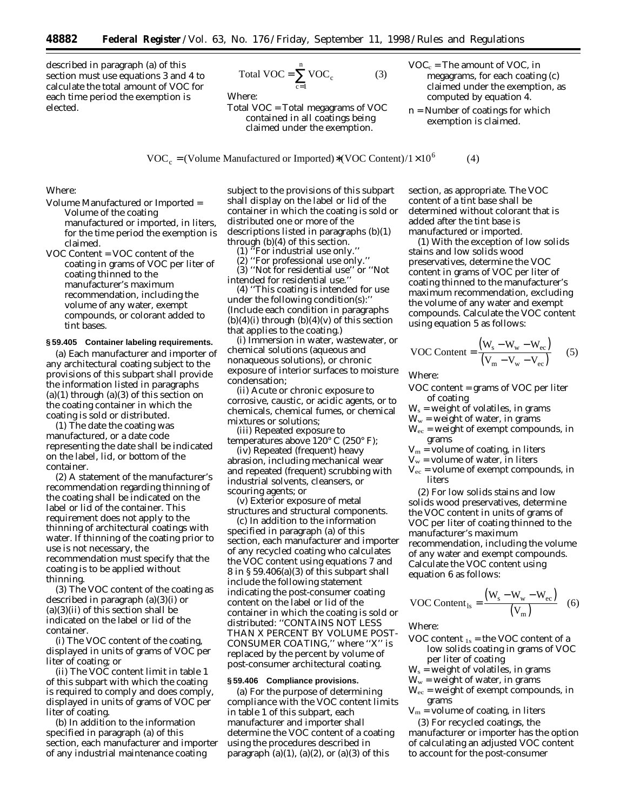described in paragraph (a) of this section must use equations 3 and 4 to calculate the total amount of VOC for each time period the exemption is elected.

$$
Total VOC = \sum_{c=1}^{n} VOC_c
$$
 (3)

Where:

Total VOC = Total megagrams of VOC contained in all coatings being claimed under the exemption.

- $VOC_c$  = The amount of VOC, in megagrams, for each coating (c) claimed under the exemption, as computed by equation 4.
- n = Number of coatings for which exemption is claimed.

 $VOC_c = (Volume Manufactured or Improved)*(VOC Content)/1 \times 10^6$  (4)

Where:

- Volume Manufactured or Imported = Volume of the coating manufactured or imported, in liters, for the time period the exemption is claimed.
- VOC Content = VOC content of the coating in grams of VOC per liter of coating thinned to the manufacturer's maximum recommendation, including the volume of any water, exempt compounds, or colorant added to tint bases.

## **§ 59.405 Container labeling requirements.**

(a) Each manufacturer and importer of any architectural coating subject to the provisions of this subpart shall provide the information listed in paragraphs  $(a)(1)$  through  $(a)(3)$  of this section on the coating container in which the coating is sold or distributed.

(1) The date the coating was manufactured, or a date code representing the date shall be indicated on the label, lid, or bottom of the container.

(2) A statement of the manufacturer's recommendation regarding thinning of the coating shall be indicated on the label or lid of the container. This requirement does not apply to the thinning of architectural coatings with water. If thinning of the coating prior to use is not necessary, the recommendation must specify that the coating is to be applied without thinning.

(3) The VOC content of the coating as described in paragraph (a)(3)(i) or  $(a)(3)(ii)$  of this section shall be indicated on the label or lid of the container.

(i) The VOC content of the coating, displayed in units of grams of VOC per liter of coating; or

(ii) The VOC content limit in table 1 of this subpart with which the coating is required to comply and does comply, displayed in units of grams of VOC per liter of coating.

(b) In addition to the information specified in paragraph (a) of this section, each manufacturer and importer of any industrial maintenance coating

subject to the provisions of this subpart shall display on the label or lid of the container in which the coating is sold or distributed one or more of the descriptions listed in paragraphs (b)(1) through (b)(4) of this section.

 $(1)$  <sup> $\pi$ </sup>For industrial use only."

(2) ''For professional use only.''

(3) ''Not for residential use'' or ''Not intended for residential use.''

(4) ''This coating is intended for use under the following condition(s):'' (Include each condition in paragraphs  $(b)(4)(i)$  through  $(b)(4)(v)$  of this section that applies to the coating.)

(i) Immersion in water, wastewater, or chemical solutions (aqueous and nonaqueous solutions), or chronic exposure of interior surfaces to moisture condensation;

(ii) Acute or chronic exposure to corrosive, caustic, or acidic agents, or to chemicals, chemical fumes, or chemical mixtures or solutions;

(iii) Repeated exposure to temperatures above 120° C (250° F);

(iv) Repeated (frequent) heavy abrasion, including mechanical wear and repeated (frequent) scrubbing with industrial solvents, cleansers, or scouring agents; or

(v) Exterior exposure of metal structures and structural components.

(c) In addition to the information specified in paragraph (a) of this section, each manufacturer and importer of any recycled coating who calculates the VOC content using equations 7 and 8 in § 59.406(a)(3) of this subpart shall include the following statement indicating the post-consumer coating content on the label or lid of the container in which the coating is sold or distributed: ''CONTAINS NOT LESS THAN X PERCENT BY VOLUME POST-CONSUMER COATING,'' where ''X'' is replaced by the percent by volume of post-consumer architectural coating.

### **§ 59.406 Compliance provisions.**

(a) For the purpose of determining compliance with the VOC content limits in table 1 of this subpart, each manufacturer and importer shall determine the VOC content of a coating using the procedures described in paragraph  $(a)(1)$ ,  $(a)(2)$ , or  $(a)(3)$  of this

section, as appropriate. The VOC content of a tint base shall be determined without colorant that is added after the tint base is manufactured or imported.

(1) With the exception of low solids stains and low solids wood preservatives, determine the VOC content in grams of VOC per liter of coating thinned to the manufacturer's maximum recommendation, excluding the volume of any water and exempt compounds. Calculate the VOC content using equation 5 as follows:

VOC Content = 
$$
\frac{(W_s - W_w - W_{ec})}{(V_m - V_w - V_{ec})}
$$
 (5)

Where:

VOC content = grams of VOC per liter of coating

 $W_s$  = weight of volatiles, in grams

 $W_w$  = weight of water, in grams

- $W_{\rm ec}$  = weight of exempt compounds, in grams
- $V_m$  = volume of coating, in liters
- $V_w$  = volume of water, in liters
- $V_{\text{ec}}$  = volume of exempt compounds, in liters

(2) For low solids stains and low solids wood preservatives, determine the VOC content in units of grams of VOC per liter of coating thinned to the manufacturer's maximum recommendation, including the volume of any water and exempt compounds. Calculate the VOC content using equation 6 as follows:

VOC Content<sub>ls</sub> = 
$$
\frac{(W_s - W_w - W_{ec})}{(V_m)}
$$
 (6)

Where:

- VOC content  $_{1s}$  = the VOC content of a low solids coating in grams of VOC per liter of coating
- $W_s$  = weight of volatiles, in grams

 $W_w$  = weight of water, in grams

 $W_{\text{ec}}$  = weight of exempt compounds, in grams

 $V_m$  = volume of coating, in liters (3) For recycled coatings, the manufacturer or importer has the option of calculating an adjusted VOC content to account for the post-consumer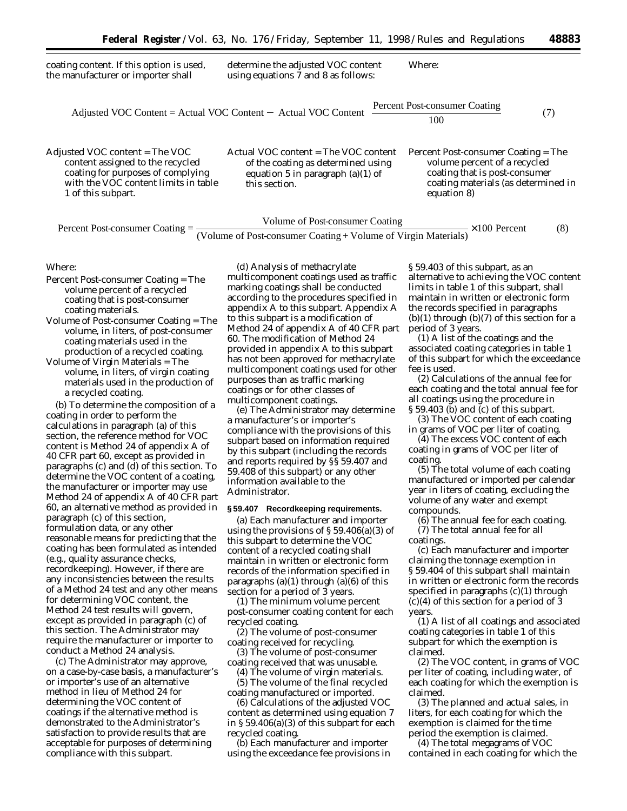| coating content. If this option is used,<br>the manufacturer or importer shall                                                                                        | determine the adjusted VOC content<br>using equations $\overline{7}$ and 8 as follows:                                                  | Where:                                                                                                                                                     |
|-----------------------------------------------------------------------------------------------------------------------------------------------------------------------|-----------------------------------------------------------------------------------------------------------------------------------------|------------------------------------------------------------------------------------------------------------------------------------------------------------|
|                                                                                                                                                                       | Adjusted VOC Content = Actual VOC Content $-\left(Actual VOC Content \left(\frac{Percent Post-consumer Coating}{100}\right)\right)$ (7) |                                                                                                                                                            |
| Adjusted VOC content = The VOC<br>content assigned to the recycled<br>coating for purposes of complying<br>with the VOC content limits in table<br>1 of this subpart. | Actual VOC content = The VOC content<br>of the coating as determined using<br>equation 5 in paragraph $(a)(1)$ of<br>this section.      | Percent Post-consumer Coating = The<br>volume percent of a recycled<br>coating that is post-consumer<br>coating materials (as determined in<br>equation 8) |

Percent Post-consumer Coating  $=$  Volume of Post-consumer Coating

(Volume of Post-consumer Coating + Volume of Virgin Materials)  $-x100$  Percent (8)

### Where:

Percent Post-consumer Coating = The volume percent of a recycled coating that is post-consumer coating materials.

Volume of Post-consumer Coating = The volume, in liters, of post-consumer coating materials used in the production of a recycled coating.

Volume of Virgin Materials = The volume, in liters, of virgin coating materials used in the production of a recycled coating.

(b) To determine the composition of a coating in order to perform the calculations in paragraph (a) of this section, the reference method for VOC content is Method 24 of appendix A of 40 CFR part 60, except as provided in paragraphs (c) and (d) of this section. To determine the VOC content of a coating, the manufacturer or importer may use Method 24 of appendix A of 40 CFR part 60, an alternative method as provided in paragraph (c) of this section, formulation data, or any other reasonable means for predicting that the coating has been formulated as intended (e.g., quality assurance checks, recordkeeping). However, if there are any inconsistencies between the results of a Method 24 test and any other means for determining VOC content, the Method 24 test results will govern, except as provided in paragraph (c) of this section. The Administrator may require the manufacturer or importer to conduct a Method 24 analysis.

(c) The Administrator may approve, on a case-by-case basis, a manufacturer's or importer's use of an alternative method in lieu of Method 24 for determining the VOC content of coatings if the alternative method is demonstrated to the Administrator's satisfaction to provide results that are acceptable for purposes of determining compliance with this subpart.

(d) Analysis of methacrylate multicomponent coatings used as traffic marking coatings shall be conducted according to the procedures specified in appendix A to this subpart. Appendix A to this subpart is a modification of Method 24 of appendix A of 40 CFR part 60. The modification of Method 24 provided in appendix A to this subpart has not been approved for methacrylate multicomponent coatings used for other purposes than as traffic marking coatings or for other classes of multicomponent coatings.

(e) The Administrator may determine a manufacturer's or importer's compliance with the provisions of this subpart based on information required by this subpart (including the records and reports required by §§ 59.407 and 59.408 of this subpart) or any other information available to the Administrator.

## **§ 59.407 Recordkeeping requirements.**

(a) Each manufacturer and importer using the provisions of  $\S 59.406(a)(3)$  of this subpart to determine the VOC content of a recycled coating shall maintain in written or electronic form records of the information specified in paragraphs  $(a)(1)$  through  $(a)(6)$  of this section for a period of 3 years.

(1) The minimum volume percent post-consumer coating content for each recycled coating.

(2) The volume of post-consumer coating received for recycling.

(3) The volume of post-consumer coating received that was unusable.

(4) The volume of virgin materials. (5) The volume of the final recycled coating manufactured or imported.

(6) Calculations of the adjusted VOC content as determined using equation 7 in § 59.406(a)(3) of this subpart for each recycled coating.

(b) Each manufacturer and importer using the exceedance fee provisions in

§ 59.403 of this subpart, as an alternative to achieving the VOC content limits in table 1 of this subpart, shall maintain in written or electronic form the records specified in paragraphs  $(b)(1)$  through  $(b)(7)$  of this section for a period of 3 years.

(1) A list of the coatings and the associated coating categories in table 1 of this subpart for which the exceedance fee is used.

(2) Calculations of the annual fee for each coating and the total annual fee for all coatings using the procedure in § 59.403 (b) and (c) of this subpart.

(3) The VOC content of each coating in grams of VOC per liter of coating.

(4) The excess VOC content of each coating in grams of VOC per liter of coating.

(5) The total volume of each coating manufactured or imported per calendar year in liters of coating, excluding the volume of any water and exempt compounds.

(6) The annual fee for each coating.

(7) The total annual fee for all coatings.

(c) Each manufacturer and importer claiming the tonnage exemption in § 59.404 of this subpart shall maintain in written or electronic form the records specified in paragraphs (c)(1) through  $(c)(4)$  of this section for a period of 3 years.

(1) A list of all coatings and associated coating categories in table 1 of this subpart for which the exemption is claimed.

(2) The VOC content, in grams of VOC per liter of coating, including water, of each coating for which the exemption is claimed.

(3) The planned and actual sales, in liters, for each coating for which the exemption is claimed for the time period the exemption is claimed.

(4) The total megagrams of VOC contained in each coating for which the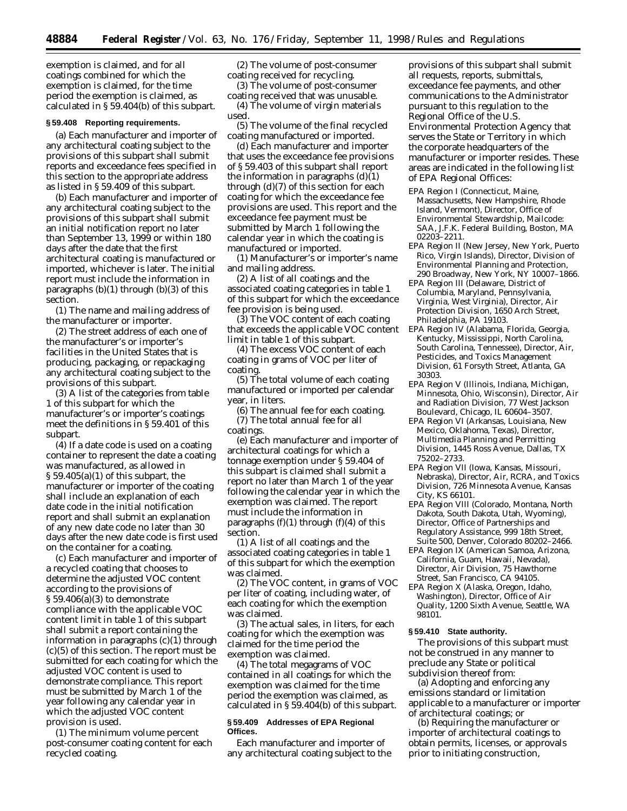exemption is claimed, and for all coatings combined for which the exemption is claimed, for the time period the exemption is claimed, as calculated in § 59.404(b) of this subpart.

#### **§ 59.408 Reporting requirements.**

(a) Each manufacturer and importer of any architectural coating subject to the provisions of this subpart shall submit reports and exceedance fees specified in this section to the appropriate address as listed in § 59.409 of this subpart.

(b) Each manufacturer and importer of any architectural coating subject to the provisions of this subpart shall submit an initial notification report no later than September 13, 1999 or within 180 days after the date that the first architectural coating is manufactured or imported, whichever is later. The initial report must include the information in paragraphs  $(b)(1)$  through  $(b)(3)$  of this section.

(1) The name and mailing address of the manufacturer or importer.

(2) The street address of each one of the manufacturer's or importer's facilities in the United States that is producing, packaging, or repackaging any architectural coating subject to the provisions of this subpart.

(3) A list of the categories from table 1 of this subpart for which the manufacturer's or importer's coatings meet the definitions in § 59.401 of this subpart.

(4) If a date code is used on a coating container to represent the date a coating was manufactured, as allowed in  $\S 59.405(a)(1)$  of this subpart, the manufacturer or importer of the coating shall include an explanation of each date code in the initial notification report and shall submit an explanation of any new date code no later than 30 days after the new date code is first used on the container for a coating.

(c) Each manufacturer and importer of a recycled coating that chooses to determine the adjusted VOC content according to the provisions of  $\S 59.406(a)(3)$  to demonstrate compliance with the applicable VOC content limit in table 1 of this subpart shall submit a report containing the information in paragraphs (c)(1) through (c)(5) of this section. The report must be submitted for each coating for which the adjusted VOC content is used to demonstrate compliance. This report must be submitted by March 1 of the year following any calendar year in which the adjusted VOC content provision is used.

(1) The minimum volume percent post-consumer coating content for each recycled coating.

(2) The volume of post-consumer coating received for recycling.

(3) The volume of post-consumer coating received that was unusable.

(4) The volume of virgin materials used.

(5) The volume of the final recycled coating manufactured or imported.

(d) Each manufacturer and importer that uses the exceedance fee provisions of § 59.403 of this subpart shall report the information in paragraphs (d)(1) through (d)(7) of this section for each coating for which the exceedance fee provisions are used. This report and the exceedance fee payment must be submitted by March 1 following the calendar year in which the coating is manufactured or imported.

(1) Manufacturer's or importer's name and mailing address.

(2) A list of all coatings and the associated coating categories in table 1 of this subpart for which the exceedance fee provision is being used.

(3) The VOC content of each coating that exceeds the applicable VOC content limit in table 1 of this subpart.

(4) The excess VOC content of each coating in grams of VOC per liter of coating.

(5) The total volume of each coating manufactured or imported per calendar year, in liters.

(6) The annual fee for each coating. (7) The total annual fee for all coatings.

(e) Each manufacturer and importer of architectural coatings for which a tonnage exemption under § 59.404 of this subpart is claimed shall submit a report no later than March 1 of the year following the calendar year in which the exemption was claimed. The report must include the information in paragraphs  $(f)(1)$  through  $(f)(4)$  of this section.

(1) A list of all coatings and the associated coating categories in table 1 of this subpart for which the exemption was claimed.

(2) The VOC content, in grams of VOC per liter of coating, including water, of each coating for which the exemption was claimed.

(3) The actual sales, in liters, for each coating for which the exemption was claimed for the time period the exemption was claimed.

(4) The total megagrams of VOC contained in all coatings for which the exemption was claimed for the time period the exemption was claimed, as calculated in § 59.404(b) of this subpart.

### **§ 59.409 Addresses of EPA Regional Offices.**

Each manufacturer and importer of any architectural coating subject to the

provisions of this subpart shall submit all requests, reports, submittals, exceedance fee payments, and other communications to the Administrator pursuant to this regulation to the Regional Office of the U.S. Environmental Protection Agency that serves the State or Territory in which the corporate headquarters of the manufacturer or importer resides. These areas are indicated in the following list of EPA Regional Offices:

- EPA Region I (Connecticut, Maine, Massachusetts, New Hampshire, Rhode Island, Vermont), Director, Office of Environmental Stewardship, Mailcode: SAA, J.F.K. Federal Building, Boston, MA 02203–2211.
- EPA Region II (New Jersey, New York, Puerto Rico, Virgin Islands), Director, Division of Environmental Planning and Protection, 290 Broadway, New York, NY 10007–1866.
- EPA Region III (Delaware, District of Columbia, Maryland, Pennsylvania, Virginia, West Virginia), Director, Air Protection Division, 1650 Arch Street, Philadelphia, PA 19103.
- EPA Region IV (Alabama, Florida, Georgia, Kentucky, Mississippi, North Carolina, South Carolina, Tennessee), Director, Air, Pesticides, and Toxics Management Division, 61 Forsyth Street, Atlanta, GA 30303.
- EPA Region V (Illinois, Indiana, Michigan, Minnesota, Ohio, Wisconsin), Director, Air and Radiation Division, 77 West Jackson Boulevard, Chicago, IL 60604–3507.
- EPA Region VI (Arkansas, Louisiana, New Mexico, Oklahoma, Texas), Director, Multimedia Planning and Permitting Division, 1445 Ross Avenue, Dallas, TX 75202–2733.
- EPA Region VII (Iowa, Kansas, Missouri, Nebraska), Director, Air, RCRA, and Toxics Division, 726 Minnesota Avenue, Kansas City, KS 66101.
- EPA Region VIII (Colorado, Montana, North Dakota, South Dakota, Utah, Wyoming), Director, Office of Partnerships and Regulatory Assistance, 999 18th Street, Suite 500, Denver, Colorado 80202–2466.
- EPA Region IX (American Samoa, Arizona, California, Guam, Hawaii, Nevada), Director, Air Division, 75 Hawthorne Street, San Francisco, CA 94105.

EPA Region X (Alaska, Oregon, Idaho, Washington), Director, Office of Air Quality, 1200 Sixth Avenue, Seattle, WA 98101.

#### **§ 59.410 State authority.**

The provisions of this subpart must not be construed in any manner to preclude any State or political subdivision thereof from:

(a) Adopting and enforcing any emissions standard or limitation applicable to a manufacturer or importer of architectural coatings; or

(b) Requiring the manufacturer or importer of architectural coatings to obtain permits, licenses, or approvals prior to initiating construction,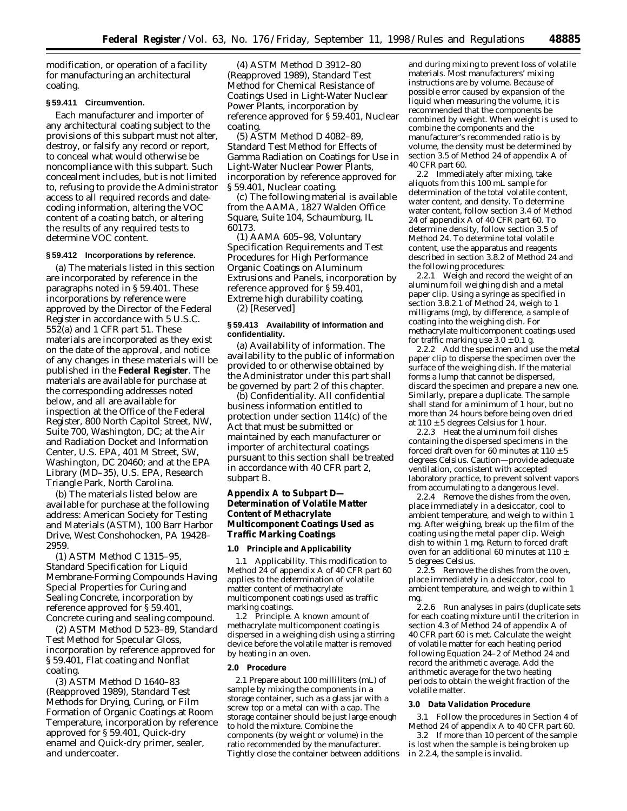modification, or operation of a facility for manufacturing an architectural coating.

### **§ 59.411 Circumvention.**

Each manufacturer and importer of any architectural coating subject to the provisions of this subpart must not alter, destroy, or falsify any record or report, to conceal what would otherwise be noncompliance with this subpart. Such concealment includes, but is not limited to, refusing to provide the Administrator access to all required records and datecoding information, altering the VOC content of a coating batch, or altering the results of any required tests to determine VOC content.

### **§ 59.412 Incorporations by reference.**

(a) The materials listed in this section are incorporated by reference in the paragraphs noted in § 59.401. These incorporations by reference were approved by the Director of the Federal Register in accordance with 5 U.S.C. 552(a) and 1 CFR part 51. These materials are incorporated as they exist on the date of the approval, and notice of any changes in these materials will be published in the **Federal Register**. The materials are available for purchase at the corresponding addresses noted below, and all are available for inspection at the Office of the Federal Register, 800 North Capitol Street, NW, Suite 700, Washington, DC; at the Air and Radiation Docket and Information Center, U.S. EPA, 401 M Street, SW, Washington, DC 20460; and at the EPA Library (MD–35), U.S. EPA, Research Triangle Park, North Carolina.

(b) The materials listed below are available for purchase at the following address: American Society for Testing and Materials (ASTM), 100 Barr Harbor Drive, West Conshohocken, PA 19428– 2959.

(1) ASTM Method C 1315–95, Standard Specification for Liquid Membrane-Forming Compounds Having Special Properties for Curing and Sealing Concrete, incorporation by reference approved for § 59.401, *Concrete curing and sealing compound.*

(2) ASTM Method D 523–89, Standard Test Method for Specular Gloss, incorporation by reference approved for § 59.401, *Flat coating* and *Nonflat coating.*

(3) ASTM Method D 1640–83 (Reapproved 1989), Standard Test Methods for Drying, Curing, or Film Formation of Organic Coatings at Room Temperature, incorporation by reference approved for § 59.401, *Quick-dry enamel* and *Quick-dry primer, sealer, and undercoater.*

(4) ASTM Method D 3912–80 (Reapproved 1989), Standard Test Method for Chemical Resistance of Coatings Used in Light-Water Nuclear Power Plants, incorporation by reference approved for § 59.401, *Nuclear coating.*

(5) ASTM Method D 4082–89, Standard Test Method for Effects of Gamma Radiation on Coatings for Use in Light-Water Nuclear Power Plants, incorporation by reference approved for § 59.401, *Nuclear coating.*

(c) The following material is available from the AAMA, 1827 Walden Office Square, Suite 104, Schaumburg, IL 60173.

(1) AAMA 605–98, Voluntary Specification Requirements and Test Procedures for High Performance Organic Coatings on Aluminum Extrusions and Panels, incorporation by reference approved for § 59.401, *Extreme high durability coating.*

(2) [Reserved]

### **§ 59.413 Availability of information and confidentiality.**

(a) *Availability of information.* The availability to the public of information provided to or otherwise obtained by the Administrator under this part shall be governed by part 2 of this chapter.

(b) *Confidentiality.* All confidential business information entitled to protection under section 114(c) of the Act that must be submitted or maintained by each manufacturer or importer of architectural coatings pursuant to this section shall be treated in accordance with 40 CFR part 2, subpart B.

# **Appendix A to Subpart D— Determination of Volatile Matter Content of Methacrylate Multicomponent Coatings Used as Traffic Marking Coatings**

#### **1.0 Principle and Applicability**

1.1 Applicability. This modification to Method 24 of appendix A of 40 CFR part 60 applies to the determination of volatile matter content of methacrylate multicomponent coatings used as traffic marking coatings.

1.2 Principle. A known amount of methacrylate multicomponent coating is dispersed in a weighing dish using a stirring device before the volatile matter is removed by heating in an oven.

#### **2.0 Procedure**

2.1 Prepare about 100 milliliters (mL) of sample by mixing the components in a storage container, such as a glass jar with a screw top or a metal can with a cap. The storage container should be just large enough to hold the mixture. Combine the components (by weight or volume) in the ratio recommended by the manufacturer. Tightly close the container between additions

and during mixing to prevent loss of volatile materials. Most manufacturers' mixing instructions are by volume. Because of possible error caused by expansion of the liquid when measuring the volume, it is recommended that the components be combined by weight. When weight is used to combine the components and the manufacturer's recommended ratio is by volume, the density must be determined by section 3.5 of Method 24 of appendix A of 40 CFR part 60.

2.2 Immediately after mixing, take aliquots from this 100 mL sample for determination of the total volatile content, water content, and density. To determine water content, follow section 3.4 of Method 24 of appendix A of 40 CFR part 60. To determine density, follow section 3.5 of Method 24. To determine total volatile content, use the apparatus and reagents described in section 3.8.2 of Method 24 and the following procedures:

2.2.1 Weigh and record the weight of an aluminum foil weighing dish and a metal paper clip. Using a syringe as specified in section 3.8.2.1 of Method 24, weigh to 1 milligrams (mg), by difference, a sample of coating into the weighing dish. For methacrylate multicomponent coatings used for traffic marking use  $3.0 \pm 0.1$  g.

2.2.2 Add the specimen and use the metal paper clip to disperse the specimen over the surface of the weighing dish. If the material forms a lump that cannot be dispersed, discard the specimen and prepare a new one. Similarly, prepare a duplicate. The sample shall stand for a minimum of 1 hour, but no more than 24 hours before being oven dried at  $110 \pm 5$  degrees Celsius for 1 hour.

2.2.3 Heat the aluminum foil dishes containing the dispersed specimens in the forced draft oven for 60 minutes at  $110 \pm 5$ degrees Celsius. Caution—provide adequate ventilation, consistent with accepted laboratory practice, to prevent solvent vapors from accumulating to a dangerous level.

2.2.4 Remove the dishes from the oven, place immediately in a desiccator, cool to ambient temperature, and weigh to within 1 mg. After weighing, break up the film of the coating using the metal paper clip. Weigh dish to within 1 mg. Return to forced draft oven for an additional 60 minutes at 110  $\pm$ 5 degrees Celsius.

2.2.5 Remove the dishes from the oven, place immediately in a desiccator, cool to ambient temperature, and weigh to within 1 mg.

2.2.6 Run analyses in pairs (duplicate sets for each coating mixture until the criterion in section 4.3 of Method 24 of appendix A of 40 CFR part 60 is met. Calculate the weight of volatile matter for each heating period following Equation 24–2 of Method 24 and record the arithmetic average. Add the arithmetic average for the two heating periods to obtain the weight fraction of the volatile matter.

#### **3.0 Data Validation Procedure**

3.1 Follow the procedures in Section 4 of Method 24 of appendix A to 40 CFR part 60.

3.2 If more than 10 percent of the sample is lost when the sample is being broken up in 2.2.4, the sample is invalid.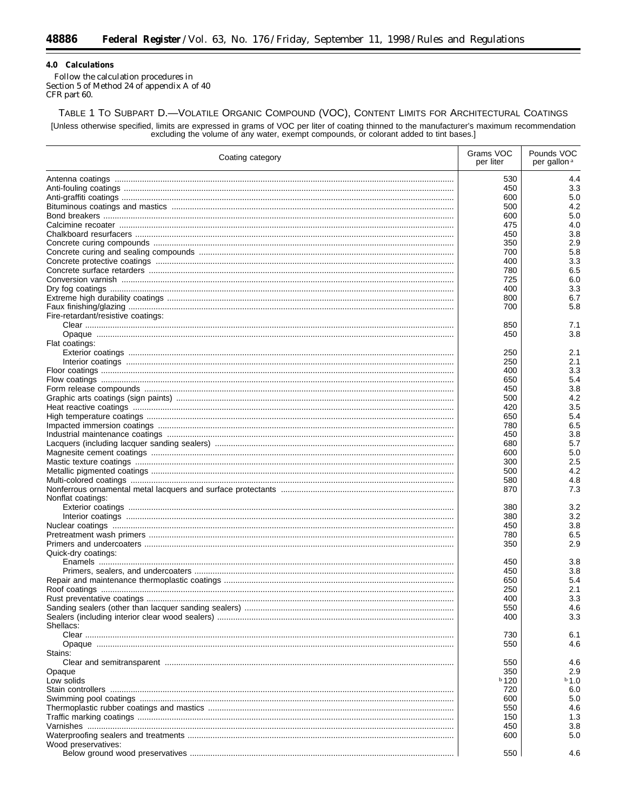### 4.0 Calculations

Ξ

Follow the calculation procedures in<br>Section 5 of Method 24 of appendix A of 40 CFR part 60.

TABLE 1 TO SUBPART D.-VOLATILE ORGANIC COMPOUND (VOC), CONTENT LIMITS FOR ARCHITECTURAL COATINGS [Unless otherwise specified, limits are expressed in grams of VOC per liter of coating thinned to the manufacturer's maximum recommendation excluding the volume of any water, exempt compounds, or colorant added to tint bas

| Coating category                   |         | Pounds VOC<br>per gallon <sup>a</sup> |
|------------------------------------|---------|---------------------------------------|
|                                    | 530     | 4.4                                   |
|                                    | 450     | 3.3                                   |
|                                    | 600     | 5.0                                   |
|                                    | 500     | 4.2                                   |
|                                    | 600     | 5.0                                   |
|                                    | 475     | 4.0                                   |
|                                    | 450     | 3.8                                   |
|                                    | 350     | 2.9                                   |
|                                    | 700     | 5.8                                   |
|                                    | 400     | 3.3                                   |
|                                    | 780     | 6.5                                   |
|                                    | 725     | 6.0                                   |
|                                    | 400     | 3.3                                   |
|                                    | 800     | 6.7                                   |
|                                    | 700     | 5.8                                   |
| Fire-retardant/resistive coatings: |         |                                       |
|                                    | 850     | 7.1                                   |
|                                    | 450     | 3.8                                   |
| Flat coatings:                     |         |                                       |
|                                    | 250     | 2.1                                   |
|                                    | 250     | 2.1                                   |
|                                    | 400     | 3.3                                   |
|                                    | 650     | 5.4                                   |
|                                    | 450     | 3.8                                   |
|                                    | 500     | 4.2                                   |
|                                    | 420     | 3.5                                   |
|                                    | 650     | 5.4                                   |
|                                    | 780     | 6.5                                   |
|                                    | 450     | 3.8                                   |
|                                    | 680     | 5.7                                   |
|                                    | 600     | 5.0                                   |
|                                    | 300     | 2.5                                   |
|                                    | 500     | 4.2                                   |
|                                    | 580     | 4.8                                   |
|                                    | 870     | 7.3                                   |
| Nonflat coatings:                  |         |                                       |
|                                    | 380     | 3.2                                   |
|                                    | 380     | 3.2                                   |
|                                    | 450     | 3.8                                   |
|                                    | 780     | 6.5                                   |
|                                    | 350     | 2.9                                   |
| Quick-dry coatings:                |         |                                       |
|                                    | 450     | 3.8                                   |
|                                    | 450     | 3.8                                   |
|                                    | 650     | 5.4                                   |
|                                    | 250     | 2.1                                   |
|                                    | 400     | 3.3                                   |
|                                    | 550     | 4.6                                   |
|                                    | 400     | 3.3                                   |
| Shellacs:                          |         |                                       |
|                                    | 730     | 6.1                                   |
|                                    | 550     | 4.6                                   |
| Stains:                            |         |                                       |
|                                    | 550     | 4.6                                   |
| Opaque                             | 350     | 2.9                                   |
| Low solids                         | $b$ 120 | $b$ 1.0                               |
|                                    | 720     | 6.0                                   |
|                                    | 600     | 5.0                                   |
|                                    | 550     | 4.6                                   |
|                                    | 150     | 1.3                                   |
|                                    | 450     | 3.8                                   |
|                                    | 600     | 5.0                                   |
| Wood preservatives:                |         |                                       |
|                                    | 550     | 4.6                                   |